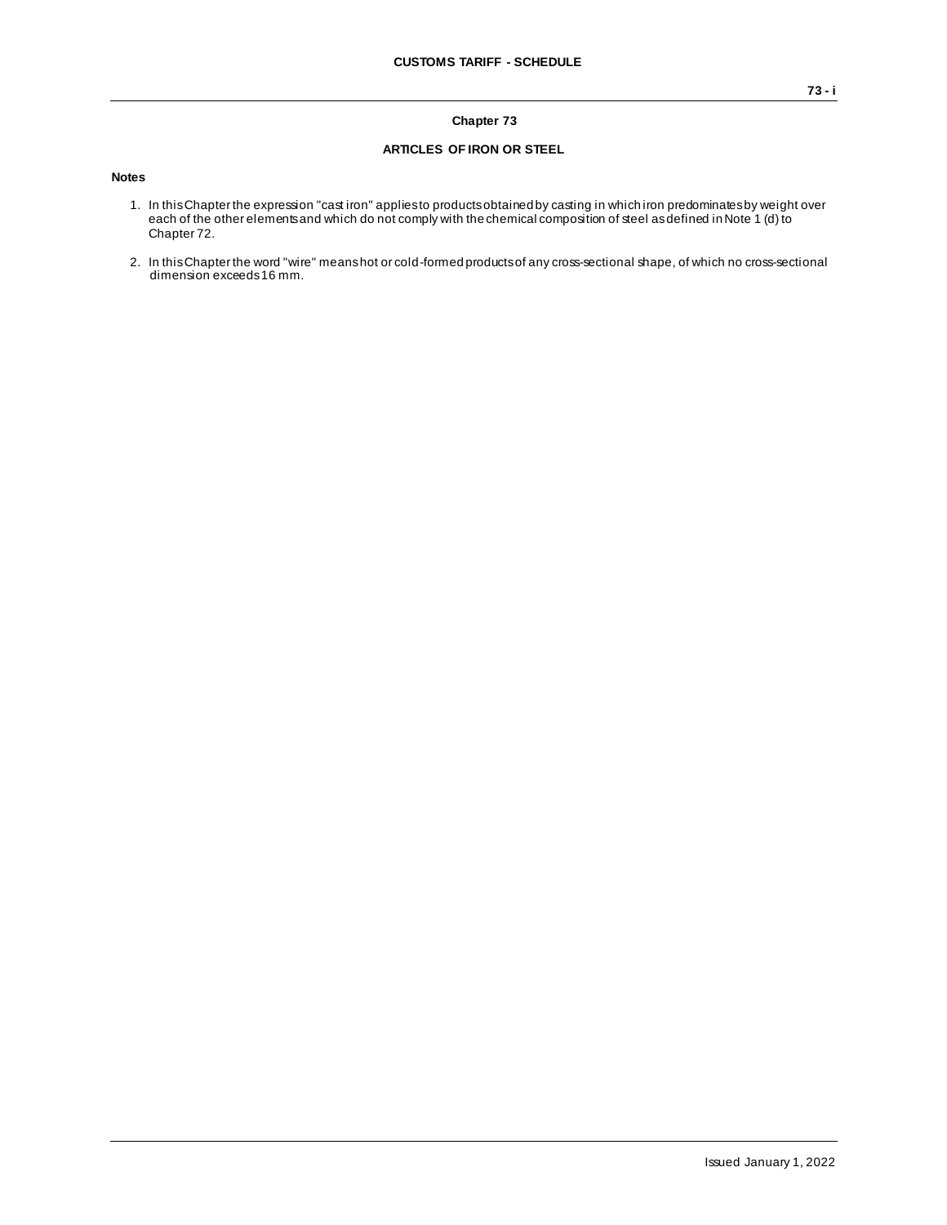### **Chapter 73**

#### **ARTICLES OF IRON OR STEEL**

#### **Notes**

- 1. In this Chapter the expression "cast iron" applies to products obtained by casting in which iron predominates by weight over each of the other elements and which do not comply with the chemical composition of steel as defined in Note 1 (d) to Chapter 72.
- 2. In this Chapter the word "wire" means hot or cold-formed products of any cross-sectional shape, of which no cross-sectional dimension exceeds 16 mm.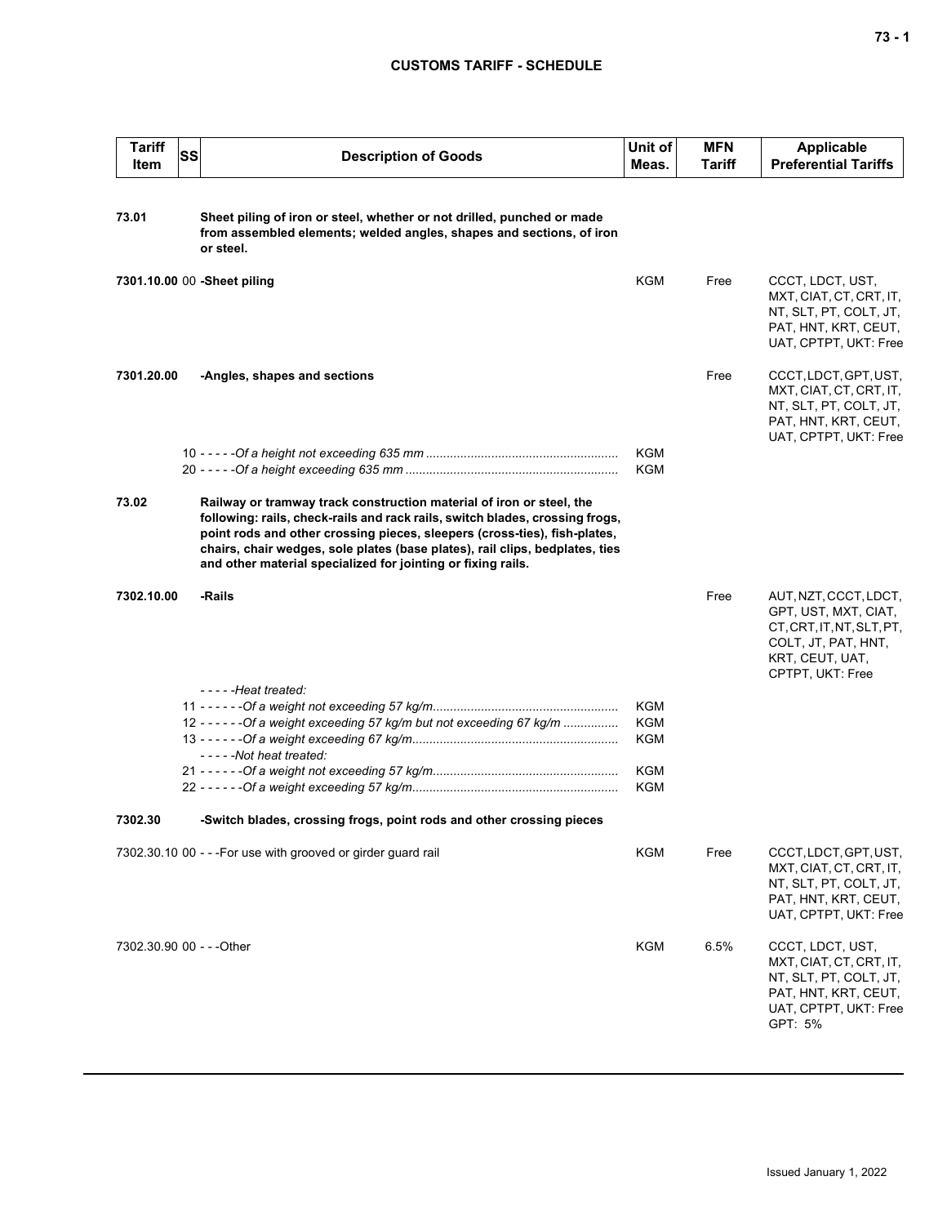| <b>Tariff</b><br>Item     | <b>SS</b> | <b>Description of Goods</b>                                                                                                                                                                                                                                                                                                                                                       | Unit of<br>Meas.  | <b>MFN</b><br>Tariff | <b>Applicable</b><br><b>Preferential Tariffs</b>                                                                                         |
|---------------------------|-----------|-----------------------------------------------------------------------------------------------------------------------------------------------------------------------------------------------------------------------------------------------------------------------------------------------------------------------------------------------------------------------------------|-------------------|----------------------|------------------------------------------------------------------------------------------------------------------------------------------|
| 73.01                     |           | Sheet piling of iron or steel, whether or not drilled, punched or made<br>from assembled elements; welded angles, shapes and sections, of iron<br>or steel.                                                                                                                                                                                                                       |                   |                      |                                                                                                                                          |
|                           |           | 7301.10.00 00 -Sheet piling                                                                                                                                                                                                                                                                                                                                                       | KGM               | Free                 | CCCT, LDCT, UST,<br>MXT, CIAT, CT, CRT, IT,<br>NT, SLT, PT, COLT, JT,<br>PAT, HNT, KRT, CEUT,<br>UAT, CPTPT, UKT: Free                   |
| 7301.20.00                |           | -Angles, shapes and sections                                                                                                                                                                                                                                                                                                                                                      |                   | Free                 | CCCT, LDCT, GPT, UST,<br>MXT, CIAT, CT, CRT, IT,<br>NT, SLT, PT, COLT, JT,<br>PAT, HNT, KRT, CEUT,<br>UAT, CPTPT, UKT: Free              |
|                           |           |                                                                                                                                                                                                                                                                                                                                                                                   | <b>KGM</b><br>KGM |                      |                                                                                                                                          |
| 73.02                     |           | Railway or tramway track construction material of iron or steel, the<br>following: rails, check-rails and rack rails, switch blades, crossing frogs,<br>point rods and other crossing pieces, sleepers (cross-ties), fish-plates,<br>chairs, chair wedges, sole plates (base plates), rail clips, bedplates, ties<br>and other material specialized for jointing or fixing rails. |                   |                      |                                                                                                                                          |
| 7302.10.00                |           | -Rails                                                                                                                                                                                                                                                                                                                                                                            |                   | Free                 | AUT, NZT, CCCT, LDCT,<br>GPT, UST, MXT, CIAT,<br>CT, CRT, IT, NT, SLT, PT,<br>COLT, JT, PAT, HNT,<br>KRT, CEUT, UAT,<br>CPTPT, UKT: Free |
|                           |           | -----Heat treated:                                                                                                                                                                                                                                                                                                                                                                |                   |                      |                                                                                                                                          |
|                           |           | 12 - - - - - - Of a weight exceeding 57 kg/m but not exceeding 67 kg/m                                                                                                                                                                                                                                                                                                            | KGM<br>KGM        |                      |                                                                                                                                          |
|                           |           | -----Not heat treated:                                                                                                                                                                                                                                                                                                                                                            | <b>KGM</b>        |                      |                                                                                                                                          |
|                           |           |                                                                                                                                                                                                                                                                                                                                                                                   | KGM               |                      |                                                                                                                                          |
|                           |           |                                                                                                                                                                                                                                                                                                                                                                                   | KGM               |                      |                                                                                                                                          |
| 7302.30                   |           | -Switch blades, crossing frogs, point rods and other crossing pieces                                                                                                                                                                                                                                                                                                              |                   |                      |                                                                                                                                          |
|                           |           | 7302.30.10 00 - - - For use with grooved or girder guard rail                                                                                                                                                                                                                                                                                                                     | <b>KGM</b>        | Free                 | CCCT, LDCT, GPT, UST,<br>MXT, CIAT, CT, CRT, IT,<br>NT, SLT, PT, COLT, JT,<br>PAT, HNT, KRT, CEUT,<br>UAT, CPTPT, UKT: Free              |
| 7302.30.90 00 - - - Other |           |                                                                                                                                                                                                                                                                                                                                                                                   | <b>KGM</b>        | 6.5%                 | CCCT, LDCT, UST,<br>MXT, CIAT, CT, CRT, IT,<br>NT, SLT, PT, COLT, JT,<br>PAT, HNT, KRT, CEUT,<br>UAT, CPTPT, UKT: Free<br>GPT: 5%        |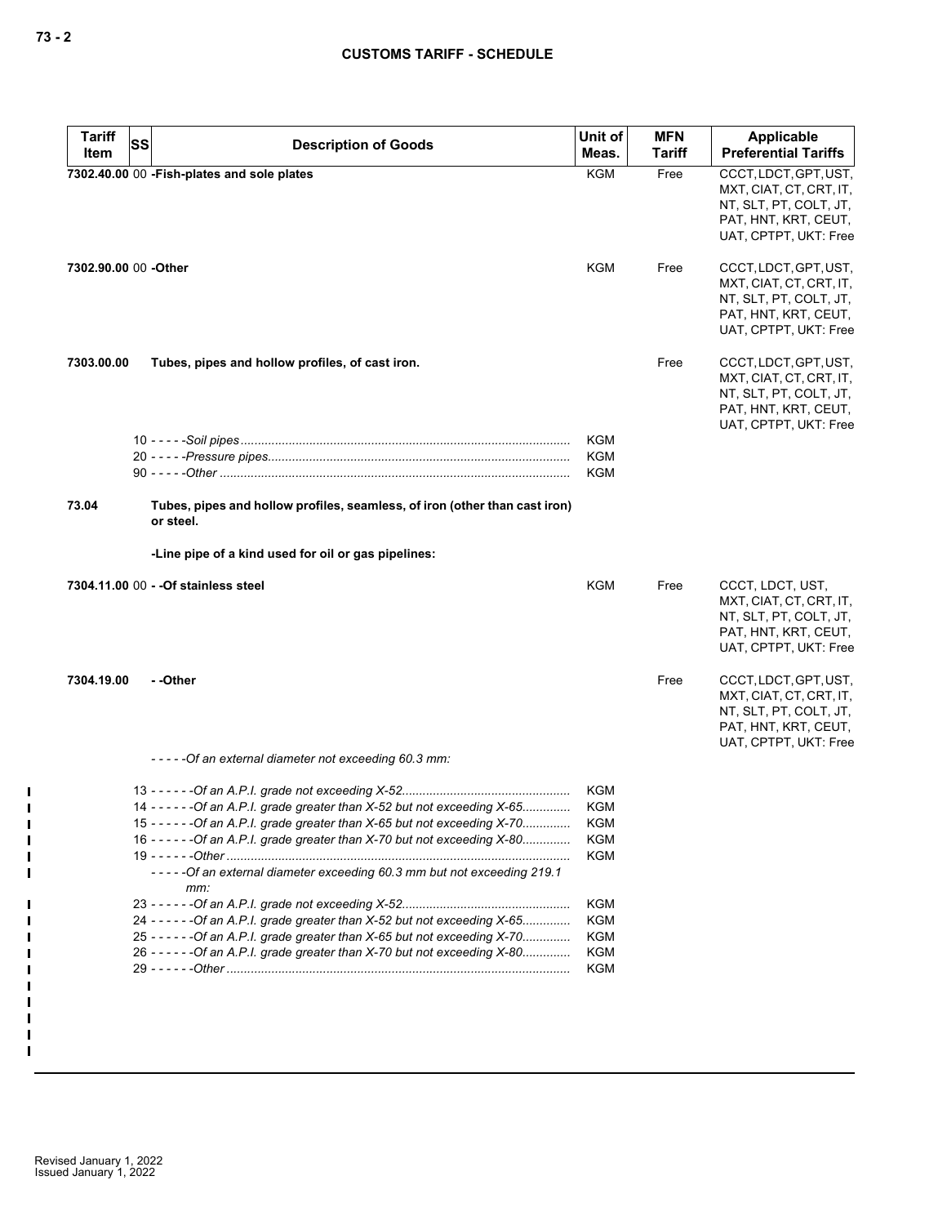| <b>Tariff</b>        | SS | <b>Description of Goods</b>                                                             | Unit of<br>Meas. | <b>MFN</b><br><b>Tariff</b> | <b>Applicable</b><br><b>Preferential Tariffs</b>                                                                            |
|----------------------|----|-----------------------------------------------------------------------------------------|------------------|-----------------------------|-----------------------------------------------------------------------------------------------------------------------------|
| Item                 |    |                                                                                         |                  |                             |                                                                                                                             |
|                      |    | 7302.40.00 00 - Fish-plates and sole plates                                             | <b>KGM</b>       | Free                        | CCCT, LDCT, GPT, UST,<br>MXT, CIAT, CT, CRT, IT,<br>NT, SLT, PT, COLT, JT,<br>PAT, HNT, KRT, CEUT,<br>UAT, CPTPT, UKT: Free |
| 7302.90.00 00 -Other |    |                                                                                         | KGM              | Free                        | CCCT, LDCT, GPT, UST,<br>MXT, CIAT, CT, CRT, IT,<br>NT, SLT, PT, COLT, JT,<br>PAT, HNT, KRT, CEUT,<br>UAT, CPTPT, UKT: Free |
| 7303.00.00           |    | Tubes, pipes and hollow profiles, of cast iron.                                         |                  | Free                        | CCCT, LDCT, GPT, UST,<br>MXT, CIAT, CT, CRT, IT,<br>NT, SLT, PT, COLT, JT,<br>PAT, HNT, KRT, CEUT,<br>UAT, CPTPT, UKT: Free |
|                      |    |                                                                                         | KGM              |                             |                                                                                                                             |
|                      |    |                                                                                         | KGM              |                             |                                                                                                                             |
|                      |    |                                                                                         | KGM              |                             |                                                                                                                             |
| 73.04                |    | Tubes, pipes and hollow profiles, seamless, of iron (other than cast iron)<br>or steel. |                  |                             |                                                                                                                             |
|                      |    | -Line pipe of a kind used for oil or gas pipelines:                                     |                  |                             |                                                                                                                             |
|                      |    | 7304.11.00 00 - - Of stainless steel                                                    | KGM              | Free                        | CCCT, LDCT, UST,<br>MXT, CIAT, CT, CRT, IT,<br>NT, SLT, PT, COLT, JT,<br>PAT, HNT, KRT, CEUT,<br>UAT, CPTPT, UKT: Free      |
| 7304.19.00           |    | - -Other                                                                                |                  | Free                        | CCCT, LDCT, GPT, UST,<br>MXT, CIAT, CT, CRT, IT,<br>NT, SLT, PT, COLT, JT,<br>PAT, HNT, KRT, CEUT,<br>UAT, CPTPT, UKT: Free |
|                      |    | -----Of an external diameter not exceeding 60.3 mm:                                     |                  |                             |                                                                                                                             |
|                      |    |                                                                                         | KGM              |                             |                                                                                                                             |
|                      |    | 14 - - - - - - Of an A.P.I. grade greater than X-52 but not exceeding X-65              | KGM              |                             |                                                                                                                             |
|                      |    | 15 - - - - - - Of an A.P.I. grade greater than X-65 but not exceeding X-70              | KGM              |                             |                                                                                                                             |
|                      |    | 16 - - - - - - Of an A.P.I. grade greater than X-70 but not exceeding X-80              | KGM              |                             |                                                                                                                             |
|                      |    |                                                                                         | KGM              |                             |                                                                                                                             |
|                      |    | ----- Of an external diameter exceeding 60.3 mm but not exceeding 219.1<br>mm:          |                  |                             |                                                                                                                             |
|                      |    |                                                                                         | <b>KGM</b>       |                             |                                                                                                                             |
|                      |    | 24 - - - - - - Of an A.P.I. grade greater than X-52 but not exceeding X-65              | KGM              |                             |                                                                                                                             |
|                      |    | 25 - - - - - - Of an A.P.I. grade greater than X-65 but not exceeding X-70              | KGM              |                             |                                                                                                                             |
|                      |    | 26 - - - - - - Of an A.P.I. grade greater than X-70 but not exceeding X-80              | <b>KGM</b>       |                             |                                                                                                                             |
|                      |    |                                                                                         | <b>KGM</b>       |                             |                                                                                                                             |
|                      |    |                                                                                         |                  |                             |                                                                                                                             |

 $\mathbf{I}$  $\mathbf{I}$  $\mathbf{I}$  $\blacksquare$  $\mathbf{I}$  $\blacksquare$ 

П П П П П П П  $\blacksquare$  $\mathbf{I}$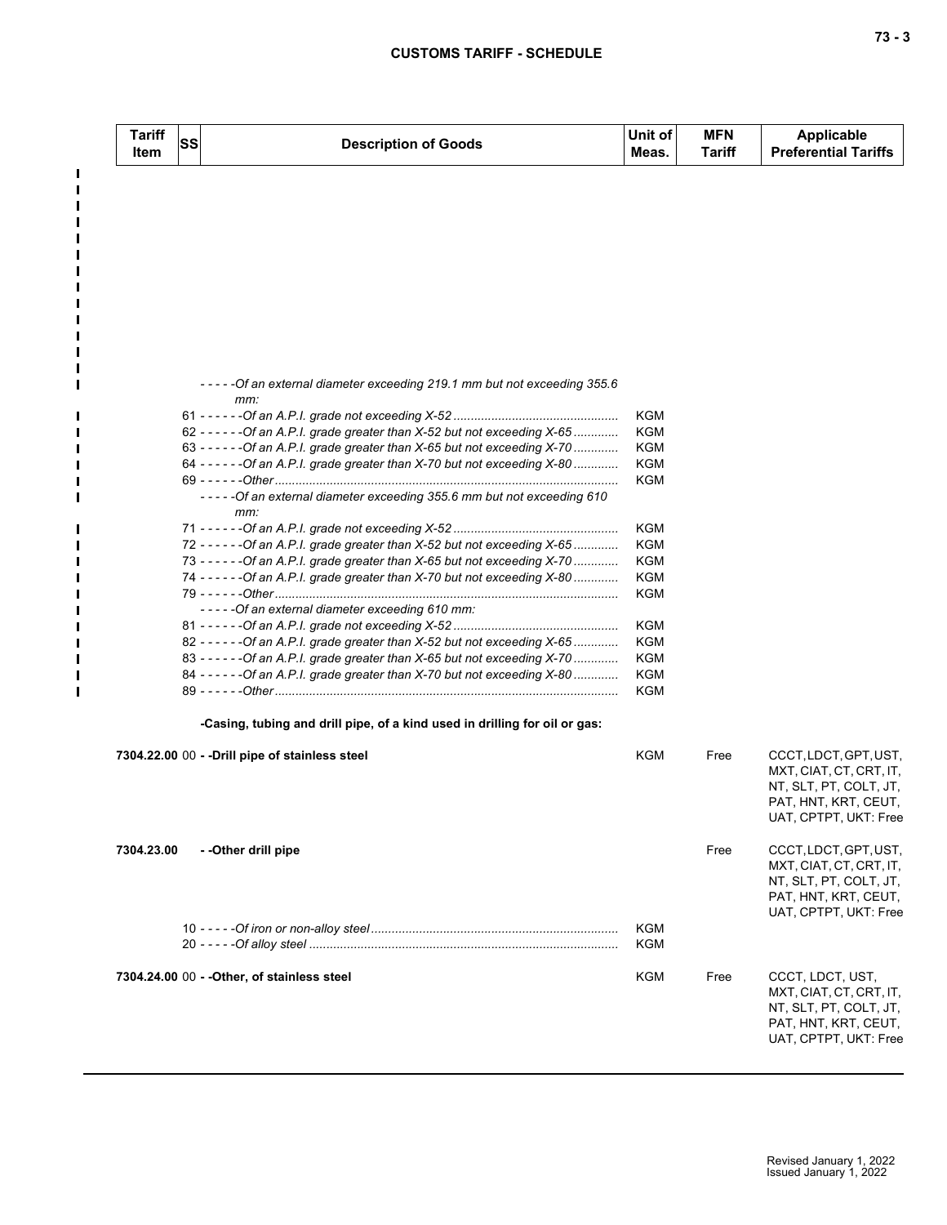$\mathbf{I}$  $\blacksquare$  $\blacksquare$ П П

п п П П  $\blacksquare$  $\blacksquare$  $\blacksquare$ 

П

П П П  $\blacksquare$  $\blacksquare$ 

| <b>Tariff</b><br>Item | <b>SS</b> | <b>Description of Goods</b>                                                     | Unit of<br>Meas. | <b>MFN</b><br><b>Tariff</b> | <b>Applicable</b><br><b>Preferential Tariffs</b> |
|-----------------------|-----------|---------------------------------------------------------------------------------|------------------|-----------------------------|--------------------------------------------------|
|                       |           |                                                                                 |                  |                             |                                                  |
|                       |           |                                                                                 |                  |                             |                                                  |
|                       |           |                                                                                 |                  |                             |                                                  |
|                       |           |                                                                                 |                  |                             |                                                  |
|                       |           |                                                                                 |                  |                             |                                                  |
|                       |           | ----- Of an external diameter exceeding 219.1 mm but not exceeding 355.6<br>mm: |                  |                             |                                                  |
|                       |           |                                                                                 | KGM              |                             |                                                  |
|                       |           | 62 - - - - - - Of an A.P.I. grade greater than X-52 but not exceeding X-65      | KGM              |                             |                                                  |
|                       |           | 63 - - - - - - - Of an A.P.I. grade greater than X-65 but not exceeding X-70    | KGM              |                             |                                                  |
|                       |           | 64 - - - - - - Of an A.P.I. grade greater than X-70 but not exceeding X-80      | KGM              |                             |                                                  |
|                       |           |                                                                                 | KGM              |                             |                                                  |
|                       |           | -----Of an external diameter exceeding 355.6 mm but not exceeding 610<br>mm:    |                  |                             |                                                  |
|                       |           |                                                                                 | KGM              |                             |                                                  |
|                       |           | 72 - - - - - - Of an A.P.I. grade greater than X-52 but not exceeding X-65      | KGM              |                             |                                                  |
|                       |           | 73 - - - - - - Of an A.P.I. grade greater than X-65 but not exceeding X-70      | KGM              |                             |                                                  |
|                       |           | 74 - - - - - - Of an A.P.I. grade greater than X-70 but not exceeding X-80      | KGM              |                             |                                                  |
|                       |           |                                                                                 | KGM              |                             |                                                  |
|                       |           | -----Of an external diameter exceeding 610 mm:                                  |                  |                             |                                                  |
|                       |           |                                                                                 | KGM              |                             |                                                  |
|                       |           | 82 - - - - - - Of an A.P.I. grade greater than X-52 but not exceeding X-65      | KGM              |                             |                                                  |
|                       |           | 83 - - - - - - - Of an A.P.I. grade greater than X-65 but not exceeding X-70    | KGM              |                             |                                                  |
|                       |           | 84 - - - - - - Of an A.P.I. grade greater than X-70 but not exceeding X-80      | KGM<br>KGM       |                             |                                                  |
|                       |           | -Casing, tubing and drill pipe, of a kind used in drilling for oil or gas:      |                  |                             |                                                  |
|                       |           | 7304.22.00 00 - - Drill pipe of stainless steel                                 | KGM              | Free                        | CCCT, LDCT, GPT, UST,<br>MXT, CIAT, CT, CRT, IT, |
|                       |           |                                                                                 |                  |                             | NT, SLT, PT, COLT, JT,                           |
|                       |           |                                                                                 |                  |                             | PAT, HNT, KRT, CEUT,                             |
|                       |           |                                                                                 |                  |                             | UAT, CPTPT, UKT: Free                            |
| 7304.23.00            |           | - - Other drill pipe                                                            |                  | Free                        | CCCT, LDCT, GPT, UST,<br>MXT, CIAT, CT, CRT, IT, |
|                       |           |                                                                                 |                  |                             | NT, SLT, PT, COLT, JT,                           |
|                       |           |                                                                                 |                  |                             | PAT, HNT, KRT, CEUT,                             |
|                       |           |                                                                                 |                  |                             | UAT, CPTPT, UKT: Free                            |
|                       |           |                                                                                 | KGM              |                             |                                                  |
|                       |           |                                                                                 | KGM              |                             |                                                  |
|                       |           | 7304.24.00 00 - - Other, of stainless steel                                     | KGM              | Free                        | CCCT, LDCT, UST,                                 |
|                       |           |                                                                                 |                  |                             | MXT, CIAT, CT, CRT, IT,                          |
|                       |           |                                                                                 |                  |                             | NT, SLT, PT, COLT, JT,                           |
|                       |           |                                                                                 |                  |                             | PAT, HNT, KRT, CEUT,                             |
|                       |           |                                                                                 |                  |                             | UAT, CPTPT, UKT: Free                            |
|                       |           |                                                                                 |                  |                             |                                                  |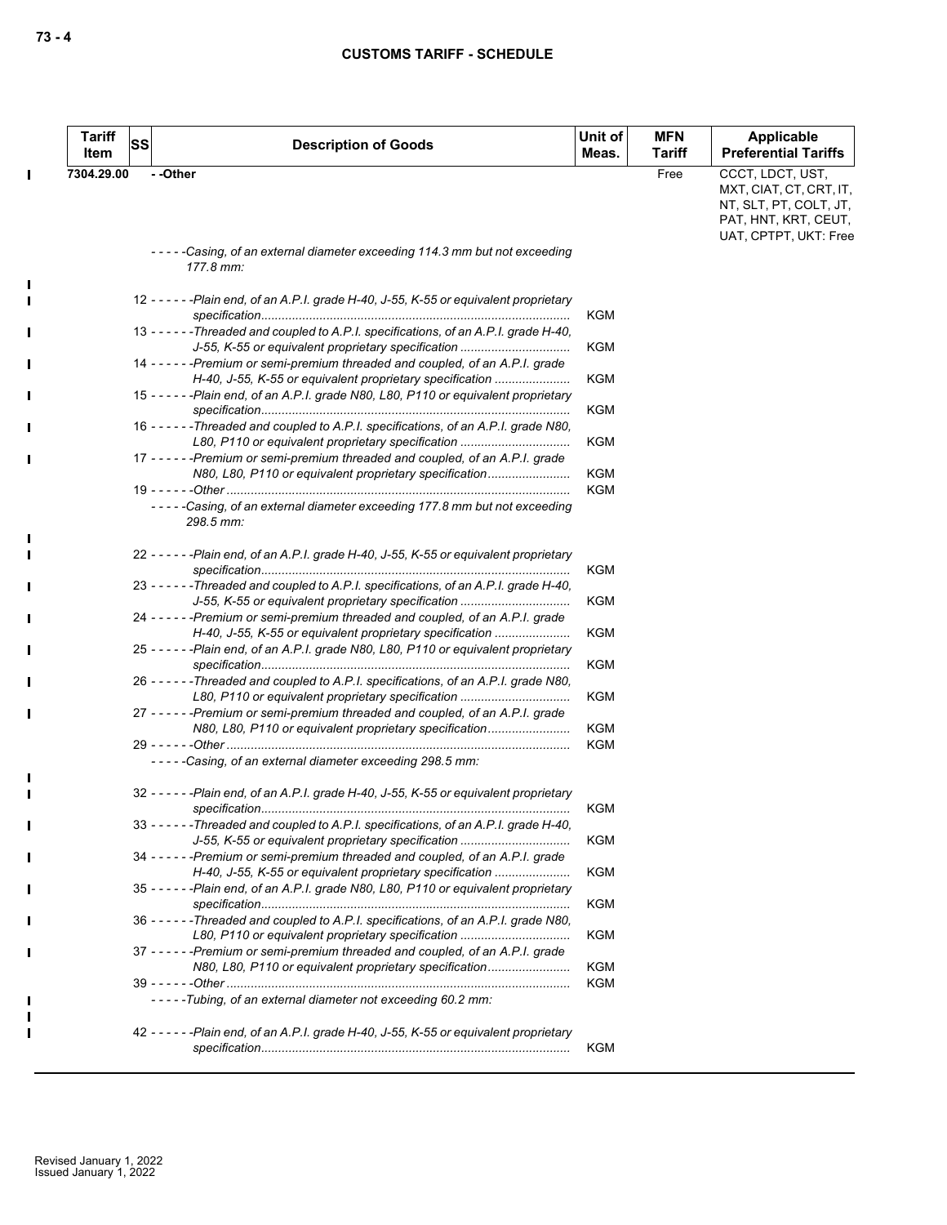|                              | Tariff<br>Item | <b>SS</b> | <b>Description of Goods</b>                                                                                                                                                                                                 | Unit of<br>Meas.         | <b>MFN</b><br><b>Tariff</b> | <b>Applicable</b><br><b>Preferential Tariffs</b>                                                                       |
|------------------------------|----------------|-----------|-----------------------------------------------------------------------------------------------------------------------------------------------------------------------------------------------------------------------------|--------------------------|-----------------------------|------------------------------------------------------------------------------------------------------------------------|
| $\mathbf I$                  | 7304.29.00     |           | - -Other                                                                                                                                                                                                                    |                          | Free                        | CCCT, LDCT, UST,<br>MXT, CIAT, CT, CRT, IT,<br>NT, SLT, PT, COLT, JT,<br>PAT, HNT, KRT, CEUT,<br>UAT, CPTPT, UKT: Free |
|                              |                |           | -----Casing, of an external diameter exceeding 114.3 mm but not exceeding<br>177.8 mm:                                                                                                                                      |                          |                             |                                                                                                                        |
| $\mathbf I$                  |                |           | 12 - - - - - - Plain end, of an A.P.I. grade H-40, J-55, K-55 or equivalent proprietary                                                                                                                                     | KGM                      |                             |                                                                                                                        |
| $\mathbf I$                  |                |           | 13 - - - - - - Threaded and coupled to A.P.I. specifications, of an A.P.I. grade H-40,<br>J-55, K-55 or equivalent proprietary specification                                                                                | <b>KGM</b>               |                             |                                                                                                                        |
| $\mathbf I$                  |                |           | 14 - - - - - - Premium or semi-premium threaded and coupled, of an A.P.I. grade<br>H-40, J-55, K-55 or equivalent proprietary specification                                                                                 | <b>KGM</b>               |                             |                                                                                                                        |
|                              |                |           | 15 - - - - - - Plain end, of an A.P.I. grade N80, L80, P110 or equivalent proprietary                                                                                                                                       | KGM                      |                             |                                                                                                                        |
|                              |                |           | 16 - - - - - Threaded and coupled to A.P.I. specifications, of an A.P.I. grade N80,<br>L80, P110 or equivalent proprietary specification<br>17 - - - - - - Premium or semi-premium threaded and coupled, of an A.P.I. grade | KGM                      |                             |                                                                                                                        |
|                              |                |           | N80, L80, P110 or equivalent proprietary specification                                                                                                                                                                      | <b>KGM</b><br><b>KGM</b> |                             |                                                                                                                        |
|                              |                |           | -----Casing, of an external diameter exceeding 177.8 mm but not exceeding<br>298.5 mm:                                                                                                                                      |                          |                             |                                                                                                                        |
| $\mathbf{I}$<br>$\mathbf{I}$ |                |           | 22 - - - - - - Plain end, of an A.P.I. grade H-40, J-55, K-55 or equivalent proprietary                                                                                                                                     | <b>KGM</b>               |                             |                                                                                                                        |
| $\mathbf{I}$                 |                |           | 23 - - - - - - Threaded and coupled to A.P.I. specifications, of an A.P.I. grade H-40,<br>J-55, K-55 or equivalent proprietary specification                                                                                | <b>KGM</b>               |                             |                                                                                                                        |
| $\mathbf I$                  |                |           | 24 ----- - Premium or semi-premium threaded and coupled, of an A.P.I. grade<br>H-40, J-55, K-55 or equivalent proprietary specification                                                                                     | KGM                      |                             |                                                                                                                        |
|                              |                |           | 25 - - - - - - Plain end, of an A.P.I. grade N80, L80, P110 or equivalent proprietary                                                                                                                                       | <b>KGM</b>               |                             |                                                                                                                        |
| $\mathbf I$                  |                |           | 26 - - - - - - Threaded and coupled to A.P.I. specifications, of an A.P.I. grade N80,<br>L80, P110 or equivalent proprietary specification                                                                                  | <b>KGM</b>               |                             |                                                                                                                        |
| $\mathbf I$                  |                |           | 27 - - - - - - Premium or semi-premium threaded and coupled, of an A.P.I. grade<br>N80, L80, P110 or equivalent proprietary specification                                                                                   | <b>KGM</b>               |                             |                                                                                                                        |
| $\mathbf I$                  |                |           | -----Casing, of an external diameter exceeding 298.5 mm:                                                                                                                                                                    | KGM                      |                             |                                                                                                                        |
|                              |                |           | 32 - - - - - - Plain end, of an A.P.I. grade H-40, J-55, K-55 or equivalent proprietary                                                                                                                                     | KGM                      |                             |                                                                                                                        |
|                              |                |           | 33 - - - - - - Threaded and coupled to A.P.I. specifications, of an A.P.I. grade H-40,<br>J-55, K-55 or equivalent proprietary specification                                                                                | <b>KGM</b>               |                             |                                                                                                                        |
|                              |                |           | 34 - - - - - - Premium or semi-premium threaded and coupled, of an A.P.I. grade<br>H-40, J-55, K-55 or equivalent proprietary specification                                                                                 | <b>KGM</b>               |                             |                                                                                                                        |
| П                            |                |           | 35 - - - - - - Plain end, of an A.P.I. grade N80, L80, P110 or equivalent proprietary                                                                                                                                       | <b>KGM</b>               |                             |                                                                                                                        |
|                              |                |           | 36 - - - - - - Threaded and coupled to A.P.I. specifications, of an A.P.I. grade N80,<br>L80, P110 or equivalent proprietary specification                                                                                  | KGM                      |                             |                                                                                                                        |
|                              |                |           | 37 - - - - - - Premium or semi-premium threaded and coupled, of an A.P.I. grade<br>N80, L80, P110 or equivalent proprietary specification                                                                                   | <b>KGM</b><br>KGM        |                             |                                                                                                                        |
|                              |                |           | -----Tubing, of an external diameter not exceeding 60.2 mm:                                                                                                                                                                 |                          |                             |                                                                                                                        |
|                              |                |           | 42 - - - - - - Plain end, of an A.P.I. grade H-40, J-55, K-55 or equivalent proprietary                                                                                                                                     | KGM                      |                             |                                                                                                                        |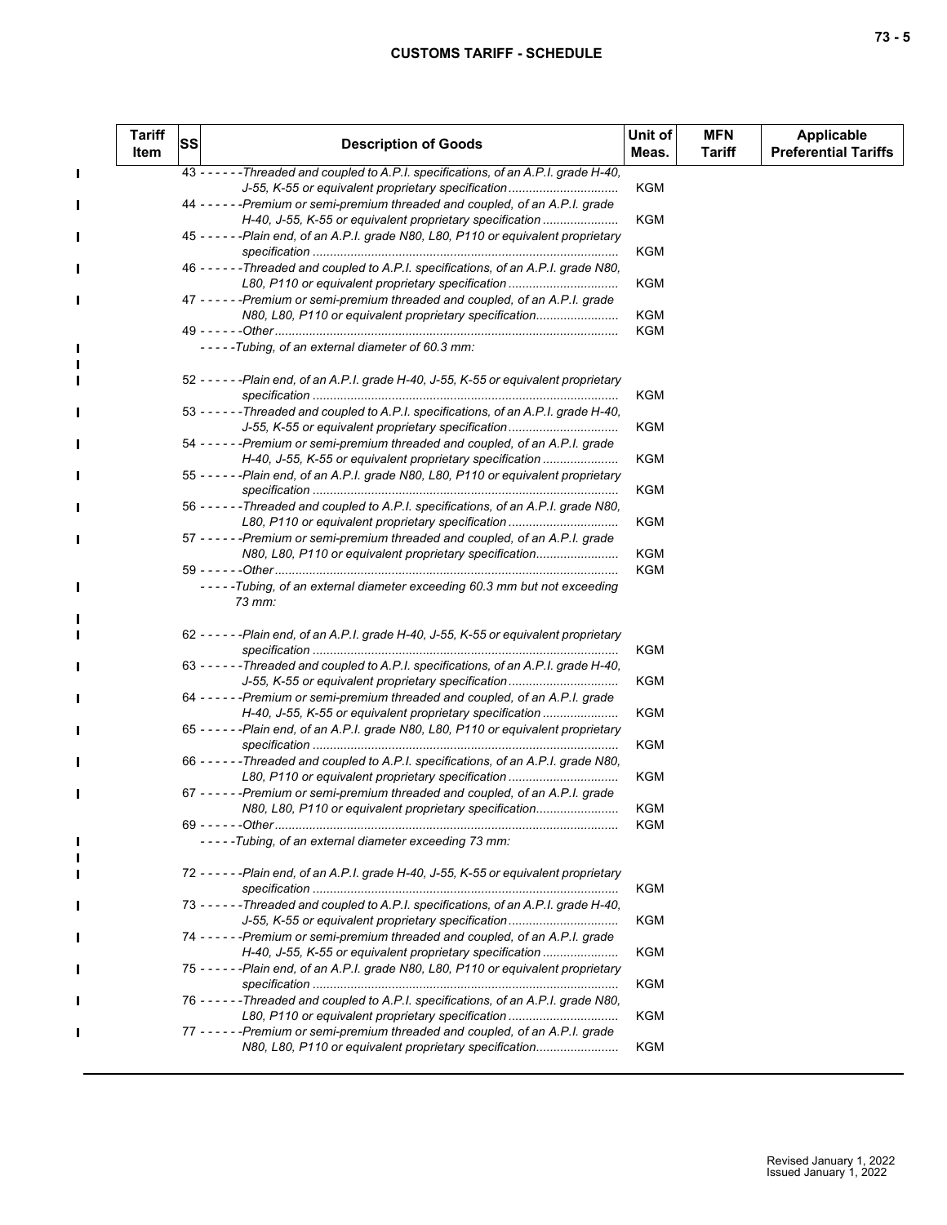$\mathbf{I}$ 

 $\blacksquare$ 

П

П

 $\blacksquare$ 

П

П

П

 $\blacksquare$ 

п п

П

| <b>Tariff</b><br>Item | SS | <b>Description of Goods</b>                                                                                                                  | Unit of<br>Meas. | <b>MFN</b><br>Tariff | <b>Applicable</b><br><b>Preferential Tariffs</b> |
|-----------------------|----|----------------------------------------------------------------------------------------------------------------------------------------------|------------------|----------------------|--------------------------------------------------|
|                       |    | 43 - - - - - - Threaded and coupled to A.P.I. specifications, of an A.P.I. grade H-40,                                                       |                  |                      |                                                  |
|                       |    | J-55, K-55 or equivalent proprietary specification<br>44 - - - - - - Premium or semi-premium threaded and coupled, of an A.P.I. grade        | <b>KGM</b>       |                      |                                                  |
|                       |    | H-40, J-55, K-55 or equivalent proprietary specification                                                                                     | KGM              |                      |                                                  |
|                       |    | 45 - - - - - - Plain end, of an A.P.I. grade N80, L80, P110 or equivalent proprietary                                                        |                  |                      |                                                  |
|                       |    |                                                                                                                                              | KGM              |                      |                                                  |
|                       |    | 46 - - - - - - Threaded and coupled to A.P.I. specifications, of an A.P.I. grade N80,<br>L80, P110 or equivalent proprietary specification   | KGM              |                      |                                                  |
|                       |    | 47 - - - - - - Premium or semi-premium threaded and coupled, of an A.P.I. grade                                                              |                  |                      |                                                  |
|                       |    | N80, L80, P110 or equivalent proprietary specification                                                                                       | KGM<br>KGM       |                      |                                                  |
|                       |    | -----Tubing, of an external diameter of 60.3 mm:                                                                                             |                  |                      |                                                  |
|                       |    | 52 - - - - - - Plain end, of an A.P.I. grade H-40, J-55, K-55 or equivalent proprietary                                                      |                  |                      |                                                  |
|                       |    |                                                                                                                                              | KGM              |                      |                                                  |
|                       |    | 53 - - - - - - Threaded and coupled to A.P.I. specifications, of an A.P.I. grade H-40,<br>J-55, K-55 or equivalent proprietary specification | KGM              |                      |                                                  |
|                       |    | 54 - - - - - - Premium or semi-premium threaded and coupled, of an A.P.I. grade                                                              |                  |                      |                                                  |
|                       |    | H-40, J-55, K-55 or equivalent proprietary specification                                                                                     | KGM              |                      |                                                  |
|                       |    | 55 - - - - - - Plain end, of an A.P.I. grade N80, L80, P110 or equivalent proprietary                                                        |                  |                      |                                                  |
|                       |    |                                                                                                                                              | KGM              |                      |                                                  |
|                       |    | 56 - - - - - - Threaded and coupled to A.P.I. specifications, of an A.P.I. grade N80,                                                        |                  |                      |                                                  |
|                       |    | L80, P110 or equivalent proprietary specification                                                                                            | KGM              |                      |                                                  |
|                       |    | 57 - - - - - - Premium or semi-premium threaded and coupled, of an A.P.I. grade<br>N80, L80, P110 or equivalent proprietary specification    | KGM              |                      |                                                  |
|                       |    |                                                                                                                                              | KGM              |                      |                                                  |
|                       |    | -----Tubing, of an external diameter exceeding 60.3 mm but not exceeding<br>73 mm:                                                           |                  |                      |                                                  |
|                       |    | 62 - - - - - - Plain end, of an A.P.I. grade H-40, J-55, K-55 or equivalent proprietary                                                      |                  |                      |                                                  |
|                       |    |                                                                                                                                              | KGM              |                      |                                                  |
|                       |    | 63 - - - - - - Threaded and coupled to A.P.I. specifications, of an A.P.I. grade H-40,<br>J-55, K-55 or equivalent proprietary specification | KGM              |                      |                                                  |
|                       |    | 64 - - - - - - Premium or semi-premium threaded and coupled, of an A.P.I. grade                                                              |                  |                      |                                                  |
|                       |    | H-40, J-55, K-55 or equivalent proprietary specification                                                                                     | KGM              |                      |                                                  |
|                       |    | 65 - - - - - - Plain end, of an A.P.I. grade N80, L80, P110 or equivalent proprietary                                                        |                  |                      |                                                  |
|                       |    |                                                                                                                                              | KGM              |                      |                                                  |
|                       |    | 66 - - - - - - Threaded and coupled to A.P.I. specifications, of an A.P.I. grade N80,                                                        |                  |                      |                                                  |
|                       |    | L80, P110 or equivalent proprietary specification<br>67 - - - - - - Premium or semi-premium threaded and coupled, of an A.P.I. grade         | KGM              |                      |                                                  |
|                       |    | N80, L80, P110 or equivalent proprietary specification                                                                                       | KGM              |                      |                                                  |
|                       |    |                                                                                                                                              | KGM              |                      |                                                  |
|                       |    | -----Tubing, of an external diameter exceeding 73 mm:                                                                                        |                  |                      |                                                  |
|                       |    | 72 - - - - - - Plain end, of an A.P.I. grade H-40, J-55, K-55 or equivalent proprietary                                                      |                  |                      |                                                  |
|                       |    |                                                                                                                                              | KGM              |                      |                                                  |
|                       |    | 73 - - - - - - Threaded and coupled to A.P.I. specifications, of an A.P.I. grade H-40,                                                       |                  |                      |                                                  |
|                       |    | J-55, K-55 or equivalent proprietary specification<br>74 - - - - - - Premium or semi-premium threaded and coupled, of an A.P.I. grade        | KGM              |                      |                                                  |
|                       |    | H-40, J-55, K-55 or equivalent proprietary specification                                                                                     | KGM              |                      |                                                  |
|                       |    | 75 - - - - - - Plain end, of an A.P.I. grade N80, L80, P110 or equivalent proprietary                                                        |                  |                      |                                                  |
|                       |    |                                                                                                                                              | KGM              |                      |                                                  |
|                       |    | 76 - - - - - - Threaded and coupled to A.P.I. specifications, of an A.P.I. grade N80,                                                        |                  |                      |                                                  |
|                       |    | L80, P110 or equivalent proprietary specification                                                                                            | KGM              |                      |                                                  |
|                       |    | 77 - - - - - - Premium or semi-premium threaded and coupled, of an A.P.I. grade                                                              |                  |                      |                                                  |
|                       |    | N80, L80, P110 or equivalent proprietary specification                                                                                       | KGM              |                      |                                                  |
|                       |    |                                                                                                                                              |                  |                      |                                                  |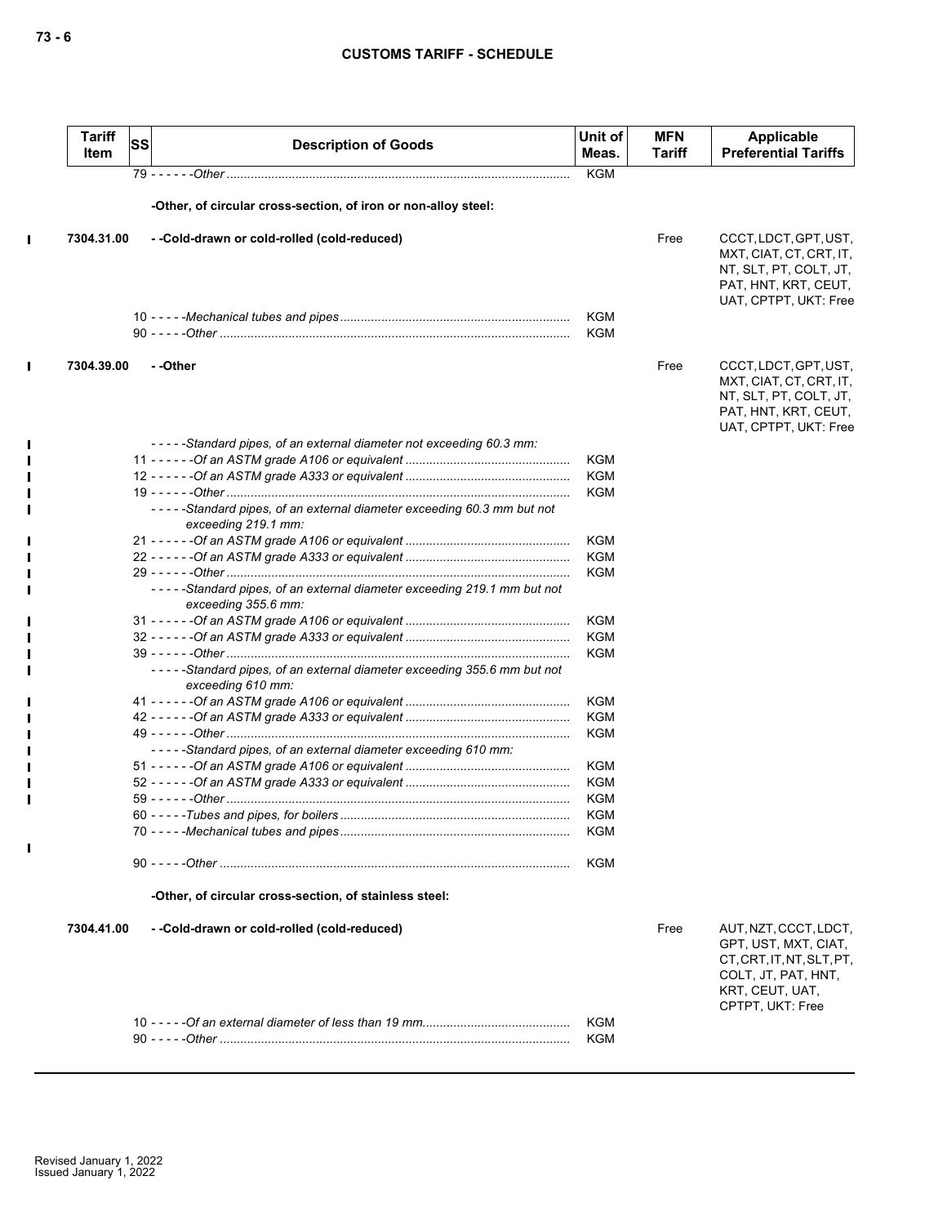| <b>Tariff</b><br>Item | <b>SS</b> | <b>Description of Goods</b>                                                                    | Unit of<br>Meas. | <b>MFN</b><br>Tariff | Applicable<br><b>Preferential Tariffs</b>                                                                                                |
|-----------------------|-----------|------------------------------------------------------------------------------------------------|------------------|----------------------|------------------------------------------------------------------------------------------------------------------------------------------|
|                       |           |                                                                                                | <b>KGM</b>       |                      |                                                                                                                                          |
|                       |           | -Other, of circular cross-section, of iron or non-alloy steel:                                 |                  |                      |                                                                                                                                          |
| 7304.31.00            |           | --Cold-drawn or cold-rolled (cold-reduced)                                                     |                  | Free                 | CCCT, LDCT, GPT, UST,<br>MXT, CIAT, CT, CRT, IT,<br>NT, SLT, PT, COLT, JT,<br>PAT, HNT, KRT, CEUT,<br>UAT, CPTPT, UKT: Free              |
|                       |           |                                                                                                | KGM<br>KGM       |                      |                                                                                                                                          |
| 7304.39.00            |           | --Other                                                                                        |                  | Free                 | CCCT, LDCT, GPT, UST,<br>MXT, CIAT, CT, CRT, IT,<br>NT, SLT, PT, COLT, JT,<br>PAT, HNT, KRT, CEUT,<br>UAT, CPTPT, UKT: Free              |
|                       |           | -----Standard pipes, of an external diameter not exceeding 60.3 mm:                            |                  |                      |                                                                                                                                          |
|                       |           |                                                                                                | KGM              |                      |                                                                                                                                          |
|                       |           |                                                                                                | <b>KGM</b>       |                      |                                                                                                                                          |
|                       |           | -----Standard pipes, of an external diameter exceeding 60.3 mm but not<br>exceeding 219.1 mm:  | KGM              |                      |                                                                                                                                          |
|                       |           |                                                                                                | <b>KGM</b>       |                      |                                                                                                                                          |
|                       |           |                                                                                                | <b>KGM</b>       |                      |                                                                                                                                          |
|                       |           |                                                                                                | <b>KGM</b>       |                      |                                                                                                                                          |
|                       |           | -----Standard pipes, of an external diameter exceeding 219.1 mm but not<br>exceeding 355.6 mm: |                  |                      |                                                                                                                                          |
|                       |           |                                                                                                | KGM              |                      |                                                                                                                                          |
|                       |           |                                                                                                | KGM              |                      |                                                                                                                                          |
|                       |           | -----Standard pipes, of an external diameter exceeding 355.6 mm but not<br>exceeding 610 mm:   | <b>KGM</b>       |                      |                                                                                                                                          |
|                       |           |                                                                                                | KGM              |                      |                                                                                                                                          |
|                       |           |                                                                                                | KGM              |                      |                                                                                                                                          |
|                       |           |                                                                                                | KGM              |                      |                                                                                                                                          |
|                       |           | -----Standard pipes, of an external diameter exceeding 610 mm:                                 |                  |                      |                                                                                                                                          |
|                       |           |                                                                                                | KGM              |                      |                                                                                                                                          |
|                       |           |                                                                                                | KGM              |                      |                                                                                                                                          |
|                       |           |                                                                                                | KGM              |                      |                                                                                                                                          |
|                       |           |                                                                                                | KGM              |                      |                                                                                                                                          |
|                       |           |                                                                                                | KGM              |                      |                                                                                                                                          |
|                       |           |                                                                                                | KGM              |                      |                                                                                                                                          |
|                       |           | -Other, of circular cross-section, of stainless steel:                                         |                  |                      |                                                                                                                                          |
| 7304.41.00            |           | --Cold-drawn or cold-rolled (cold-reduced)                                                     |                  | Free                 | AUT, NZT, CCCT, LDCT,<br>GPT, UST, MXT, CIAT,<br>CT, CRT, IT, NT, SLT, PT,<br>COLT, JT, PAT, HNT,<br>KRT, CEUT, UAT,<br>CPTPT, UKT: Free |
|                       |           |                                                                                                | <b>KGM</b>       |                      |                                                                                                                                          |
|                       |           |                                                                                                | KGM              |                      |                                                                                                                                          |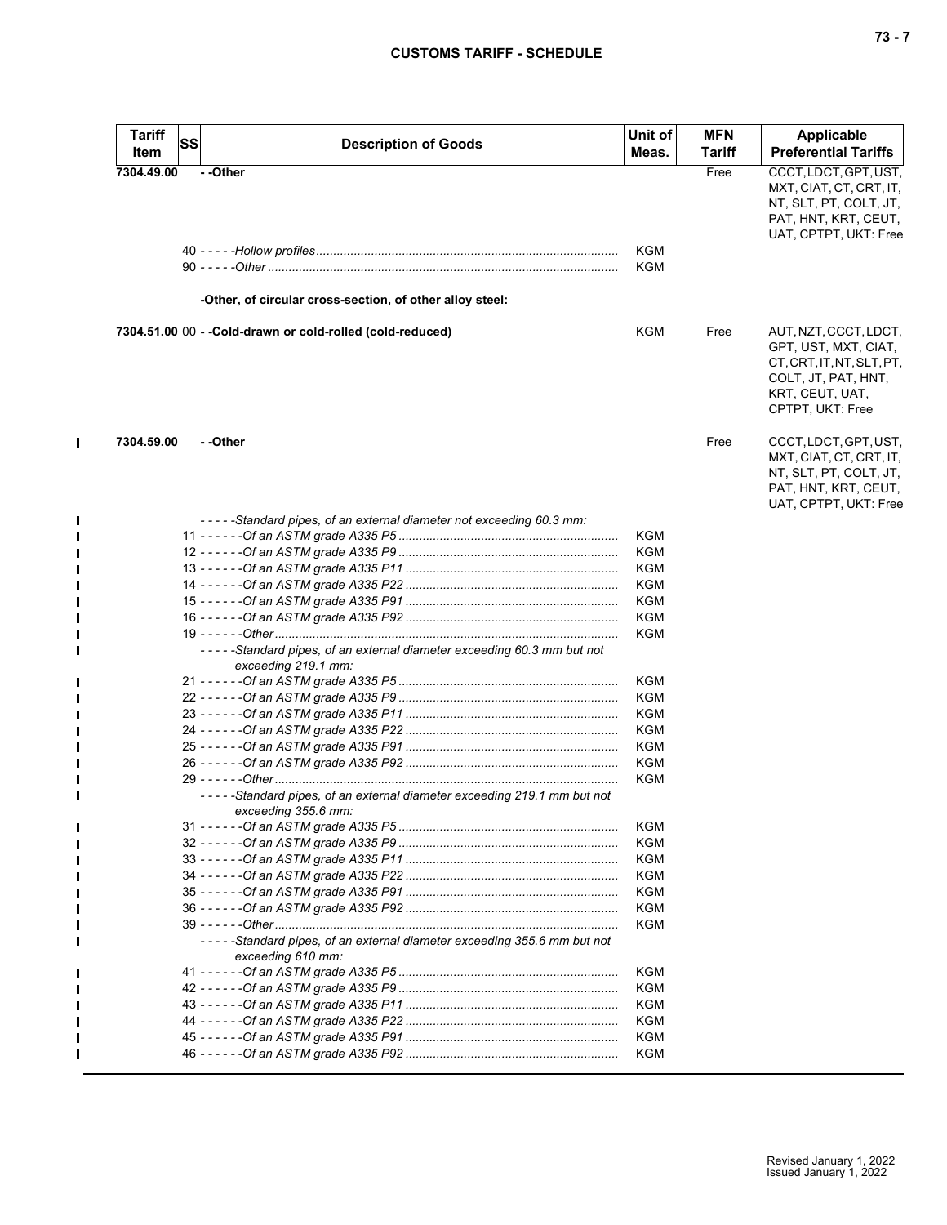| <b>Tariff</b> | <b>SS</b> | <b>Description of Goods</b>                                                                    | Unit of    | <b>MFN</b>    | <b>Applicable</b>                                                                                                                        |
|---------------|-----------|------------------------------------------------------------------------------------------------|------------|---------------|------------------------------------------------------------------------------------------------------------------------------------------|
| Item          |           |                                                                                                | Meas.      | <b>Tariff</b> | <b>Preferential Tariffs</b>                                                                                                              |
| 7304.49.00    |           | --Other                                                                                        |            | Free          | CCCT, LDCT, GPT, UST,<br>MXT, CIAT, CT, CRT, IT,<br>NT, SLT, PT, COLT, JT,<br>PAT, HNT, KRT, CEUT,<br>UAT, CPTPT, UKT: Free              |
|               |           |                                                                                                | KGM<br>KGM |               |                                                                                                                                          |
|               |           | -Other, of circular cross-section, of other alloy steel:                                       |            |               |                                                                                                                                          |
|               |           | 7304.51.00 00 - - Cold-drawn or cold-rolled (cold-reduced)                                     | <b>KGM</b> | Free          | AUT, NZT, CCCT, LDCT,<br>GPT, UST, MXT, CIAT,<br>CT, CRT, IT, NT, SLT, PT,<br>COLT, JT, PAT, HNT,<br>KRT, CEUT, UAT,<br>CPTPT, UKT: Free |
| 7304.59.00    |           | - -Other                                                                                       |            | Free          | CCCT, LDCT, GPT, UST,<br>MXT, CIAT, CT, CRT, IT,<br>NT, SLT, PT, COLT, JT,<br>PAT, HNT, KRT, CEUT,<br>UAT, CPTPT, UKT: Free              |
|               |           | -----Standard pipes, of an external diameter not exceeding 60.3 mm:                            |            |               |                                                                                                                                          |
|               |           |                                                                                                | KGM        |               |                                                                                                                                          |
|               |           |                                                                                                | KGM        |               |                                                                                                                                          |
|               |           |                                                                                                | <b>KGM</b> |               |                                                                                                                                          |
|               |           |                                                                                                | KGM        |               |                                                                                                                                          |
|               |           |                                                                                                | KGM        |               |                                                                                                                                          |
|               |           |                                                                                                | KGM        |               |                                                                                                                                          |
|               |           | -----Standard pipes, of an external diameter exceeding 60.3 mm but not                         | <b>KGM</b> |               |                                                                                                                                          |
|               |           | exceeding 219.1 mm:                                                                            |            |               |                                                                                                                                          |
|               |           |                                                                                                | KGM        |               |                                                                                                                                          |
|               |           |                                                                                                | <b>KGM</b> |               |                                                                                                                                          |
|               |           |                                                                                                | KGM        |               |                                                                                                                                          |
|               |           |                                                                                                | KGM        |               |                                                                                                                                          |
|               |           |                                                                                                | <b>KGM</b> |               |                                                                                                                                          |
|               |           |                                                                                                | <b>KGM</b> |               |                                                                                                                                          |
|               |           | -----Standard pipes, of an external diameter exceeding 219.1 mm but not<br>exceeding 355.6 mm: | KGM        |               |                                                                                                                                          |
|               |           |                                                                                                | <b>KGM</b> |               |                                                                                                                                          |
|               |           |                                                                                                | KGM        |               |                                                                                                                                          |
|               |           |                                                                                                | <b>KGM</b> |               |                                                                                                                                          |
|               |           |                                                                                                | <b>KGM</b> |               |                                                                                                                                          |
|               |           |                                                                                                | <b>KGM</b> |               |                                                                                                                                          |
|               |           |                                                                                                | KGM        |               |                                                                                                                                          |
|               |           |                                                                                                | <b>KGM</b> |               |                                                                                                                                          |
|               |           | -----Standard pipes, of an external diameter exceeding 355.6 mm but not<br>exceeding 610 mm:   |            |               |                                                                                                                                          |
|               |           |                                                                                                | KGM        |               |                                                                                                                                          |
|               |           |                                                                                                | KGM        |               |                                                                                                                                          |
|               |           |                                                                                                | KGM        |               |                                                                                                                                          |
|               |           |                                                                                                | KGM        |               |                                                                                                                                          |
|               |           |                                                                                                | KGM        |               |                                                                                                                                          |
|               |           |                                                                                                | KGM        |               |                                                                                                                                          |

 $\mathbf{I}$ 

П

П

П  $\blacksquare$  $\blacksquare$  $\blacksquare$  $\blacksquare$  $\blacksquare$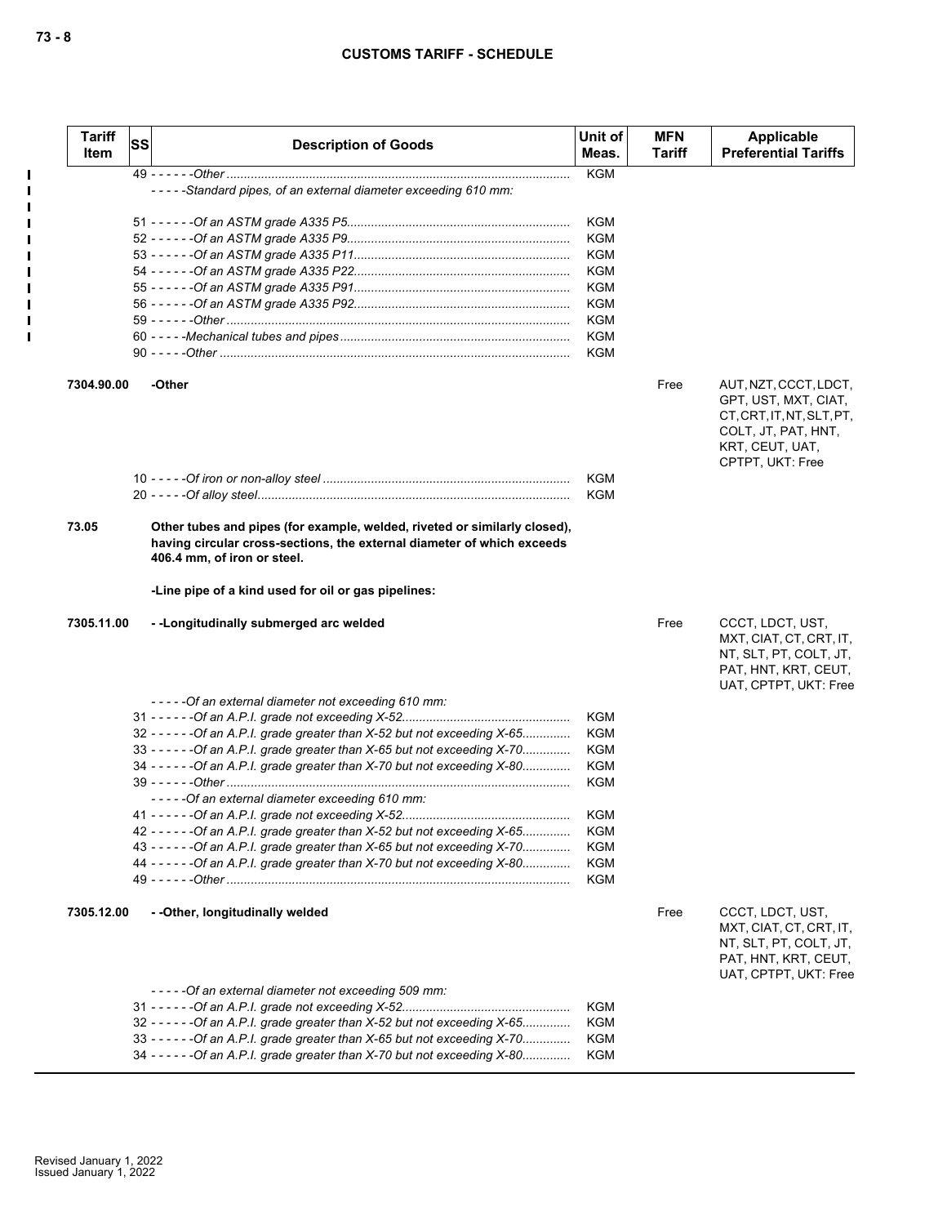| <b>Tariff</b><br>Item | <b>SS</b> | <b>Description of Goods</b>                                                | Unit of<br>Meas. | <b>MFN</b><br><b>Tariff</b> | Applicable<br><b>Preferential Tariffs</b> |
|-----------------------|-----------|----------------------------------------------------------------------------|------------------|-----------------------------|-------------------------------------------|
|                       |           |                                                                            | <b>KGM</b>       |                             |                                           |
|                       |           | -----Standard pipes, of an external diameter exceeding 610 mm:             |                  |                             |                                           |
|                       |           |                                                                            | <b>KGM</b>       |                             |                                           |
|                       |           |                                                                            | <b>KGM</b>       |                             |                                           |
|                       |           |                                                                            | <b>KGM</b>       |                             |                                           |
|                       |           |                                                                            | <b>KGM</b>       |                             |                                           |
|                       |           |                                                                            | <b>KGM</b>       |                             |                                           |
|                       |           |                                                                            | <b>KGM</b>       |                             |                                           |
|                       |           |                                                                            | <b>KGM</b>       |                             |                                           |
|                       |           |                                                                            | <b>KGM</b>       |                             |                                           |
|                       |           |                                                                            | <b>KGM</b>       |                             |                                           |
|                       |           |                                                                            |                  |                             |                                           |
| 7304.90.00            |           | -Other                                                                     |                  | Free                        | AUT, NZT, CCCT, LDCT,                     |
|                       |           |                                                                            |                  |                             | GPT, UST, MXT, CIAT,                      |
|                       |           |                                                                            |                  |                             | CT, CRT, IT, NT, SLT, PT,                 |
|                       |           |                                                                            |                  |                             | COLT, JT, PAT, HNT,                       |
|                       |           |                                                                            |                  |                             | KRT, CEUT, UAT,                           |
|                       |           |                                                                            | <b>KGM</b>       |                             | CPTPT, UKT: Free                          |
|                       |           |                                                                            | <b>KGM</b>       |                             |                                           |
|                       |           |                                                                            |                  |                             |                                           |
| 73.05                 |           | Other tubes and pipes (for example, welded, riveted or similarly closed),  |                  |                             |                                           |
|                       |           | having circular cross-sections, the external diameter of which exceeds     |                  |                             |                                           |
|                       |           | 406.4 mm, of iron or steel.                                                |                  |                             |                                           |
|                       |           |                                                                            |                  |                             |                                           |
|                       |           | -Line pipe of a kind used for oil or gas pipelines:                        |                  |                             |                                           |
| 7305.11.00            |           | --Longitudinally submerged arc welded                                      |                  | Free                        | CCCT, LDCT, UST,                          |
|                       |           |                                                                            |                  |                             | MXT, CIAT, CT, CRT, IT,                   |
|                       |           |                                                                            |                  |                             | NT, SLT, PT, COLT, JT,                    |
|                       |           |                                                                            |                  |                             | PAT, HNT, KRT, CEUT,                      |
|                       |           |                                                                            |                  |                             | UAT, CPTPT, UKT: Free                     |
|                       |           | -----Of an external diameter not exceeding 610 mm:                         |                  |                             |                                           |
|                       |           |                                                                            | <b>KGM</b>       |                             |                                           |
|                       |           | 32 - - - - - - Of an A.P.I. grade greater than X-52 but not exceeding X-65 | <b>KGM</b>       |                             |                                           |
|                       |           | 33 - - - - - - Of an A.P.I. grade greater than X-65 but not exceeding X-70 | <b>KGM</b>       |                             |                                           |
|                       |           | 34 - - - - - - Of an A.P.I. grade greater than X-70 but not exceeding X-80 | <b>KGM</b>       |                             |                                           |
|                       |           |                                                                            | KGM              |                             |                                           |
|                       |           | -----Of an external diameter exceeding 610 mm:                             |                  |                             |                                           |
|                       |           |                                                                            | <b>KGM</b>       |                             |                                           |
|                       |           | 42 - - - - - - Of an A.P.I. grade greater than X-52 but not exceeding X-65 | <b>KGM</b>       |                             |                                           |
|                       |           | 43 - - - - - - Of an A.P.I. grade greater than X-65 but not exceeding X-70 | <b>KGM</b>       |                             |                                           |
|                       |           | 44 - - - - - - Of an A.P.I. grade greater than X-70 but not exceeding X-80 | <b>KGM</b>       |                             |                                           |
|                       |           |                                                                            | KGM              |                             |                                           |
|                       |           |                                                                            |                  |                             |                                           |
| 7305.12.00            |           | -- Other, longitudinally welded                                            |                  | Free                        | CCCT, LDCT, UST,                          |
|                       |           |                                                                            |                  |                             | MXT, CIAT, CT, CRT, IT,                   |
|                       |           |                                                                            |                  |                             | NT, SLT, PT, COLT, JT,                    |
|                       |           |                                                                            |                  |                             | PAT, HNT, KRT, CEUT,                      |
|                       |           |                                                                            |                  |                             | UAT, CPTPT, UKT: Free                     |
|                       |           | -----Of an external diameter not exceeding 509 mm:                         | KGM              |                             |                                           |
|                       |           |                                                                            |                  |                             |                                           |
|                       |           | 32 - - - - - - Of an A.P.I. grade greater than X-52 but not exceeding X-65 | KGM              |                             |                                           |
|                       |           | 33 - - - - - - Of an A.P.I. grade greater than X-65 but not exceeding X-70 | KGM              |                             |                                           |
|                       |           | 34 - - - - - - Of an A.P.I. grade greater than X-70 but not exceeding X-80 | KGM              |                             |                                           |

 $\mathbf I$  $\blacksquare$  $\mathbf{I}$  $\mathbf{I}$  $\mathbf I$  $\blacksquare$  $\mathbf I$  $\mathbf{I}$  $\blacksquare$  $\blacksquare$  $\blacksquare$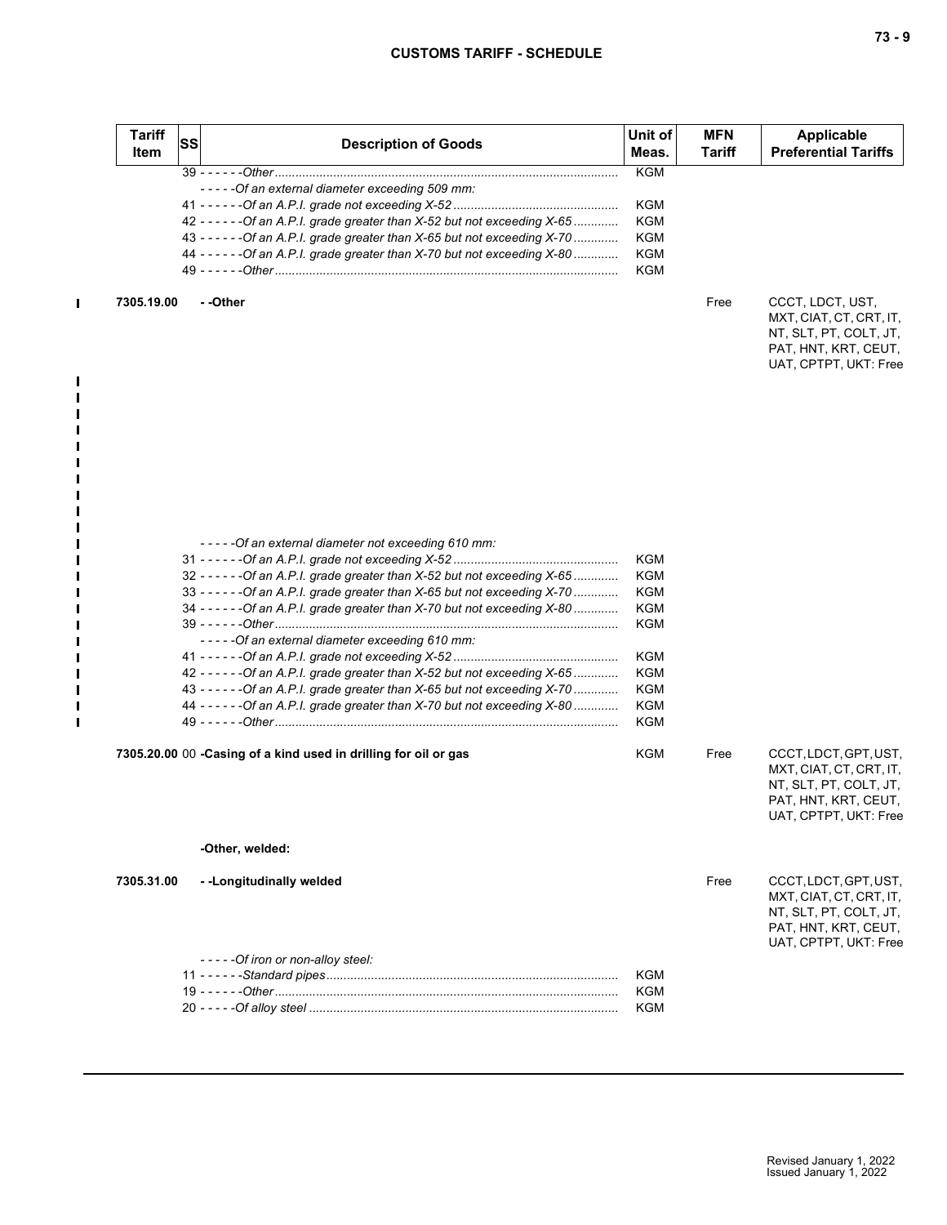| Item       | SS | <b>Description of Goods</b>                                                                                                                                                                                                                                                                                                                                                                                                                                                                                     | Unit of<br>Meas.                                     | <b>MFN</b><br><b>Tariff</b> | Applicable<br><b>Preferential Tariffs</b>                                                                                   |
|------------|----|-----------------------------------------------------------------------------------------------------------------------------------------------------------------------------------------------------------------------------------------------------------------------------------------------------------------------------------------------------------------------------------------------------------------------------------------------------------------------------------------------------------------|------------------------------------------------------|-----------------------------|-----------------------------------------------------------------------------------------------------------------------------|
|            |    |                                                                                                                                                                                                                                                                                                                                                                                                                                                                                                                 | <b>KGM</b>                                           |                             |                                                                                                                             |
|            |    | -----Of an external diameter exceeding 509 mm:                                                                                                                                                                                                                                                                                                                                                                                                                                                                  |                                                      |                             |                                                                                                                             |
|            |    |                                                                                                                                                                                                                                                                                                                                                                                                                                                                                                                 | KGM                                                  |                             |                                                                                                                             |
|            |    | 42 - - - - - - Of an A.P.I. grade greater than X-52 but not exceeding X-65                                                                                                                                                                                                                                                                                                                                                                                                                                      | KGM                                                  |                             |                                                                                                                             |
|            |    | 43 - - - - - - Of an A.P.I. grade greater than X-65 but not exceeding X-70                                                                                                                                                                                                                                                                                                                                                                                                                                      | KGM                                                  |                             |                                                                                                                             |
|            |    | 44 - - - - - - Of an A.P.I. grade greater than X-70 but not exceeding X-80                                                                                                                                                                                                                                                                                                                                                                                                                                      | KGM                                                  |                             |                                                                                                                             |
|            |    |                                                                                                                                                                                                                                                                                                                                                                                                                                                                                                                 | KGM                                                  |                             |                                                                                                                             |
| 7305.19.00 |    | - -Other                                                                                                                                                                                                                                                                                                                                                                                                                                                                                                        |                                                      | Free                        | CCCT, LDCT, UST,<br>MXT, CIAT, CT, CRT, IT,<br>NT, SLT, PT, COLT, JT,<br>PAT, HNT, KRT, CEUT,<br>UAT, CPTPT, UKT: Free      |
|            |    | - - - - - Of an external diameter not exceeding 610 mm:<br>32 - - - - - - Of an A.P.I. grade greater than X-52 but not exceeding X-65<br>33 - - - - - - Of an A.P.I. grade greater than X-65 but not exceeding X-70<br>34 - - - - - - Of an A.P.I. grade greater than X-70 but not exceeding X-80<br>-----Of an external diameter exceeding 610 mm:<br>42 - - - - - - Of an A.P.I. grade greater than X-52 but not exceeding X-65<br>43 - - - - - - Of an A.P.I. grade greater than X-65 but not exceeding X-70 | KGM<br>KGM<br>KGM<br>KGM<br>KGM<br>KGM<br>KGM<br>KGM |                             |                                                                                                                             |
|            |    | 44 - - - - - - Of an A.P.I. grade greater than X-70 but not exceeding X-80                                                                                                                                                                                                                                                                                                                                                                                                                                      | KGM                                                  |                             |                                                                                                                             |
|            |    |                                                                                                                                                                                                                                                                                                                                                                                                                                                                                                                 | KGM                                                  |                             |                                                                                                                             |
|            |    | 7305.20.00 00 - Casing of a kind used in drilling for oil or gas                                                                                                                                                                                                                                                                                                                                                                                                                                                | KGM                                                  | Free                        | CCCT, LDCT, GPT, UST,<br>MXT, CIAT, CT, CRT, IT,<br>NT, SLT, PT, COLT, JT,<br>PAT, HNT, KRT, CEUT,<br>UAT, CPTPT, UKT: Free |
|            |    | -Other, welded:                                                                                                                                                                                                                                                                                                                                                                                                                                                                                                 |                                                      |                             |                                                                                                                             |
| 7305.31.00 |    | --Longitudinally welded                                                                                                                                                                                                                                                                                                                                                                                                                                                                                         |                                                      | Free                        | CCCT, LDCT, GPT, UST,<br>MXT, CIAT, CT, CRT, IT,<br>NT, SLT, PT, COLT, JT,<br>PAT, HNT, KRT, CEUT,<br>UAT, CPTPT, UKT: Free |
|            |    | - - - - - Of iron or non-alloy steel:                                                                                                                                                                                                                                                                                                                                                                                                                                                                           |                                                      |                             |                                                                                                                             |
|            |    |                                                                                                                                                                                                                                                                                                                                                                                                                                                                                                                 |                                                      |                             |                                                                                                                             |
|            |    |                                                                                                                                                                                                                                                                                                                                                                                                                                                                                                                 | KGM                                                  |                             |                                                                                                                             |
|            |    |                                                                                                                                                                                                                                                                                                                                                                                                                                                                                                                 | KGM                                                  |                             |                                                                                                                             |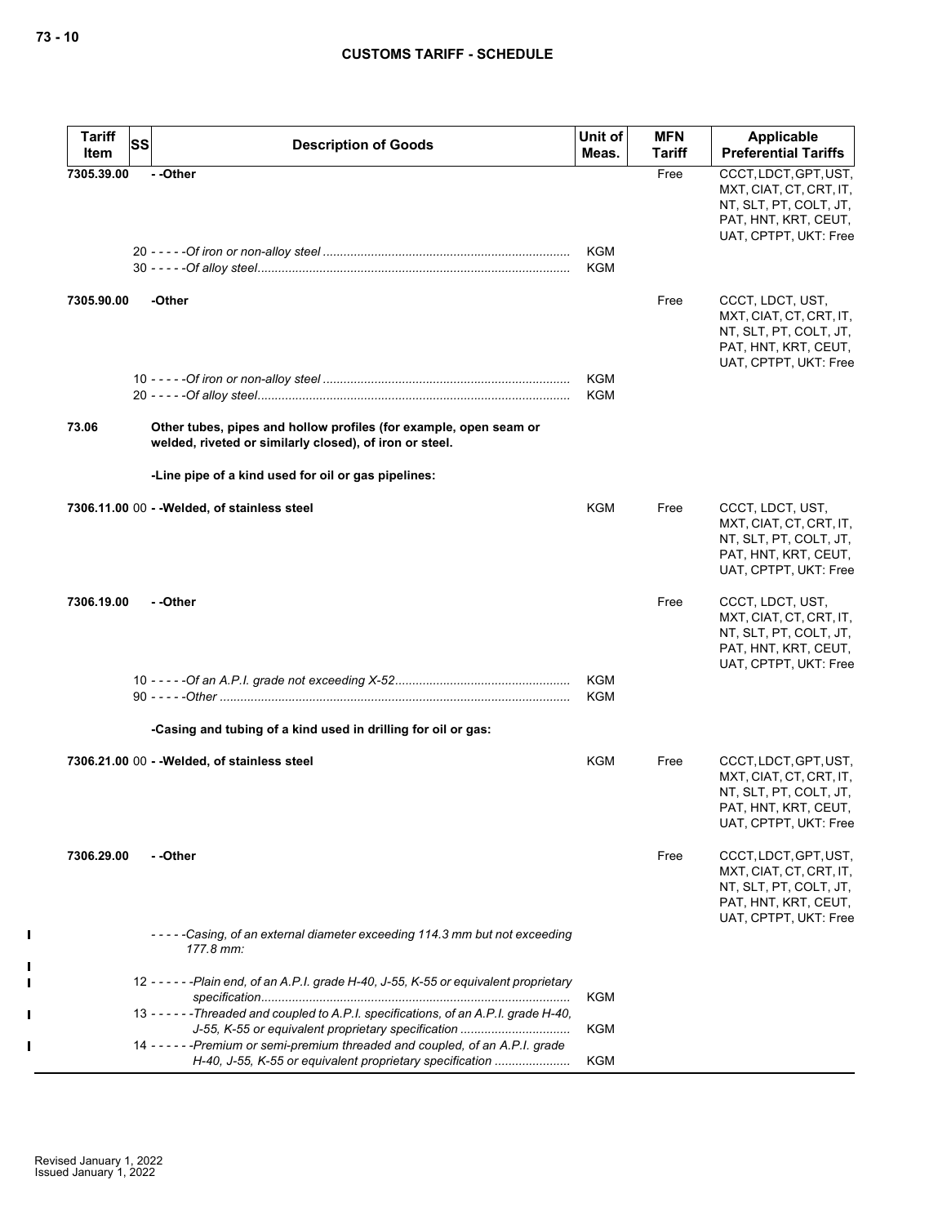| <b>Tariff</b><br>Item | SS<br><b>Description of Goods</b>                                                                                                            | Unit of<br>Meas.  | <b>MFN</b><br>Tariff | Applicable<br><b>Preferential Tariffs</b>                                                                                   |
|-----------------------|----------------------------------------------------------------------------------------------------------------------------------------------|-------------------|----------------------|-----------------------------------------------------------------------------------------------------------------------------|
| 7305.39.00            | - -Other                                                                                                                                     |                   | Free                 | CCCT, LDCT, GPT, UST,<br>MXT, CIAT, CT, CRT, IT,<br>NT, SLT, PT, COLT, JT,<br>PAT, HNT, KRT, CEUT,<br>UAT, CPTPT, UKT: Free |
|                       |                                                                                                                                              | KGM<br><b>KGM</b> |                      |                                                                                                                             |
| 7305.90.00            | -Other                                                                                                                                       |                   | Free                 | CCCT, LDCT, UST,<br>MXT, CIAT, CT, CRT, IT,<br>NT, SLT, PT, COLT, JT,<br>PAT, HNT, KRT, CEUT,<br>UAT, CPTPT, UKT: Free      |
|                       |                                                                                                                                              | KGM<br><b>KGM</b> |                      |                                                                                                                             |
| 73.06                 | Other tubes, pipes and hollow profiles (for example, open seam or<br>welded, riveted or similarly closed), of iron or steel.                 |                   |                      |                                                                                                                             |
|                       | -Line pipe of a kind used for oil or gas pipelines:                                                                                          |                   |                      |                                                                                                                             |
|                       | 7306.11.00 00 - - Welded, of stainless steel                                                                                                 | KGM               | Free                 | CCCT, LDCT, UST,<br>MXT, CIAT, CT, CRT, IT,<br>NT, SLT, PT, COLT, JT,<br>PAT, HNT, KRT, CEUT,<br>UAT, CPTPT, UKT: Free      |
| 7306.19.00            | - -Other                                                                                                                                     |                   | Free                 | CCCT, LDCT, UST,<br>MXT, CIAT, CT, CRT, IT,<br>NT, SLT, PT, COLT, JT,<br>PAT, HNT, KRT, CEUT,<br>UAT, CPTPT, UKT: Free      |
|                       |                                                                                                                                              | KGM<br><b>KGM</b> |                      |                                                                                                                             |
|                       | -Casing and tubing of a kind used in drilling for oil or gas:                                                                                |                   |                      |                                                                                                                             |
|                       | 7306.21.00 00 - -Welded, of stainless steel                                                                                                  | KGM               | Free                 | CCCT, LDCT, GPT, UST,<br>MXT, CIAT, CT, CRT, IT,<br>NT, SLT, PT, COLT, JT,<br>PAT, HNT, KRT, CEUT,<br>UAT, CPTPT, UKT: Free |
| 7306.29.00            | - -Other                                                                                                                                     |                   | Free                 | CCCT, LDCT, GPT, UST,<br>MXT, CIAT, CT, CRT, IT,<br>NT, SLT, PT, COLT, JT,<br>PAT, HNT, KRT, CEUT,<br>UAT, CPTPT, UKT: Free |
|                       | -----Casing, of an external diameter exceeding 114.3 mm but not exceeding<br>177.8 mm:                                                       |                   |                      |                                                                                                                             |
|                       | 12 - - - - - - Plain end, of an A.P.I. grade H-40, J-55, K-55 or equivalent proprietary                                                      | <b>KGM</b>        |                      |                                                                                                                             |
|                       | 13 - - - - - - Threaded and coupled to A.P.I. specifications, of an A.P.I. grade H-40,<br>J-55, K-55 or equivalent proprietary specification | <b>KGM</b>        |                      |                                                                                                                             |
|                       | 14 ----- - Premium or semi-premium threaded and coupled, of an A.P.I. grade<br>H-40, J-55, K-55 or equivalent proprietary specification      | <b>KGM</b>        |                      |                                                                                                                             |

 $\blacksquare$ 

 $\mathbf{I}$  $\blacksquare$ 

H  $\mathbf{I}$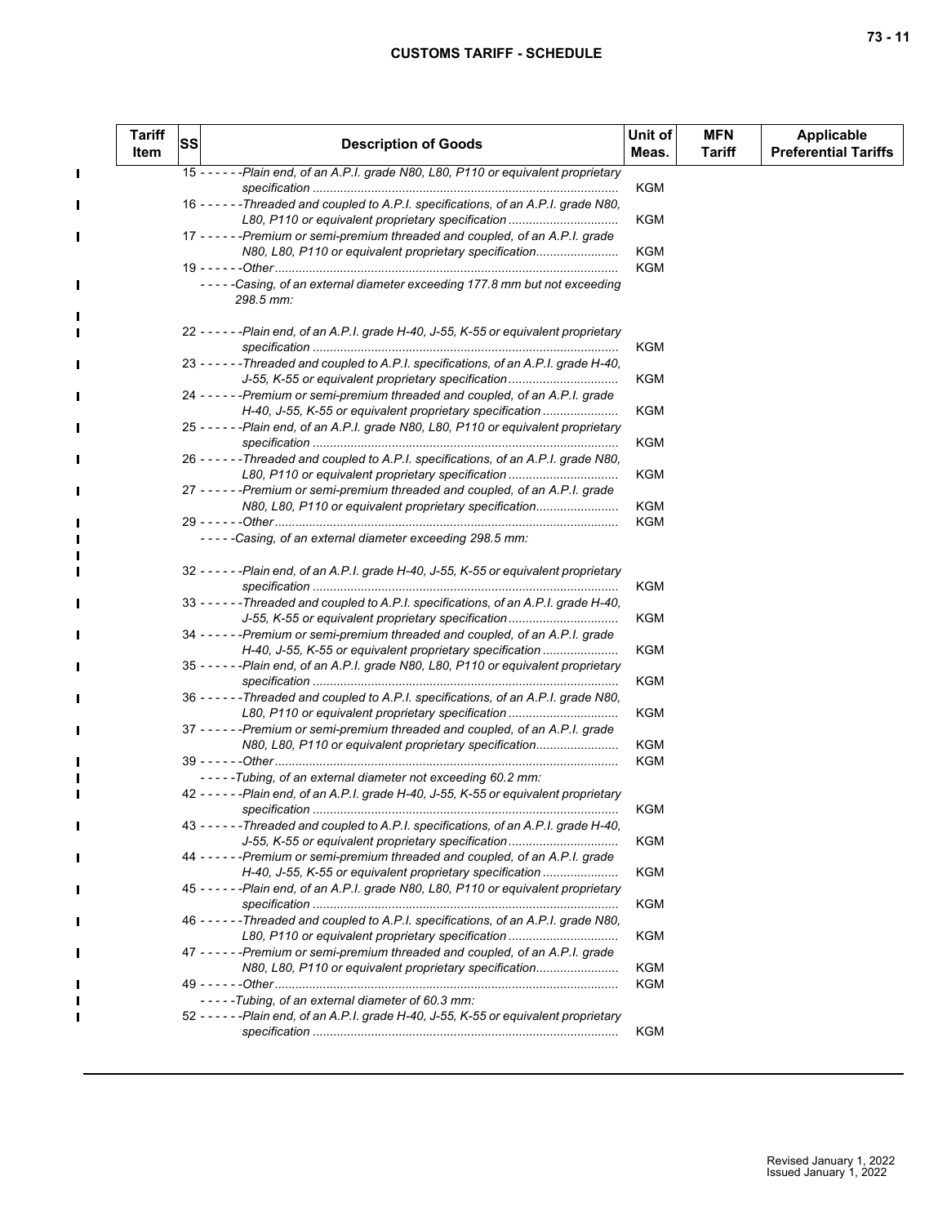$\mathbf{I}$ 

 $\blacksquare$ П

 $\blacksquare$ 

П

П  $\blacksquare$ 

П

П п п

П

П  $\blacksquare$ 

| <b>Tariff</b><br>Item | SS | <b>Description of Goods</b>                                                                                                                       | Unit of<br>Meas.  | <b>MFN</b><br>Tariff | <b>Applicable</b><br><b>Preferential Tariffs</b> |
|-----------------------|----|---------------------------------------------------------------------------------------------------------------------------------------------------|-------------------|----------------------|--------------------------------------------------|
|                       |    | 15 - - - - - - Plain end, of an A.P.I. grade N80, L80, P110 or equivalent proprietary                                                             | KGM               |                      |                                                  |
|                       |    | 16 - - - - - Threaded and coupled to A.P.I. specifications, of an A.P.I. grade N80,<br>L80, P110 or equivalent proprietary specification          | <b>KGM</b>        |                      |                                                  |
|                       |    | 17 - - - - - - Premium or semi-premium threaded and coupled, of an A.P.I. grade<br>N80, L80, P110 or equivalent proprietary specification         | KGM               |                      |                                                  |
|                       |    |                                                                                                                                                   | KGM               |                      |                                                  |
|                       |    | -----Casing, of an external diameter exceeding 177.8 mm but not exceeding<br>298.5 mm:                                                            |                   |                      |                                                  |
|                       |    | 22 - - - - - - Plain end, of an A.P.I. grade H-40, J-55, K-55 or equivalent proprietary                                                           | KGM               |                      |                                                  |
|                       |    | 23 - - - - - Threaded and coupled to A.P.I. specifications, of an A.P.I. grade H-40,<br>J-55, K-55 or equivalent proprietary specification        | <b>KGM</b>        |                      |                                                  |
|                       |    | 24 - - - - - - Premium or semi-premium threaded and coupled, of an A.P.I. grade                                                                   |                   |                      |                                                  |
|                       |    | H-40, J-55, K-55 or equivalent proprietary specification<br>25 - - - - - - Plain end, of an A.P.I. grade N80, L80, P110 or equivalent proprietary | KGM               |                      |                                                  |
|                       |    | 26 - - - - - - Threaded and coupled to A.P.I. specifications, of an A.P.I. grade N80,                                                             | <b>KGM</b>        |                      |                                                  |
|                       |    | L80, P110 or equivalent proprietary specification<br>27 - - - - - - Premium or semi-premium threaded and coupled, of an A.P.I. grade              | KGM               |                      |                                                  |
|                       |    | N80, L80, P110 or equivalent proprietary specification                                                                                            | KGM               |                      |                                                  |
|                       |    |                                                                                                                                                   | KGM               |                      |                                                  |
|                       |    | -----Casing, of an external diameter exceeding 298.5 mm:                                                                                          |                   |                      |                                                  |
|                       |    | 32 - - - - - - Plain end, of an A.P.I. grade H-40, J-55, K-55 or equivalent proprietary                                                           | KGM               |                      |                                                  |
|                       |    | 33 - - - - - - Threaded and coupled to A.P.I. specifications, of an A.P.I. grade H-40,<br>J-55, K-55 or equivalent proprietary specification      | KGM               |                      |                                                  |
|                       |    | 34 - - - - - - Premium or semi-premium threaded and coupled, of an A.P.I. grade<br>H-40, J-55, K-55 or equivalent proprietary specification       | KGM               |                      |                                                  |
|                       |    | 35 - - - - - - Plain end, of an A.P.I. grade N80, L80, P110 or equivalent proprietary                                                             |                   |                      |                                                  |
|                       |    | 36 - - - - - - Threaded and coupled to A.P.I. specifications, of an A.P.I. grade N80,                                                             | KGM               |                      |                                                  |
|                       |    | L80, P110 or equivalent proprietary specification<br>37 - - - - - - Premium or semi-premium threaded and coupled, of an A.P.I. grade              | <b>KGM</b>        |                      |                                                  |
|                       |    | N80, L80, P110 or equivalent proprietary specification                                                                                            | KGM               |                      |                                                  |
|                       |    | -----Tubing, of an external diameter not exceeding 60.2 mm:                                                                                       | <b>KGM</b>        |                      |                                                  |
|                       |    | 42 - - - - - - Plain end, of an A.P.I. grade H-40, J-55, K-55 or equivalent proprietary                                                           | KGM               |                      |                                                  |
|                       |    | 43 - - - - - - Threaded and coupled to A.P.I. specifications, of an A.P.I. grade H-40,<br>J-55, K-55 or equivalent proprietary specification      | <b>KGM</b>        |                      |                                                  |
|                       |    | 44 - - - - - - Premium or semi-premium threaded and coupled, of an A.P.I. grade<br>H-40, J-55, K-55 or equivalent proprietary specification       | <b>KGM</b>        |                      |                                                  |
|                       |    | 45 - - - - - - Plain end, of an A.P.I. grade N80, L80, P110 or equivalent proprietary                                                             | <b>KGM</b>        |                      |                                                  |
|                       |    | 46 - - - - - - Threaded and coupled to A.P.I. specifications, of an A.P.I. grade N80,<br>L80, P110 or equivalent proprietary specification        | <b>KGM</b>        |                      |                                                  |
|                       |    | 47 - - - - - - Premium or semi-premium threaded and coupled, of an A.P.I. grade                                                                   |                   |                      |                                                  |
|                       |    | N80, L80, P110 or equivalent proprietary specification                                                                                            | KGM<br><b>KGM</b> |                      |                                                  |
|                       |    | -----Tubing, of an external diameter of 60.3 mm:                                                                                                  |                   |                      |                                                  |
|                       |    | 52 - - - - - - Plain end, of an A.P.I. grade H-40, J-55, K-55 or equivalent proprietary                                                           | KGM               |                      |                                                  |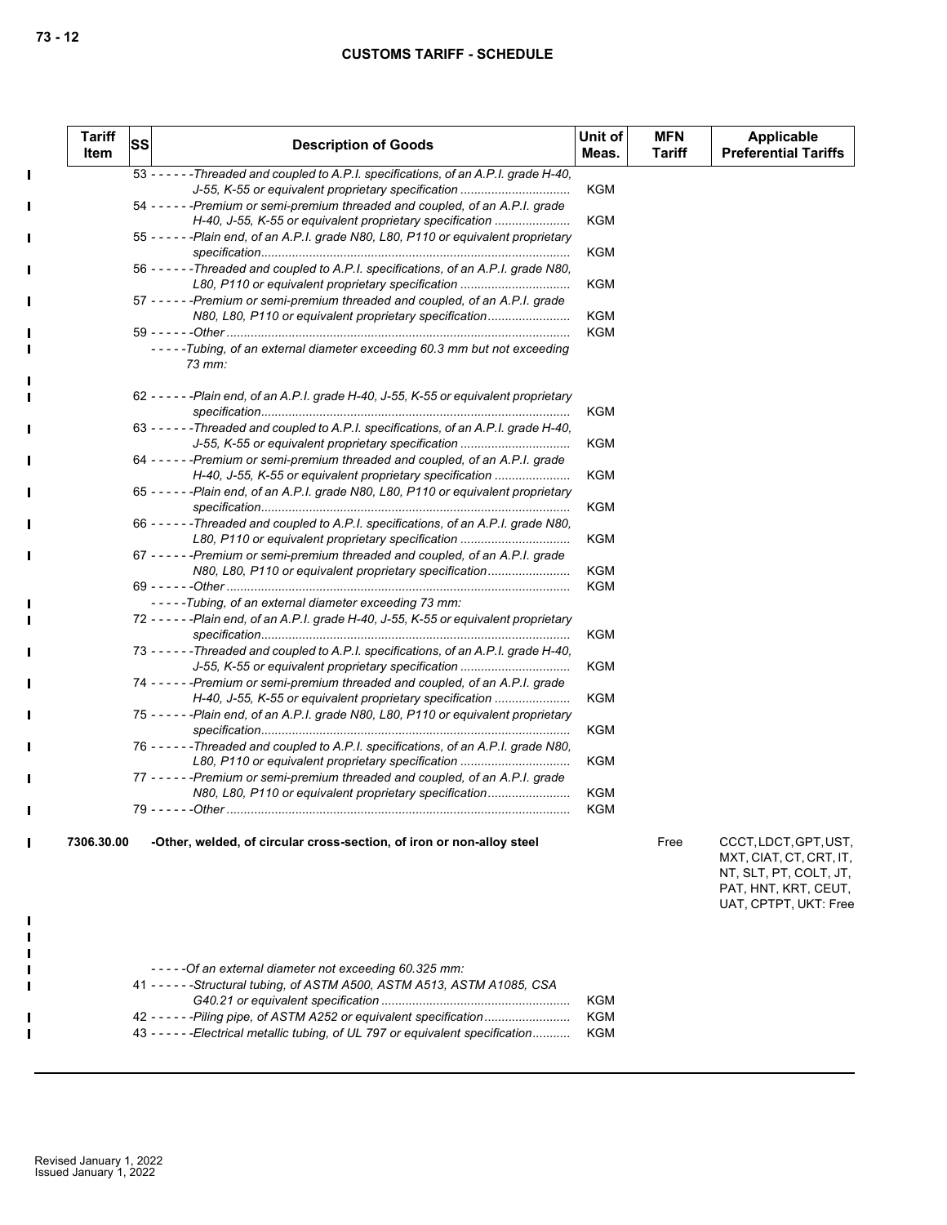| <b>Tariff</b><br>Item | <b>SS</b> | <b>Description of Goods</b>                                                                                                                | Unit of<br>Meas. | <b>MFN</b><br>Tariff | Applicable<br><b>Preferential Tariffs</b>                                                                                   |
|-----------------------|-----------|--------------------------------------------------------------------------------------------------------------------------------------------|------------------|----------------------|-----------------------------------------------------------------------------------------------------------------------------|
|                       |           | 53 - - - - - - Threaded and coupled to A.P.I. specifications, of an A.P.I. grade H-40.                                                     |                  |                      |                                                                                                                             |
|                       |           | J-55, K-55 or equivalent proprietary specification                                                                                         | <b>KGM</b>       |                      |                                                                                                                             |
|                       |           | 54 ----- - Premium or semi-premium threaded and coupled, of an A.P.I. grade<br>H-40, J-55, K-55 or equivalent proprietary specification    | <b>KGM</b>       |                      |                                                                                                                             |
|                       |           | 55 - - - - - - Plain end, of an A.P.I. grade N80, L80, P110 or equivalent proprietary                                                      | <b>KGM</b>       |                      |                                                                                                                             |
|                       |           | 56 - - - - - - Threaded and coupled to A.P.I. specifications, of an A.P.I. grade N80.<br>L80, P110 or equivalent proprietary specification | <b>KGM</b>       |                      |                                                                                                                             |
|                       |           | 57 - - - - - - Premium or semi-premium threaded and coupled, of an A.P.I. grade<br>N80, L80, P110 or equivalent proprietary specification  | <b>KGM</b>       |                      |                                                                                                                             |
|                       |           |                                                                                                                                            | <b>KGM</b>       |                      |                                                                                                                             |
|                       |           | -----Tubing, of an external diameter exceeding 60.3 mm but not exceeding<br>$73$ mm:                                                       |                  |                      |                                                                                                                             |
|                       |           | 62 - - - - - - Plain end, of an A.P.I. grade H-40, J-55, K-55 or equivalent proprietary                                                    |                  |                      |                                                                                                                             |
|                       |           | 63 - - - - - - Threaded and coupled to A.P.I. specifications, of an A.P.I. grade H-40.                                                     | <b>KGM</b>       |                      |                                                                                                                             |
|                       |           | J-55, K-55 or equivalent proprietary specification                                                                                         | <b>KGM</b>       |                      |                                                                                                                             |
|                       |           | 64 ----- - - Premium or semi-premium threaded and coupled, of an A.P.I. grade<br>H-40, J-55, K-55 or equivalent proprietary specification  | <b>KGM</b>       |                      |                                                                                                                             |
|                       |           | 65 - - - - - - Plain end, of an A.P.I. grade N80, L80, P110 or equivalent proprietary                                                      |                  |                      |                                                                                                                             |
|                       |           | 66 - - - - - - Threaded and coupled to A.P.I. specifications, of an A.P.I. grade N80.                                                      | <b>KGM</b>       |                      |                                                                                                                             |
|                       |           | L80, P110 or equivalent proprietary specification                                                                                          | <b>KGM</b>       |                      |                                                                                                                             |
|                       |           | 67 - - - - - - Premium or semi-premium threaded and coupled, of an A.P.I. grade                                                            |                  |                      |                                                                                                                             |
|                       |           | N80, L80, P110 or equivalent proprietary specification                                                                                     | <b>KGM</b>       |                      |                                                                                                                             |
|                       |           |                                                                                                                                            | <b>KGM</b>       |                      |                                                                                                                             |
|                       |           | -----Tubing, of an external diameter exceeding 73 mm:                                                                                      |                  |                      |                                                                                                                             |
|                       |           | 72 - - - - - - Plain end, of an A.P.I. grade H-40, J-55, K-55 or equivalent proprietary                                                    |                  |                      |                                                                                                                             |
|                       |           |                                                                                                                                            | <b>KGM</b>       |                      |                                                                                                                             |
|                       |           | 73 - - - - - Threaded and coupled to A.P.I. specifications, of an A.P.I. grade H-40,<br>J-55, K-55 or equivalent proprietary specification | <b>KGM</b>       |                      |                                                                                                                             |
|                       |           | 74 ----- - Premium or semi-premium threaded and coupled, of an A.P.I. grade                                                                |                  |                      |                                                                                                                             |
|                       |           | H-40, J-55, K-55 or equivalent proprietary specification                                                                                   | <b>KGM</b>       |                      |                                                                                                                             |
|                       |           | 75 - - - - - - Plain end, of an A.P.I. grade N80, L80, P110 or equivalent proprietary                                                      | <b>KGM</b>       |                      |                                                                                                                             |
|                       |           | 76 - - - - - - Threaded and coupled to A.P.I. specifications, of an A.P.I. grade N80.<br>L80, P110 or equivalent proprietary specification | <b>KGM</b>       |                      |                                                                                                                             |
|                       |           | 77 ----- - Premium or semi-premium threaded and coupled, of an A.P.I. grade                                                                |                  |                      |                                                                                                                             |
|                       |           | N80, L80, P110 or equivalent proprietary specification                                                                                     | <b>KGM</b>       |                      |                                                                                                                             |
|                       |           |                                                                                                                                            | <b>KGM</b>       |                      |                                                                                                                             |
| 7306.30.00            |           | -Other, welded, of circular cross-section, of iron or non-alloy steel                                                                      |                  | Free                 | CCCT, LDCT, GPT, UST,<br>MXT, CIAT, CT, CRT, IT,<br>NT, SLT, PT, COLT, JT,<br>PAT, HNT, KRT, CEUT,<br>UAT, CPTPT, UKT: Free |

| -----Of an external diameter not exceeding 60.325 mm:                            |     |
|----------------------------------------------------------------------------------|-----|
| 41 - - - - - - Structural tubing, of ASTM A500, ASTM A513, ASTM A1085, CSA       |     |
|                                                                                  | KGM |
| 42 - - - - - - Piling pipe, of ASTM A252 or equivalent specification             | KGM |
| 43 - - - - - - Electrical metallic tubing, of UL 797 or equivalent specification | KGM |
|                                                                                  |     |

 $\blacksquare$ 

 $\mathbf{I}$  $\mathbf{I}$  $\blacksquare$ 

> П ٠

> $\blacksquare$ п

> $\blacksquare$

П

 $\mathbf{I}$ 

 $\blacksquare$  $\overline{\phantom{a}}$  $\blacksquare$ 

> $\blacksquare$ Ī

Ţ

П

П

 $\blacksquare$ 

- II П

> ٠ П

 $\mathbf{I}$  $\mathbf{I}$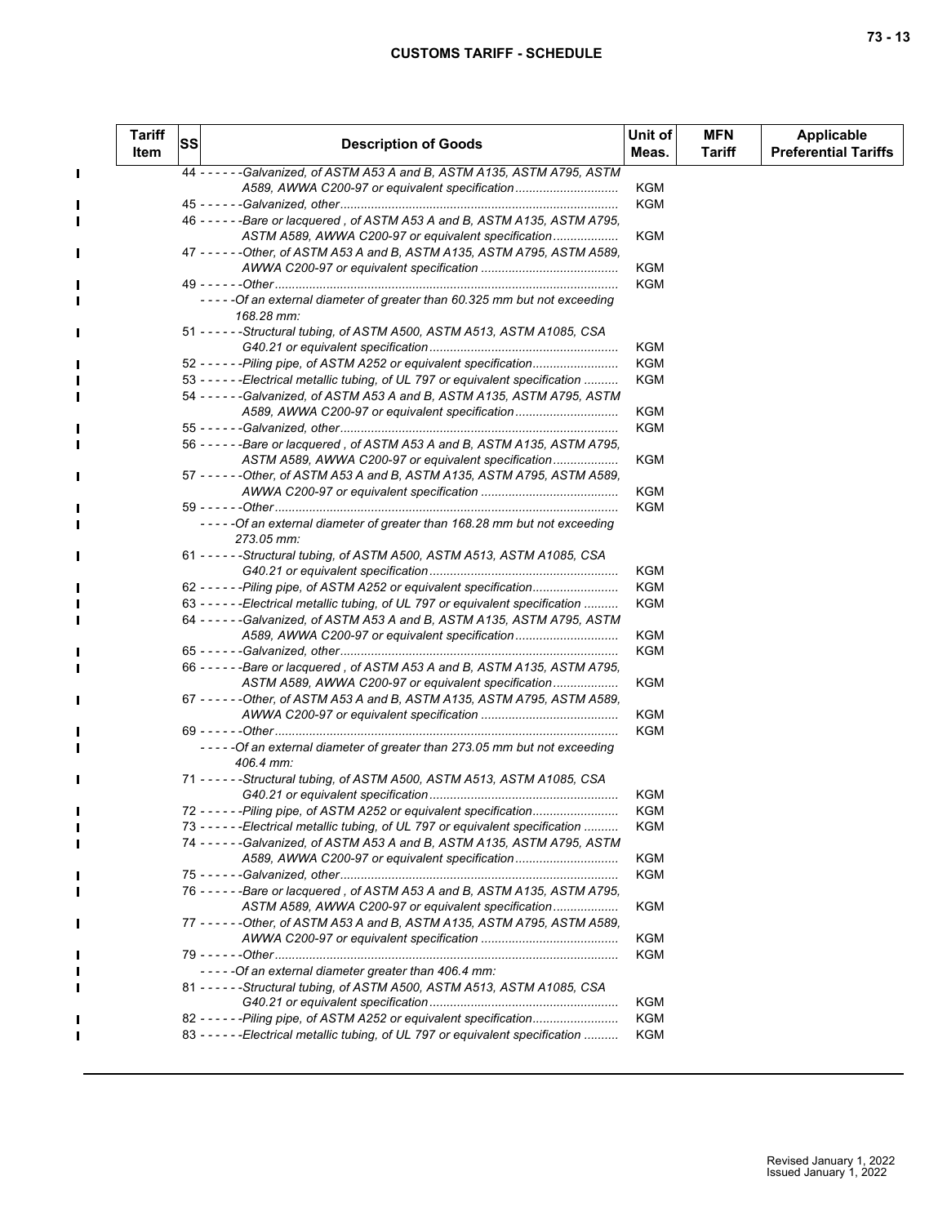$\mathbf{I}$ 

 $\blacksquare$  $\blacksquare$ 

П

П

ш

П

П

Г

| <b>Tariff</b><br>Item | <b>SS</b> | <b>Description of Goods</b>                                                            | Unit of<br>Meas. | <b>MFN</b><br>Tariff | <b>Applicable</b><br><b>Preferential Tariffs</b> |
|-----------------------|-----------|----------------------------------------------------------------------------------------|------------------|----------------------|--------------------------------------------------|
|                       |           | 44 - - - - - - Galvanized, of ASTM A53 A and B, ASTM A135, ASTM A795, ASTM             |                  |                      |                                                  |
|                       |           | A589, AWWA C200-97 or equivalent specification                                         | KGM              |                      |                                                  |
|                       |           |                                                                                        | <b>KGM</b>       |                      |                                                  |
|                       |           | 46 - - - - - - Bare or lacquered, of ASTM A53 A and B, ASTM A135, ASTM A795,           |                  |                      |                                                  |
|                       |           | ASTM A589, AWWA C200-97 or equivalent specification                                    | KGM              |                      |                                                  |
|                       |           | 47 - - - - - - Other, of ASTM A53 A and B, ASTM A135, ASTM A795, ASTM A589,            |                  |                      |                                                  |
|                       |           |                                                                                        | KGM              |                      |                                                  |
|                       |           | 49 - - - - - -Other…………………………………………………………………………………                                     | KGM              |                      |                                                  |
|                       |           | -----Of an external diameter of greater than 60.325 mm but not exceeding               |                  |                      |                                                  |
|                       |           | 168.28 mm:                                                                             |                  |                      |                                                  |
|                       |           | 51 - - - - - - Structural tubing, of ASTM A500, ASTM A513, ASTM A1085, CSA             |                  |                      |                                                  |
|                       |           |                                                                                        | KGM              |                      |                                                  |
|                       |           | 52 - - - - - - Piling pipe, of ASTM A252 or equivalent specification                   | <b>KGM</b>       |                      |                                                  |
|                       |           | 53 - - - - - - Electrical metallic tubing, of UL 797 or equivalent specification       | KGM              |                      |                                                  |
|                       |           | 54 ----- - Galvanized, of ASTM A53 A and B, ASTM A135, ASTM A795, ASTM                 |                  |                      |                                                  |
|                       |           | A589, AWWA C200-97 or equivalent specification                                         | KGM              |                      |                                                  |
|                       |           |                                                                                        | <b>KGM</b>       |                      |                                                  |
|                       |           | 56 - - - - - - Bare or lacquered, of ASTM A53 A and B, ASTM A135, ASTM A795,           |                  |                      |                                                  |
|                       |           | ASTM A589, AWWA C200-97 or equivalent specification                                    | <b>KGM</b>       |                      |                                                  |
|                       |           | 57 - - - - - - Other, of ASTM A53 A and B, ASTM A135, ASTM A795, ASTM A589,            |                  |                      |                                                  |
|                       |           |                                                                                        |                  |                      |                                                  |
|                       |           |                                                                                        | KGM              |                      |                                                  |
|                       |           |                                                                                        | KGM              |                      |                                                  |
|                       |           | -----Of an external diameter of greater than 168.28 mm but not exceeding<br>273.05 mm: |                  |                      |                                                  |
|                       |           | 61 ----- - Structural tubing, of ASTM A500, ASTM A513, ASTM A1085, CSA                 |                  |                      |                                                  |
|                       |           |                                                                                        | KGM              |                      |                                                  |
|                       |           | 62 - - - - - - Piling pipe, of ASTM A252 or equivalent specification                   | KGM              |                      |                                                  |
|                       |           | 63 - - - - - - Electrical metallic tubing, of UL 797 or equivalent specification       | KGM              |                      |                                                  |
|                       |           | 64 ----- - Galvanized, of ASTM A53 A and B, ASTM A135, ASTM A795, ASTM                 |                  |                      |                                                  |
|                       |           | A589, AWWA C200-97 or equivalent specification                                         | KGM              |                      |                                                  |
|                       |           |                                                                                        | <b>KGM</b>       |                      |                                                  |
|                       |           | 66 - - - - - - Bare or lacquered, of ASTM A53 A and B, ASTM A135, ASTM A795,           |                  |                      |                                                  |
|                       |           | ASTM A589, AWWA C200-97 or equivalent specification                                    | <b>KGM</b>       |                      |                                                  |
|                       |           | 67 - - - - - - Other, of ASTM A53 A and B, ASTM A135, ASTM A795, ASTM A589,            |                  |                      |                                                  |
|                       |           |                                                                                        | <b>KGM</b>       |                      |                                                  |
|                       |           |                                                                                        | KGM              |                      |                                                  |
|                       |           | -----Of an external diameter of greater than 273.05 mm but not exceeding<br>406.4 mm:  |                  |                      |                                                  |
|                       |           | 71 - - - - - - Structural tubing, of ASTM A500, ASTM A513, ASTM A1085, CSA             |                  |                      |                                                  |
|                       |           |                                                                                        | KGM              |                      |                                                  |
|                       |           | 72 - - - - - - Piling pipe, of ASTM A252 or equivalent specification                   | KGM              |                      |                                                  |
|                       |           | 73 - - - - - - Electrical metallic tubing, of UL 797 or equivalent specification       | <b>KGM</b>       |                      |                                                  |
|                       |           | 74 - - - - - - Galvanized, of ASTM A53 A and B, ASTM A135, ASTM A795, ASTM             |                  |                      |                                                  |
|                       |           | A589, AWWA C200-97 or equivalent specification                                         | <b>KGM</b>       |                      |                                                  |
|                       |           |                                                                                        | <b>KGM</b>       |                      |                                                  |
|                       |           | 76 - - - - - - Bare or lacquered, of ASTM A53 A and B, ASTM A135, ASTM A795,           |                  |                      |                                                  |
|                       |           | ASTM A589, AWWA C200-97 or equivalent specification                                    | <b>KGM</b>       |                      |                                                  |
|                       |           | 77 - - - - - - Other, of ASTM A53 A and B, ASTM A135, ASTM A795, ASTM A589,            |                  |                      |                                                  |
|                       |           |                                                                                        | KGM              |                      |                                                  |
|                       |           |                                                                                        | KGM              |                      |                                                  |
|                       |           | - - - - - Of an external diameter greater than 406.4 mm:                               |                  |                      |                                                  |
|                       |           |                                                                                        |                  |                      |                                                  |
|                       |           | 81 - - - - - - Structural tubing, of ASTM A500, ASTM A513, ASTM A1085, CSA             |                  |                      |                                                  |
|                       |           |                                                                                        | KGM              |                      |                                                  |
|                       |           | 82 - - - - - - Piling pipe, of ASTM A252 or equivalent specification                   | KGM              |                      |                                                  |
|                       |           | 83 - - - - - - Electrical metallic tubing, of UL 797 or equivalent specification       | KGM              |                      |                                                  |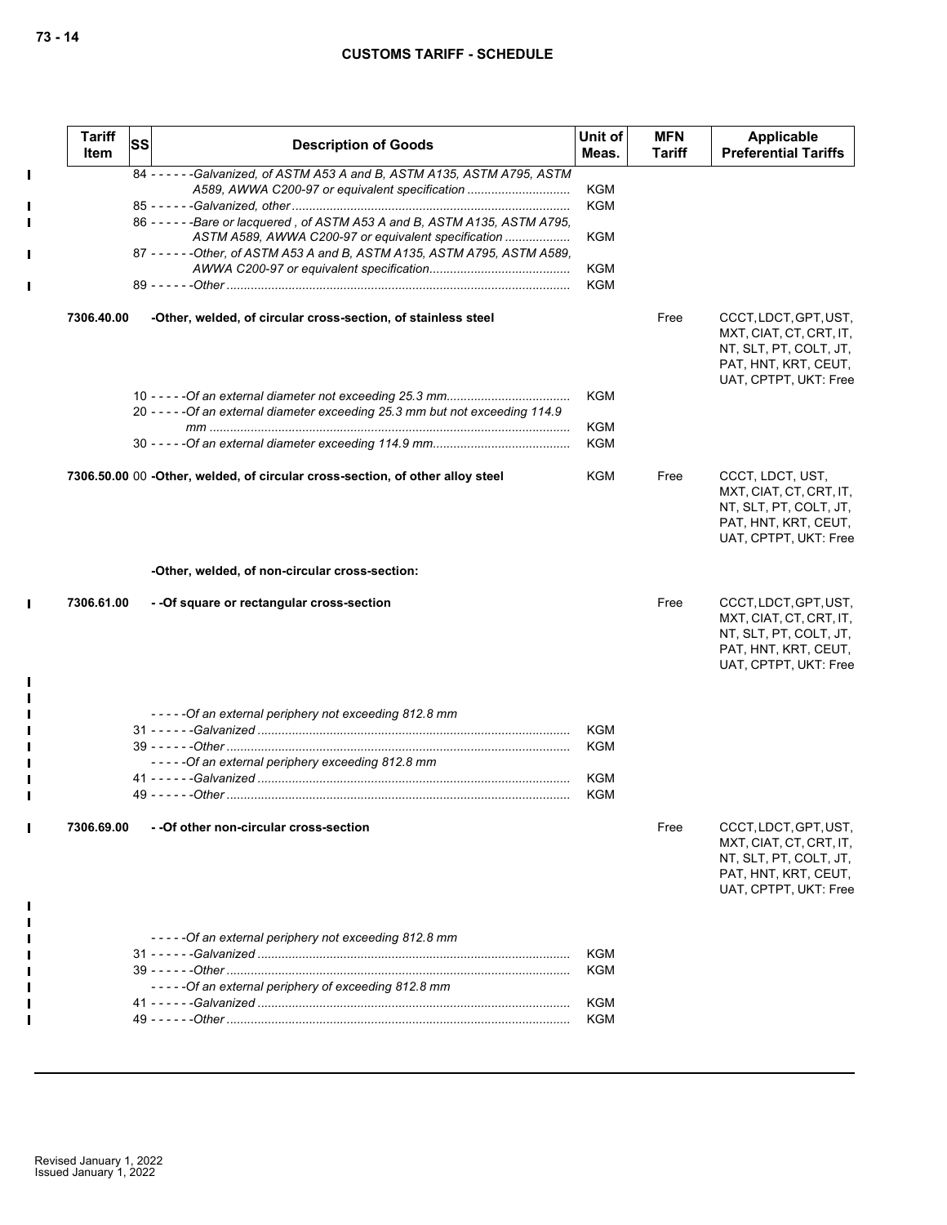|             | <b>Tariff</b><br><b>Item</b> | <b>SS</b> | <b>Description of Goods</b>                                                                                                                                                                                                                                                                                                                        | Unit of<br>Meas.                                     | <b>MFN</b><br>Tariff | Applicable<br><b>Preferential Tariffs</b>                                                                                   |
|-------------|------------------------------|-----------|----------------------------------------------------------------------------------------------------------------------------------------------------------------------------------------------------------------------------------------------------------------------------------------------------------------------------------------------------|------------------------------------------------------|----------------------|-----------------------------------------------------------------------------------------------------------------------------|
| $\mathbf I$ |                              |           | 84 - - - - - - Galvanized, of ASTM A53 A and B, ASTM A135, ASTM A795, ASTM<br>A589, AWWA C200-97 or equivalent specification<br>86 - - - - - - Bare or lacquered, of ASTM A53 A and B, ASTM A135, ASTM A795,<br>ASTM A589, AWWA C200-97 or equivalent specification<br>87 - - - - - - Other, of ASTM A53 A and B, ASTM A135, ASTM A795, ASTM A589, | KGM<br><b>KGM</b><br><b>KGM</b><br>KGM<br><b>KGM</b> |                      |                                                                                                                             |
|             | 7306.40.00                   |           | -Other, welded, of circular cross-section, of stainless steel                                                                                                                                                                                                                                                                                      |                                                      | Free                 | CCCT, LDCT, GPT, UST,<br>MXT, CIAT, CT, CRT, IT,<br>NT, SLT, PT, COLT, JT,<br>PAT, HNT, KRT, CEUT,<br>UAT, CPTPT, UKT: Free |
|             |                              |           | 20 - - - - - Of an external diameter exceeding 25.3 mm but not exceeding 114.9                                                                                                                                                                                                                                                                     | <b>KGM</b><br><b>KGM</b><br>KGM                      |                      |                                                                                                                             |
|             |                              |           | 7306.50.00 00 -Other, welded, of circular cross-section, of other alloy steel                                                                                                                                                                                                                                                                      | <b>KGM</b>                                           | Free                 | CCCT, LDCT, UST,<br>MXT, CIAT, CT, CRT, IT,<br>NT, SLT, PT, COLT, JT,<br>PAT, HNT, KRT, CEUT,<br>UAT, CPTPT, UKT: Free      |
|             |                              |           | -Other, welded, of non-circular cross-section:                                                                                                                                                                                                                                                                                                     |                                                      |                      |                                                                                                                             |
| $\mathbf I$ | 7306.61.00                   |           | - - Of square or rectangular cross-section                                                                                                                                                                                                                                                                                                         |                                                      | Free                 | CCCT, LDCT, GPT, UST,<br>MXT, CIAT, CT, CRT, IT,<br>NT, SLT, PT, COLT, JT,<br>PAT, HNT, KRT, CEUT,<br>UAT, CPTPT, UKT: Free |
| Ш           | 7306.69.00                   |           | -----Of an external periphery not exceeding 812.8 mm<br>-----Of an external periphery exceeding 812.8 mm<br>- - Of other non-circular cross-section                                                                                                                                                                                                | <b>KGM</b><br>KGM<br>KGM<br>KGM                      | Free                 | CCCT, LDCT, GPT, UST,<br>MXT, CIAT, CT, CRT, IT,<br>NT, SLT, PT, COLT, JT,                                                  |
|             |                              |           | -----Of an external periphery not exceeding 812.8 mm<br>----- Of an external periphery of exceeding 812.8 mm                                                                                                                                                                                                                                       | <b>KGM</b><br><b>KGM</b><br>KGM<br>KGM               |                      | PAT, HNT, KRT, CEUT,<br>UAT, CPTPT, UKT: Free                                                                               |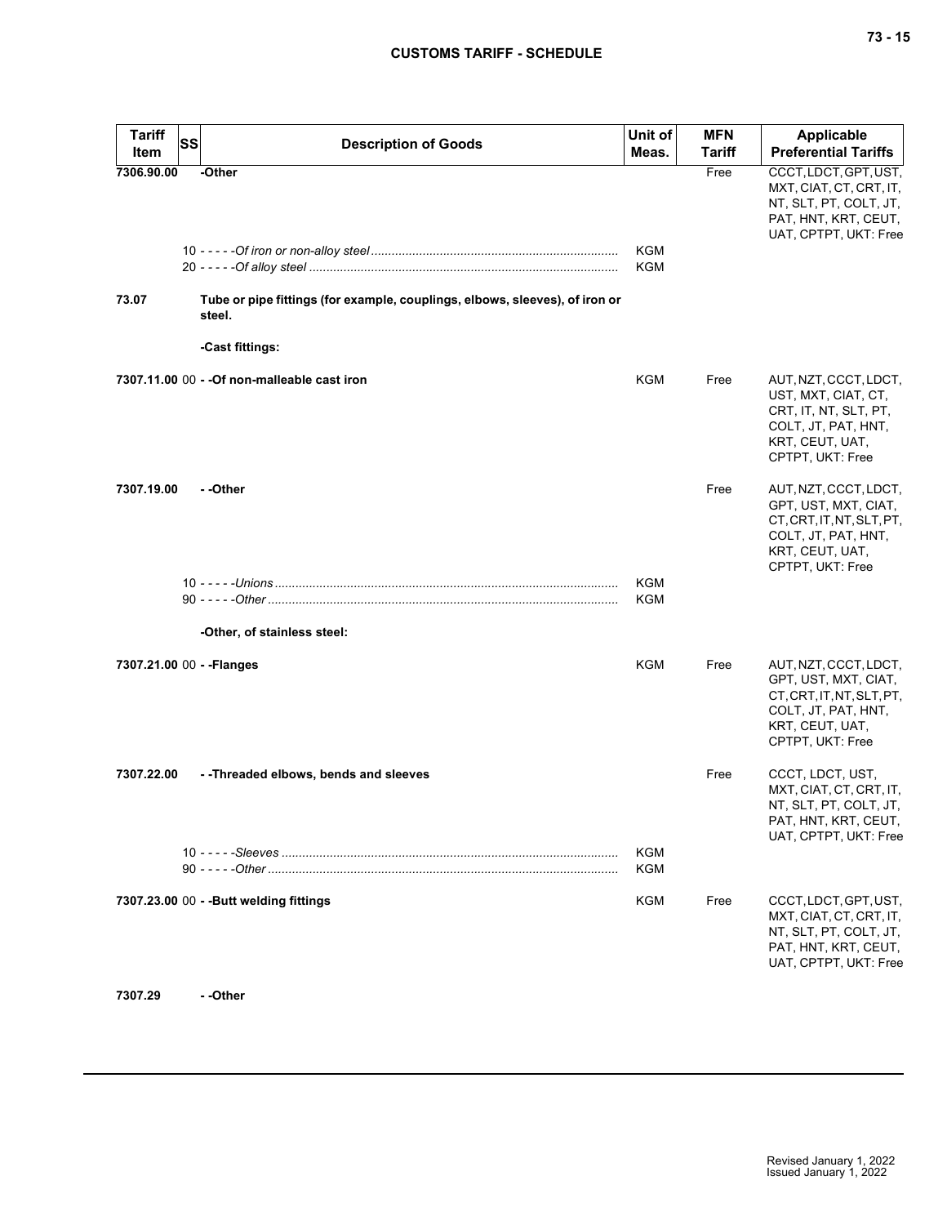| <b>Tariff</b><br>Item | <b>SS</b><br><b>Description of Goods</b>                                              | Unit of<br>Meas.  | <b>MFN</b><br><b>Tariff</b> | <b>Applicable</b><br><b>Preferential Tariffs</b>                                                                                         |
|-----------------------|---------------------------------------------------------------------------------------|-------------------|-----------------------------|------------------------------------------------------------------------------------------------------------------------------------------|
| 7306.90.00            | -Other                                                                                |                   | Free                        | CCCT, LDCT, GPT, UST,<br>MXT, CIAT, CT, CRT, IT,<br>NT, SLT, PT, COLT, JT,<br>PAT, HNT, KRT, CEUT,<br>UAT, CPTPT, UKT: Free              |
|                       |                                                                                       | KGM<br>KGM        |                             |                                                                                                                                          |
| 73.07                 | Tube or pipe fittings (for example, couplings, elbows, sleeves), of iron or<br>steel. |                   |                             |                                                                                                                                          |
|                       | -Cast fittings:                                                                       |                   |                             |                                                                                                                                          |
|                       | 7307.11.00 00 - - Of non-malleable cast iron                                          | KGM               | Free                        | AUT, NZT, CCCT, LDCT,<br>UST, MXT, CIAT, CT,<br>CRT, IT, NT, SLT, PT,<br>COLT, JT, PAT, HNT,<br>KRT, CEUT, UAT,<br>CPTPT, UKT: Free      |
| 7307.19.00            | - -Other                                                                              |                   | Free                        | AUT, NZT, CCCT, LDCT,<br>GPT, UST, MXT, CIAT,<br>CT, CRT, IT, NT, SLT, PT,<br>COLT, JT, PAT, HNT,<br>KRT, CEUT, UAT,<br>CPTPT, UKT: Free |
|                       |                                                                                       | <b>KGM</b><br>KGM |                             |                                                                                                                                          |
|                       | -Other, of stainless steel:                                                           |                   |                             |                                                                                                                                          |
|                       | 7307.21.00 00 - - Flanges                                                             | <b>KGM</b>        | Free                        | AUT, NZT, CCCT, LDCT,<br>GPT, UST, MXT, CIAT,<br>CT, CRT, IT, NT, SLT, PT,<br>COLT, JT, PAT, HNT,<br>KRT, CEUT, UAT,<br>CPTPT, UKT: Free |
| 7307.22.00            | --Threaded elbows, bends and sleeves                                                  |                   | Free                        | CCCT, LDCT, UST,<br>MXT, CIAT, CT, CRT, IT,<br>NT, SLT, PT, COLT, JT,<br>PAT, HNT, KRT, CEUT,<br>UAT, CPTPT, UKT: Free                   |
|                       |                                                                                       | KGM<br>KGM        |                             |                                                                                                                                          |
|                       | 7307.23.00 00 - - Butt welding fittings                                               | KGM               | Free                        | CCCT, LDCT, GPT, UST,<br>MXT, CIAT, CT, CRT, IT,<br>NT, SLT, PT, COLT, JT,<br>PAT, HNT, KRT, CEUT,<br>UAT, CPTPT, UKT: Free              |
| 7307.29               | - -Other                                                                              |                   |                             |                                                                                                                                          |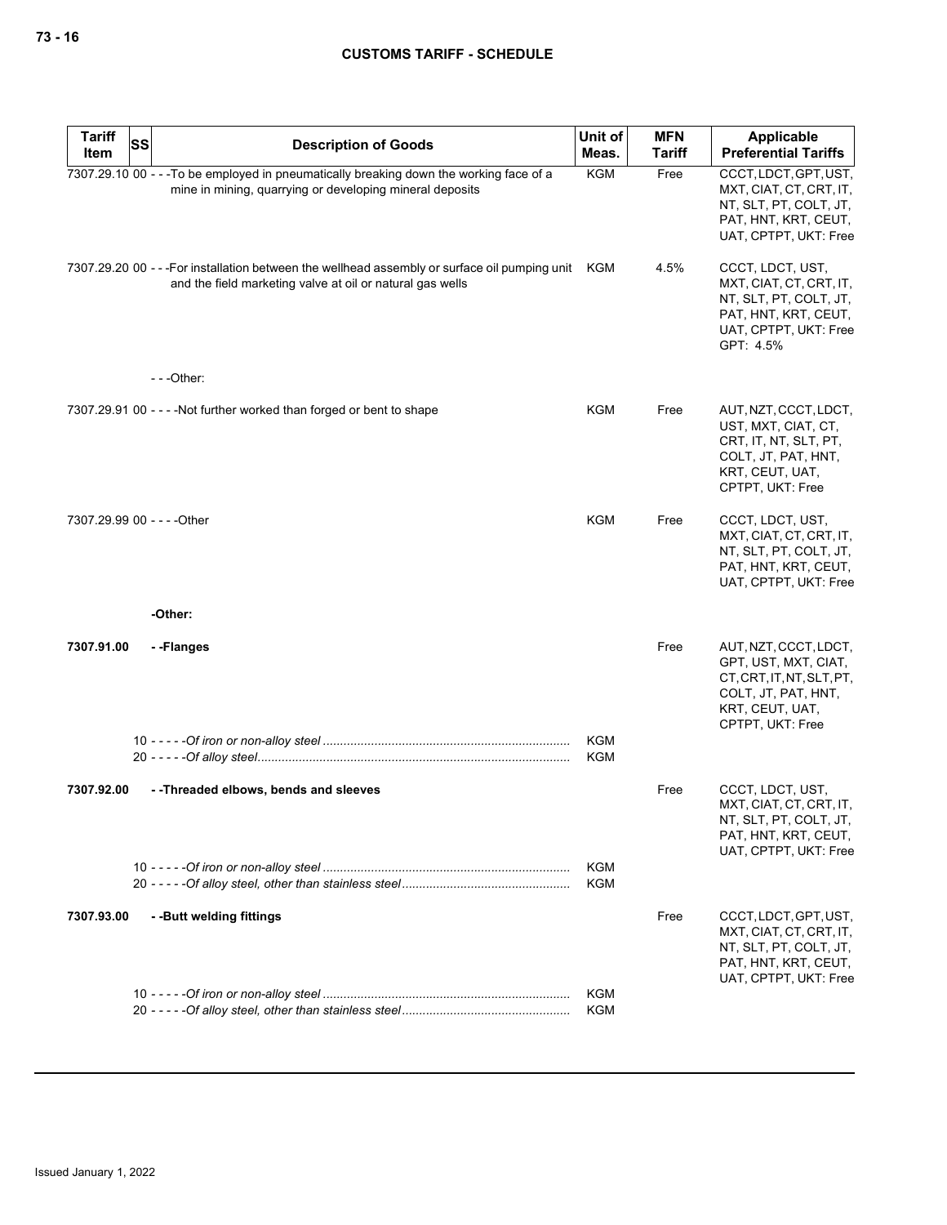| <b>Tariff</b> | SS | <b>Description of Goods</b>                                                                                                                                     | Unit of                  | <b>MFN</b> | Applicable                                                                                                                               |
|---------------|----|-----------------------------------------------------------------------------------------------------------------------------------------------------------------|--------------------------|------------|------------------------------------------------------------------------------------------------------------------------------------------|
| Item          |    |                                                                                                                                                                 | Meas.                    | Tariff     | <b>Preferential Tariffs</b>                                                                                                              |
|               |    | 7307.29.10 00 - - - To be employed in pneumatically breaking down the working face of a<br>mine in mining, quarrying or developing mineral deposits             | <b>KGM</b>               | Free       | CCCT, LDCT, GPT, UST,<br>MXT, CIAT, CT, CRT, IT,<br>NT, SLT, PT, COLT, JT,<br>PAT, HNT, KRT, CEUT,<br>UAT, CPTPT, UKT: Free              |
|               |    | 7307.29.20 00 - - - For installation between the wellhead assembly or surface oil pumping unit KGM<br>and the field marketing valve at oil or natural gas wells |                          | 4.5%       | CCCT, LDCT, UST,<br>MXT, CIAT, CT, CRT, IT,<br>NT, SLT, PT, COLT, JT,<br>PAT, HNT, KRT, CEUT,<br>UAT, CPTPT, UKT: Free<br>GPT: 4.5%      |
|               |    | $--$ Other:                                                                                                                                                     |                          |            |                                                                                                                                          |
|               |    | 7307.29.91 00 - - - - Not further worked than forged or bent to shape                                                                                           | KGM                      | Free       | AUT, NZT, CCCT, LDCT,<br>UST, MXT, CIAT, CT,<br>CRT, IT, NT, SLT, PT,<br>COLT, JT, PAT, HNT,<br>KRT, CEUT, UAT,<br>CPTPT, UKT: Free      |
|               |    | 7307.29.99 00 - - - - Other                                                                                                                                     | <b>KGM</b>               | Free       | CCCT, LDCT, UST,<br>MXT, CIAT, CT, CRT, IT,<br>NT, SLT, PT, COLT, JT,<br>PAT, HNT, KRT, CEUT,<br>UAT, CPTPT, UKT: Free                   |
|               |    | -Other:                                                                                                                                                         |                          |            |                                                                                                                                          |
| 7307.91.00    |    | --Flanges                                                                                                                                                       |                          | Free       | AUT, NZT, CCCT, LDCT,<br>GPT, UST, MXT, CIAT,<br>CT, CRT, IT, NT, SLT, PT,<br>COLT, JT, PAT, HNT,<br>KRT, CEUT, UAT,<br>CPTPT, UKT: Free |
|               |    |                                                                                                                                                                 | KGM<br><b>KGM</b>        |            |                                                                                                                                          |
|               |    |                                                                                                                                                                 |                          |            |                                                                                                                                          |
| 7307.92.00    |    | --Threaded elbows, bends and sleeves                                                                                                                            |                          | Free       | CCCT, LDCT, UST,<br>MXT, CIAT, CT, CRT, IT,<br>NI, SLI, PI, COLI, JI,<br>PAT, HNT, KRT, CEUT,<br>UAT, CPTPT, UKT: Free                   |
|               |    |                                                                                                                                                                 | <b>KGM</b><br><b>KGM</b> |            |                                                                                                                                          |
| 7307.93.00    |    | --Butt welding fittings                                                                                                                                         |                          | Free       | CCCT, LDCT, GPT, UST,<br>MXT, CIAT, CT, CRT, IT,<br>NT, SLT, PT, COLT, JT,<br>PAT, HNT, KRT, CEUT,<br>UAT, CPTPT, UKT: Free              |
|               |    |                                                                                                                                                                 | <b>KGM</b><br><b>KGM</b> |            |                                                                                                                                          |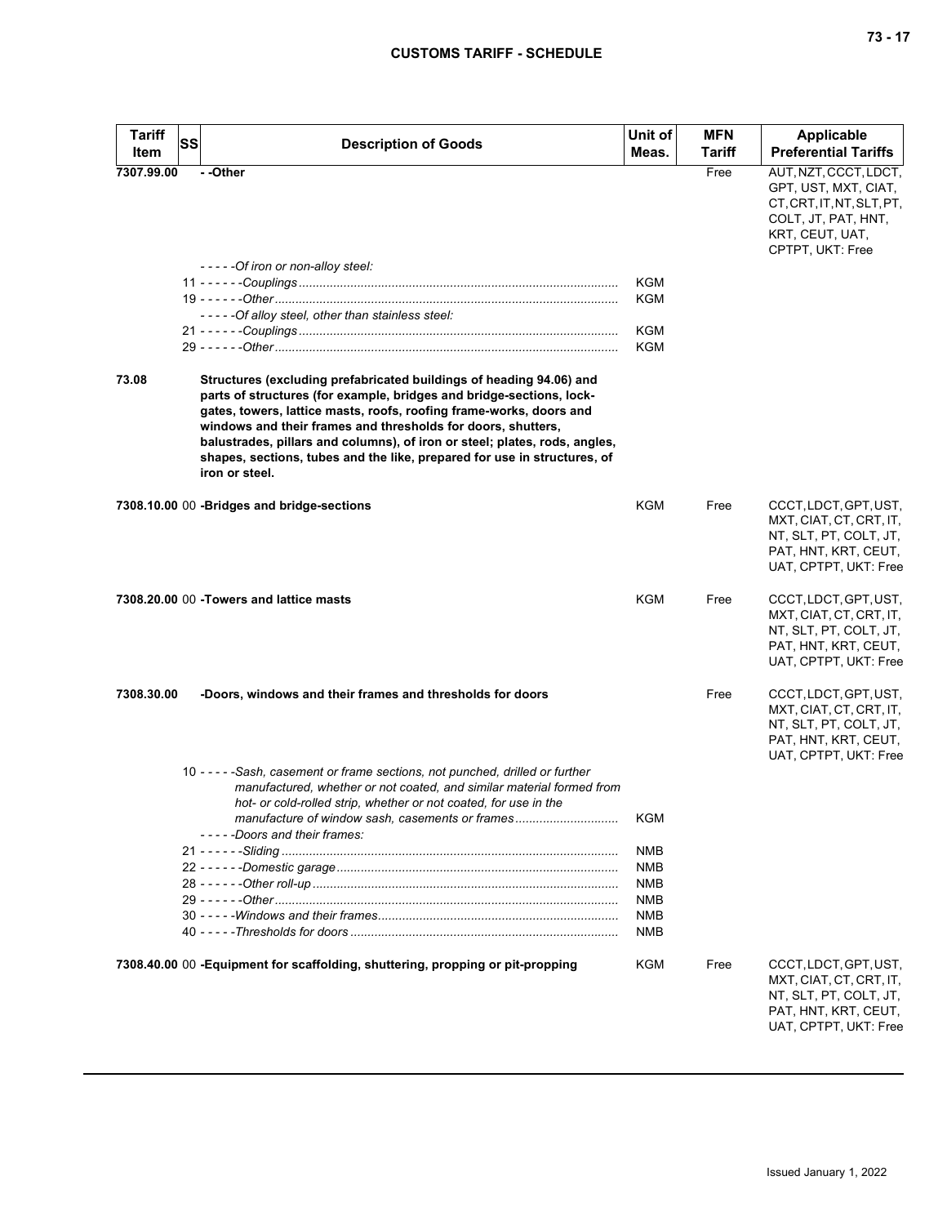| <b>Tariff</b><br>Item | <b>SS</b><br><b>Description of Goods</b>                                                                                                                                                                                                                                                                                                                                                                                                                       | Unit of<br>Meas.         | <b>MFN</b><br><b>Tariff</b> | <b>Applicable</b><br><b>Preferential Tariffs</b>                                                                                         |
|-----------------------|----------------------------------------------------------------------------------------------------------------------------------------------------------------------------------------------------------------------------------------------------------------------------------------------------------------------------------------------------------------------------------------------------------------------------------------------------------------|--------------------------|-----------------------------|------------------------------------------------------------------------------------------------------------------------------------------|
| 7307.99.00            | - -Other<br>- - - - - Of iron or non-alloy steel:                                                                                                                                                                                                                                                                                                                                                                                                              |                          | Free                        | AUT, NZT, CCCT, LDCT,<br>GPT, UST, MXT, CIAT,<br>CT, CRT, IT, NT, SLT, PT,<br>COLT, JT, PAT, HNT,<br>KRT, CEUT, UAT,<br>CPTPT, UKT: Free |
|                       | -----Of alloy steel, other than stainless steel:                                                                                                                                                                                                                                                                                                                                                                                                               | KGM<br><b>KGM</b>        |                             |                                                                                                                                          |
|                       |                                                                                                                                                                                                                                                                                                                                                                                                                                                                | KGM<br>KGM               |                             |                                                                                                                                          |
| 73.08                 | Structures (excluding prefabricated buildings of heading 94.06) and<br>parts of structures (for example, bridges and bridge-sections, lock-<br>gates, towers, lattice masts, roofs, roofing frame-works, doors and<br>windows and their frames and thresholds for doors, shutters,<br>balustrades, pillars and columns), of iron or steel; plates, rods, angles,<br>shapes, sections, tubes and the like, prepared for use in structures, of<br>iron or steel. |                          |                             |                                                                                                                                          |
|                       | 7308.10.00 00 -Bridges and bridge-sections                                                                                                                                                                                                                                                                                                                                                                                                                     | KGM                      | Free                        | CCCT, LDCT, GPT, UST,<br>MXT, CIAT, CT, CRT, IT,<br>NT, SLT, PT, COLT, JT,<br>PAT, HNT, KRT, CEUT,<br>UAT, CPTPT, UKT: Free              |
|                       | 7308.20.00 00 - Towers and lattice masts                                                                                                                                                                                                                                                                                                                                                                                                                       | KGM                      | Free                        | CCCT, LDCT, GPT, UST,<br>MXT, CIAT, CT, CRT, IT,<br>NT, SLT, PT, COLT, JT,<br>PAT, HNT, KRT, CEUT,<br>UAT, CPTPT, UKT: Free              |
| 7308.30.00            | -Doors, windows and their frames and thresholds for doors                                                                                                                                                                                                                                                                                                                                                                                                      |                          | Free                        | CCCT, LDCT, GPT, UST,<br>MXT, CIAT, CT, CRT, IT,<br>NT, SLT, PT, COLT, JT,<br>PAT, HNT, KRT, CEUT,<br>UAT, CPTPT, UKT: Free              |
|                       | 10 - - - - - Sash, casement or frame sections, not punched, drilled or further<br>manufactured, whether or not coated, and similar material formed from<br>hot- or cold-rolled strip, whether or not coated, for use in the<br>manufacture of window sash, casements or frames<br>-----Doors and their frames:                                                                                                                                                 | <b>KGM</b>               |                             |                                                                                                                                          |
|                       |                                                                                                                                                                                                                                                                                                                                                                                                                                                                | <b>NMB</b><br><b>NMB</b> |                             |                                                                                                                                          |
|                       |                                                                                                                                                                                                                                                                                                                                                                                                                                                                | <b>NMB</b>               |                             |                                                                                                                                          |
|                       |                                                                                                                                                                                                                                                                                                                                                                                                                                                                | <b>NMB</b><br><b>NMB</b> |                             |                                                                                                                                          |
|                       |                                                                                                                                                                                                                                                                                                                                                                                                                                                                | <b>NMB</b>               |                             |                                                                                                                                          |
|                       | 7308.40.00 00 - Equipment for scaffolding, shuttering, propping or pit-propping                                                                                                                                                                                                                                                                                                                                                                                | KGM                      | Free                        | CCCT, LDCT, GPT, UST,<br>MXT, CIAT, CT, CRT, IT,<br>NT, SLT, PT, COLT, JT,<br>PAT, HNT, KRT, CEUT,<br>UAT, CPTPT, UKT: Free              |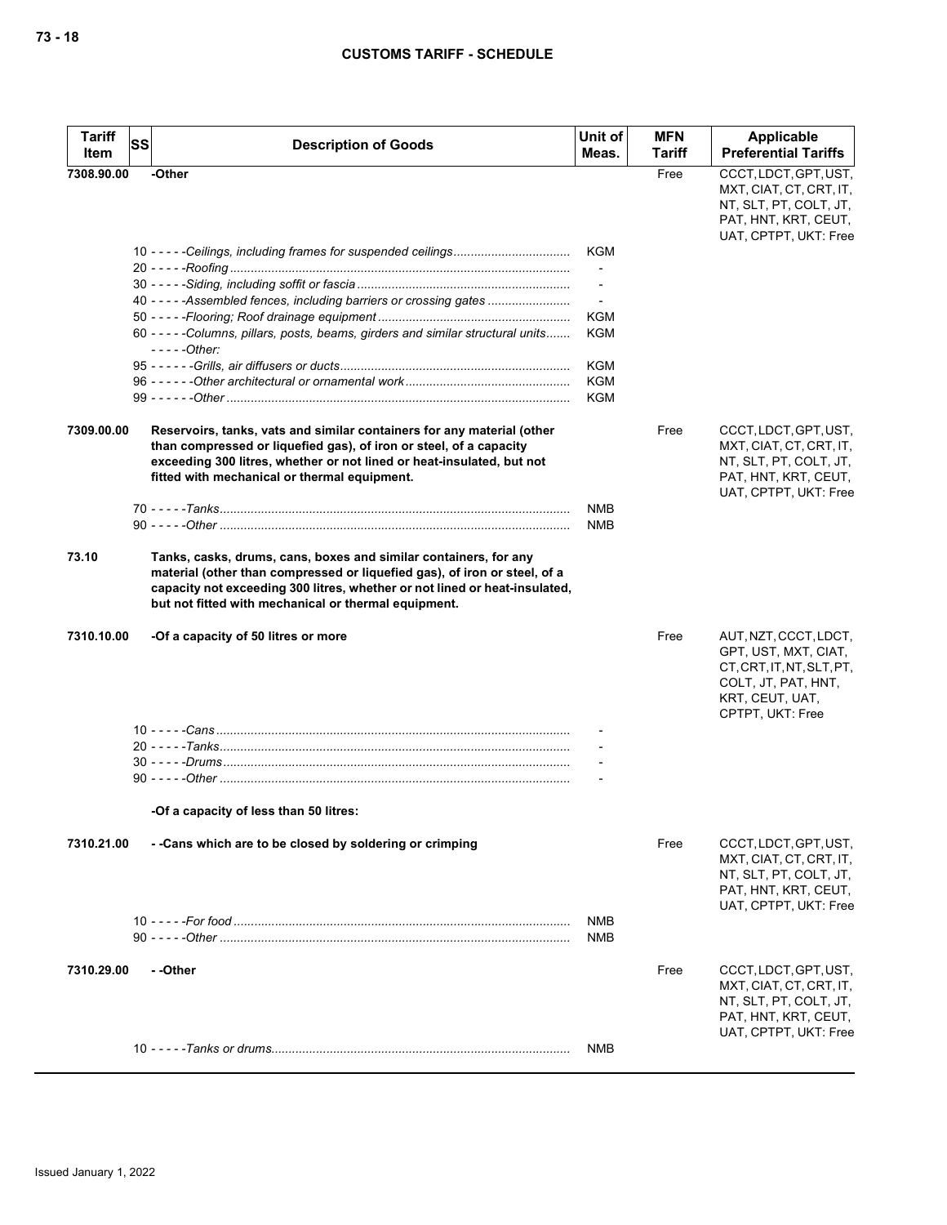| <b>Tariff</b><br>Item | <b>SS</b> | <b>Description of Goods</b>                                                                                                                                                                                                                                                         | Unit of<br>Meas.      | <b>MFN</b><br>Tariff | Applicable<br><b>Preferential Tariffs</b>                                                                                                |
|-----------------------|-----------|-------------------------------------------------------------------------------------------------------------------------------------------------------------------------------------------------------------------------------------------------------------------------------------|-----------------------|----------------------|------------------------------------------------------------------------------------------------------------------------------------------|
| 7308.90.00            |           | -Other                                                                                                                                                                                                                                                                              |                       | Free                 | CCCT, LDCT, GPT, UST,<br>MXT, CIAT, CT, CRT, IT,<br>NT, SLT, PT, COLT, JT,<br>PAT, HNT, KRT, CEUT,<br>UAT, CPTPT, UKT: Free              |
|                       |           |                                                                                                                                                                                                                                                                                     | KGM<br>$\blacksquare$ |                      |                                                                                                                                          |
|                       |           | 40 - - - - - Assembled fences, including barriers or crossing gates                                                                                                                                                                                                                 | $\blacksquare$<br>KGM |                      |                                                                                                                                          |
|                       |           | 60 - - - - - Columns, pillars, posts, beams, girders and similar structural units<br>$---Other:$                                                                                                                                                                                    | <b>KGM</b>            |                      |                                                                                                                                          |
|                       |           |                                                                                                                                                                                                                                                                                     | KGM<br>KGM<br>KGM     |                      |                                                                                                                                          |
| 7309.00.00            |           | Reservoirs, tanks, vats and similar containers for any material (other<br>than compressed or liquefied gas), of iron or steel, of a capacity<br>exceeding 300 litres, whether or not lined or heat-insulated, but not<br>fitted with mechanical or thermal equipment.               |                       | Free                 | CCCT, LDCT, GPT, UST,<br>MXT, CIAT, CT, CRT, IT,<br>NT, SLT, PT, COLT, JT,<br>PAT, HNT, KRT, CEUT,<br>UAT, CPTPT, UKT: Free              |
|                       |           |                                                                                                                                                                                                                                                                                     | NMB<br><b>NMB</b>     |                      |                                                                                                                                          |
| 73.10                 |           | Tanks, casks, drums, cans, boxes and similar containers, for any<br>material (other than compressed or liquefied gas), of iron or steel, of a<br>capacity not exceeding 300 litres, whether or not lined or heat-insulated,<br>but not fitted with mechanical or thermal equipment. |                       |                      |                                                                                                                                          |
| 7310.10.00            |           | -Of a capacity of 50 litres or more                                                                                                                                                                                                                                                 |                       | Free                 | AUT, NZT, CCCT, LDCT,<br>GPT, UST, MXT, CIAT,<br>CT, CRT, IT, NT, SLT, PT,<br>COLT, JT, PAT, HNT,<br>KRT, CEUT, UAT,<br>CPTPT, UKT: Free |
|                       |           |                                                                                                                                                                                                                                                                                     |                       |                      |                                                                                                                                          |
|                       |           |                                                                                                                                                                                                                                                                                     |                       |                      |                                                                                                                                          |
|                       |           | -Of a capacity of less than 50 litres:                                                                                                                                                                                                                                              |                       |                      |                                                                                                                                          |
| 7310.21.00            |           | - - Cans which are to be closed by soldering or crimping                                                                                                                                                                                                                            |                       | Free                 | CCCT, LDCT, GPT, UST,<br>MXT, CIAT, CT, CRT, IT,<br>NT, SLT, PT, COLT, JT,<br>PAT, HNT, KRT, CEUT,<br>UAT, CPTPT, UKT: Free              |
|                       |           |                                                                                                                                                                                                                                                                                     | <b>NMB</b><br>NMB     |                      |                                                                                                                                          |
| 7310.29.00            |           | - -Other                                                                                                                                                                                                                                                                            |                       | Free                 | CCCT, LDCT, GPT, UST,<br>MXT, CIAT, CT, CRT, IT,<br>NT, SLT, PT, COLT, JT,<br>PAT, HNT, KRT, CEUT,<br>UAT, CPTPT, UKT: Free              |
|                       |           |                                                                                                                                                                                                                                                                                     | NMB                   |                      |                                                                                                                                          |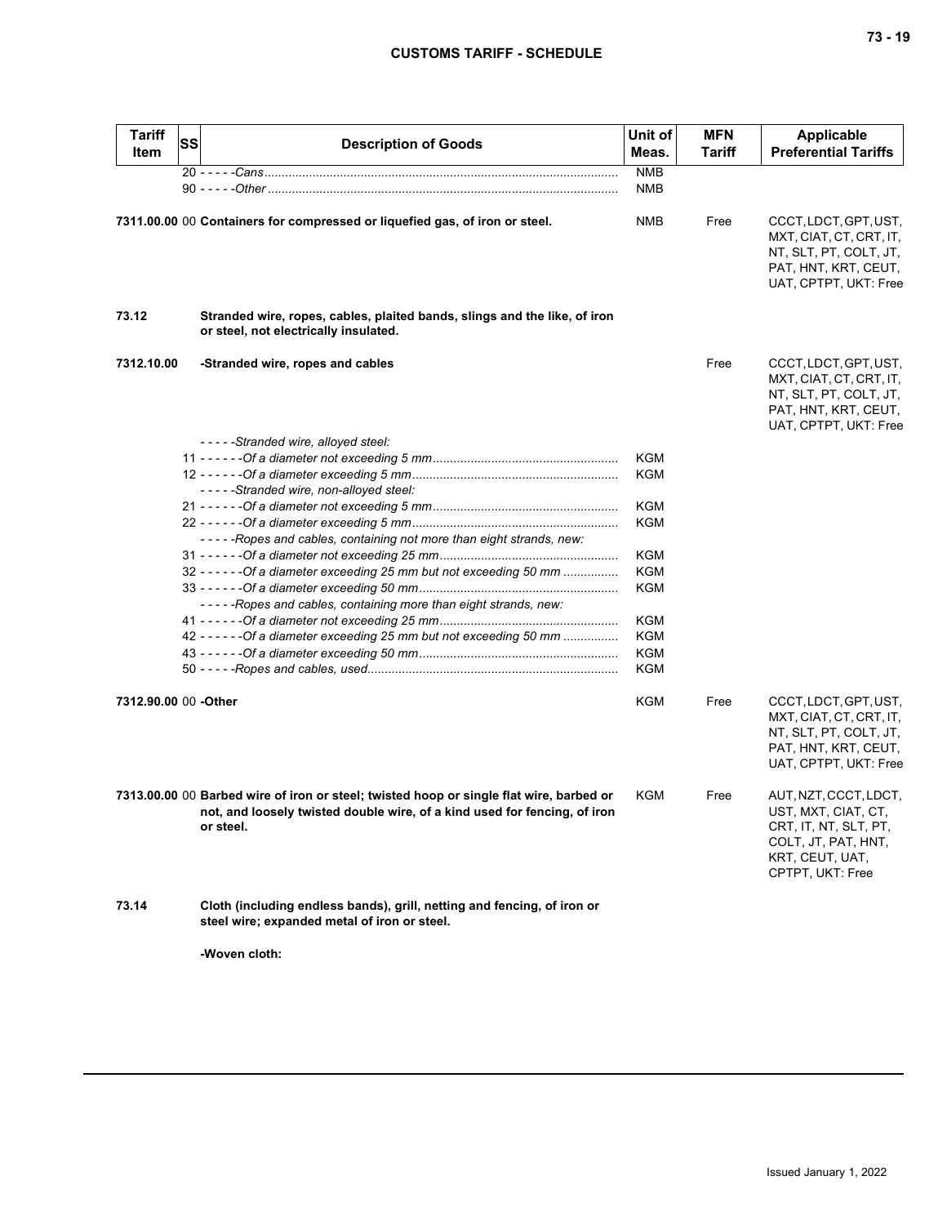| <b>Tariff</b><br>Item | <b>SS</b> | <b>Description of Goods</b>                                                                                                                                                       | Unit of<br>Meas.  | <b>MFN</b><br><b>Tariff</b> | <b>Applicable</b><br><b>Preferential Tariffs</b>                                                                                    |
|-----------------------|-----------|-----------------------------------------------------------------------------------------------------------------------------------------------------------------------------------|-------------------|-----------------------------|-------------------------------------------------------------------------------------------------------------------------------------|
|                       |           |                                                                                                                                                                                   | <b>NMB</b>        |                             |                                                                                                                                     |
|                       |           |                                                                                                                                                                                   | <b>NMB</b>        |                             |                                                                                                                                     |
|                       |           | 7311.00.00 00 Containers for compressed or liquefied gas, of iron or steel.                                                                                                       | <b>NMB</b>        | Free                        | CCCT, LDCT, GPT, UST,<br>MXT, CIAT, CT, CRT, IT,<br>NT, SLT, PT, COLT, JT,<br>PAT, HNT, KRT, CEUT,<br>UAT, CPTPT, UKT: Free         |
| 73.12                 |           | Stranded wire, ropes, cables, plaited bands, slings and the like, of iron<br>or steel, not electrically insulated.                                                                |                   |                             |                                                                                                                                     |
| 7312.10.00            |           | -Stranded wire, ropes and cables                                                                                                                                                  |                   | Free                        | CCCT, LDCT, GPT, UST,<br>MXT, CIAT, CT, CRT, IT,<br>NT, SLT, PT, COLT, JT,<br>PAT, HNT, KRT, CEUT,<br>UAT, CPTPT, UKT: Free         |
|                       |           | -----Stranded wire, alloyed steel:                                                                                                                                                |                   |                             |                                                                                                                                     |
|                       |           | -----Stranded wire, non-alloyed steel:                                                                                                                                            | KGM<br><b>KGM</b> |                             |                                                                                                                                     |
|                       |           |                                                                                                                                                                                   | KGM               |                             |                                                                                                                                     |
|                       |           | -----Ropes and cables, containing not more than eight strands, new:                                                                                                               | <b>KGM</b>        |                             |                                                                                                                                     |
|                       |           |                                                                                                                                                                                   | KGM               |                             |                                                                                                                                     |
|                       |           | 32 - - - - - - Of a diameter exceeding 25 mm but not exceeding 50 mm                                                                                                              | KGM               |                             |                                                                                                                                     |
|                       |           | -----Ropes and cables, containing more than eight strands, new:                                                                                                                   | <b>KGM</b>        |                             |                                                                                                                                     |
|                       |           |                                                                                                                                                                                   | KGM               |                             |                                                                                                                                     |
|                       |           | 42 - - - - - - Of a diameter exceeding 25 mm but not exceeding 50 mm                                                                                                              | KGM               |                             |                                                                                                                                     |
|                       |           |                                                                                                                                                                                   | <b>KGM</b>        |                             |                                                                                                                                     |
|                       |           |                                                                                                                                                                                   | <b>KGM</b>        |                             |                                                                                                                                     |
| 7312.90.00 00 -Other  |           |                                                                                                                                                                                   | <b>KGM</b>        | Free                        | CCCT, LDCT, GPT, UST,<br>MXT, CIAT, CT, CRT, IT,<br>NT, SLT, PT, COLT, JT,<br>PAT, HNT, KRT, CEUT,<br>UAT, CPTPT, UKT: Free         |
|                       |           | 7313.00.00 00 Barbed wire of iron or steel; twisted hoop or single flat wire, barbed or<br>not, and loosely twisted double wire, of a kind used for fencing, of iron<br>or steel. | KGM               | Free                        | AUT, NZT, CCCT, LDCT,<br>UST, MXT, CIAT, CT,<br>CRT, IT, NT, SLT, PT,<br>COLT, JT, PAT, HNT,<br>KRT, CEUT, UAT,<br>CPTPT, UKT: Free |
| 73.14                 |           | Cloth (including endless bands), grill, netting and fencing, of iron or<br>steel wire; expanded metal of iron or steel.                                                           |                   |                             |                                                                                                                                     |
|                       |           |                                                                                                                                                                                   |                   |                             |                                                                                                                                     |

**-Woven cloth:**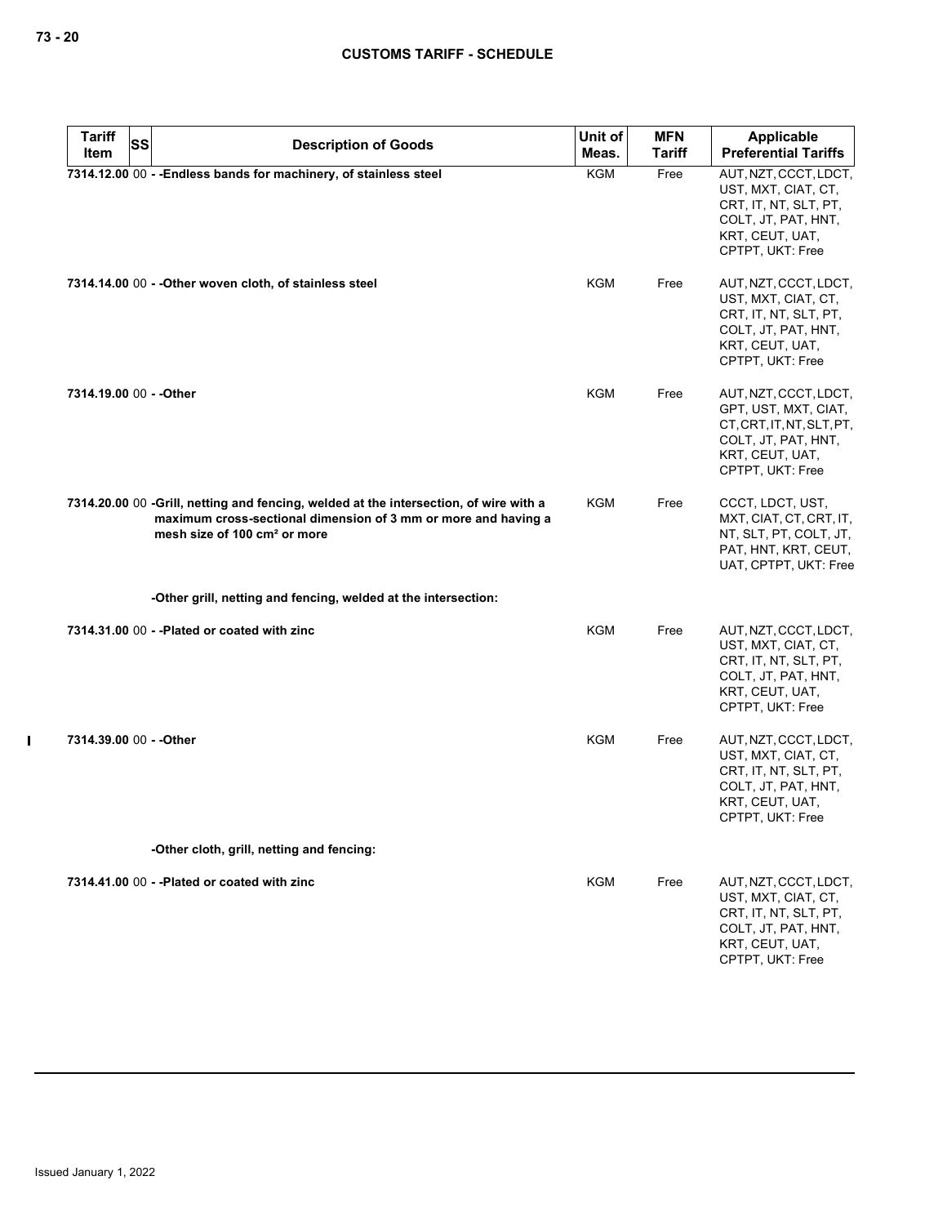| <b>Tariff</b>           | <b>SS</b><br><b>Description of Goods</b>                                                                                                                                                            | Unit of    | <b>MFN</b>    | Applicable                                                                                                                               |
|-------------------------|-----------------------------------------------------------------------------------------------------------------------------------------------------------------------------------------------------|------------|---------------|------------------------------------------------------------------------------------------------------------------------------------------|
| Item                    |                                                                                                                                                                                                     | Meas.      | <b>Tariff</b> | <b>Preferential Tariffs</b>                                                                                                              |
|                         | 7314.12.00 00 - - Endless bands for machinery, of stainless steel                                                                                                                                   | <b>KGM</b> | Free          | AUT, NZT, CCCT, LDCT,<br>UST, MXT, CIAT, CT,<br>CRT, IT, NT, SLT, PT,<br>COLT, JT, PAT, HNT,<br>KRT, CEUT, UAT,<br>CPTPT, UKT: Free      |
|                         | 7314.14.00 00 - - Other woven cloth, of stainless steel                                                                                                                                             | <b>KGM</b> | Free          | AUT, NZT, CCCT, LDCT,<br>UST, MXT, CIAT, CT,<br>CRT, IT, NT, SLT, PT,<br>COLT, JT, PAT, HNT,<br>KRT, CEUT, UAT,<br>CPTPT, UKT: Free      |
| 7314.19.00 00 - - Other |                                                                                                                                                                                                     | KGM        | Free          | AUT, NZT, CCCT, LDCT,<br>GPT, UST, MXT, CIAT,<br>CT, CRT, IT, NT, SLT, PT,<br>COLT, JT, PAT, HNT,<br>KRT, CEUT, UAT,<br>CPTPT, UKT: Free |
|                         | 7314.20.00 00 -Grill, netting and fencing, welded at the intersection, of wire with a<br>maximum cross-sectional dimension of 3 mm or more and having a<br>mesh size of 100 cm <sup>2</sup> or more | KGM        | Free          | CCCT, LDCT, UST,<br>MXT, CIAT, CT, CRT, IT,<br>NT, SLT, PT, COLT, JT,<br>PAT, HNT, KRT, CEUT,<br>UAT, CPTPT, UKT: Free                   |
|                         | -Other grill, netting and fencing, welded at the intersection:                                                                                                                                      |            |               |                                                                                                                                          |
|                         | 7314.31.00 00 - - Plated or coated with zinc                                                                                                                                                        | <b>KGM</b> | Free          | AUT, NZT, CCCT, LDCT,<br>UST, MXT, CIAT, CT,<br>CRT, IT, NT, SLT, PT,<br>COLT, JT, PAT, HNT,<br>KRT, CEUT, UAT,<br>CPTPT, UKT: Free      |
| 7314.39.00 00 - - Other |                                                                                                                                                                                                     | <b>KGM</b> | Free          | AUT, NZT, CCCT, LDCT,<br>UST, MXT, CIAT, CT,<br>CRT, IT, NT, SLT, PT,<br>COLT, JT, PAT, HNT,<br>KRT, CEUT, UAT,<br>CPTPT, UKT: Free      |
|                         | -Other cloth, grill, netting and fencing:                                                                                                                                                           |            |               |                                                                                                                                          |
|                         | 7314.41.00 00 - - Plated or coated with zinc                                                                                                                                                        | KGM        | Free          | AUT, NZT, CCCT, LDCT,<br>UST, MXT, CIAT, CT,<br>CRT, IT, NT, SLT, PT,<br>COLT, JT, PAT, HNT,<br>KRT, CEUT, UAT,<br>CPTPT, UKT: Free      |

 $\mathbf I$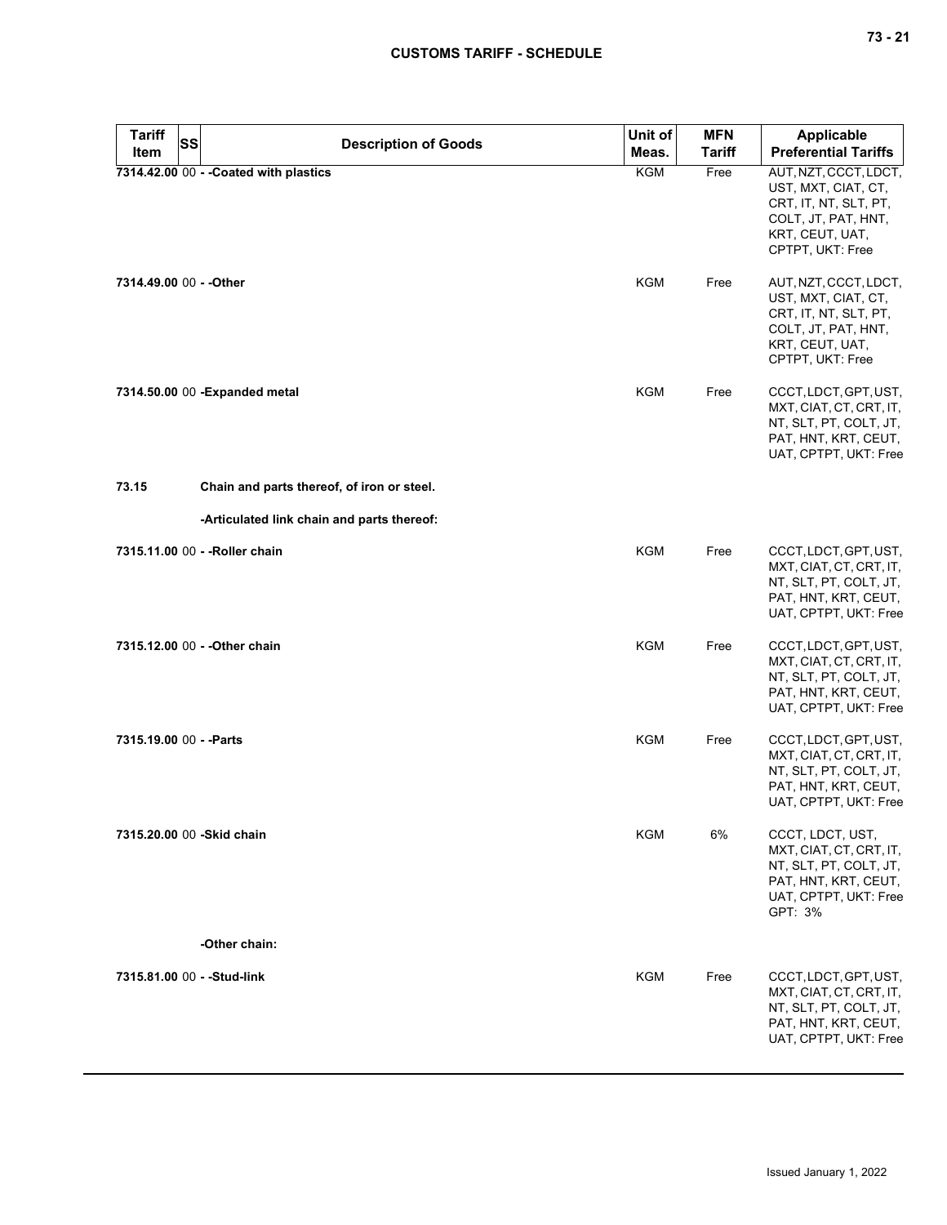| <b>Tariff</b>           | <b>SS</b><br><b>Description of Goods</b>   | Unit of    | <b>MFN</b>    | <b>Applicable</b>                                                                                                                   |
|-------------------------|--------------------------------------------|------------|---------------|-------------------------------------------------------------------------------------------------------------------------------------|
| Item                    |                                            | Meas.      | <b>Tariff</b> | <b>Preferential Tariffs</b>                                                                                                         |
|                         | 7314.42.00 00 - - Coated with plastics     | KGM        | Free          | AUT, NZT, CCCT, LDCT,<br>UST, MXT, CIAT, CT,<br>CRT, IT, NT, SLT, PT,<br>COLT, JT, PAT, HNT,<br>KRT, CEUT, UAT,<br>CPTPT, UKT: Free |
| 7314.49.00 00 - - Other |                                            | KGM        | Free          | AUT, NZT, CCCT, LDCT,<br>UST, MXT, CIAT, CT,<br>CRT, IT, NT, SLT, PT,<br>COLT, JT, PAT, HNT,<br>KRT, CEUT, UAT,<br>CPTPT, UKT: Free |
|                         | 7314.50.00 00 - Expanded metal             | <b>KGM</b> | Free          | CCCT, LDCT, GPT, UST,<br>MXT, CIAT, CT, CRT, IT,<br>NT, SLT, PT, COLT, JT,<br>PAT, HNT, KRT, CEUT,<br>UAT, CPTPT, UKT: Free         |
| 73.15                   | Chain and parts thereof, of iron or steel. |            |               |                                                                                                                                     |
|                         | -Articulated link chain and parts thereof: |            |               |                                                                                                                                     |
|                         | 7315.11.00 00 - - Roller chain             | KGM        | Free          | CCCT, LDCT, GPT, UST,<br>MXT, CIAT, CT, CRT, IT,<br>NT, SLT, PT, COLT, JT,<br>PAT, HNT, KRT, CEUT,<br>UAT, CPTPT, UKT: Free         |
|                         | 7315.12.00 00 - - Other chain              | <b>KGM</b> | Free          | CCCT, LDCT, GPT, UST,<br>MXT, CIAT, CT, CRT, IT,<br>NT, SLT, PT, COLT, JT,<br>PAT, HNT, KRT, CEUT,<br>UAT, CPTPT, UKT: Free         |
| 7315.19.00 00 - - Parts |                                            | <b>KGM</b> | Free          | CCCT, LDCT, GPT, UST,<br>MXT, CIAT, CT, CRT, IT,<br>NT, SLT, PT, COLT, JT,<br>PAT, HNT, KRT, CEUT,<br>UAT, CPTPT, UKT: Free         |
|                         | 7315,20.00 00 - Skid chain                 | <b>KGM</b> | 6%            | CCCT, LDCT, UST,<br>MXT, CIAT, CT, CRT, IT,<br>NT, SLT, PT, COLT, JT,<br>PAT, HNT, KRT, CEUT,<br>UAT, CPTPT, UKT: Free<br>GPT: 3%   |
|                         | -Other chain:                              |            |               |                                                                                                                                     |
|                         | 7315.81.00 00 - - Stud-link                | <b>KGM</b> | Free          | CCCT, LDCT, GPT, UST,<br>MXT, CIAT, CT, CRT, IT,<br>NT, SLT, PT, COLT, JT,<br>PAT, HNT, KRT, CEUT,<br>UAT, CPTPT, UKT: Free         |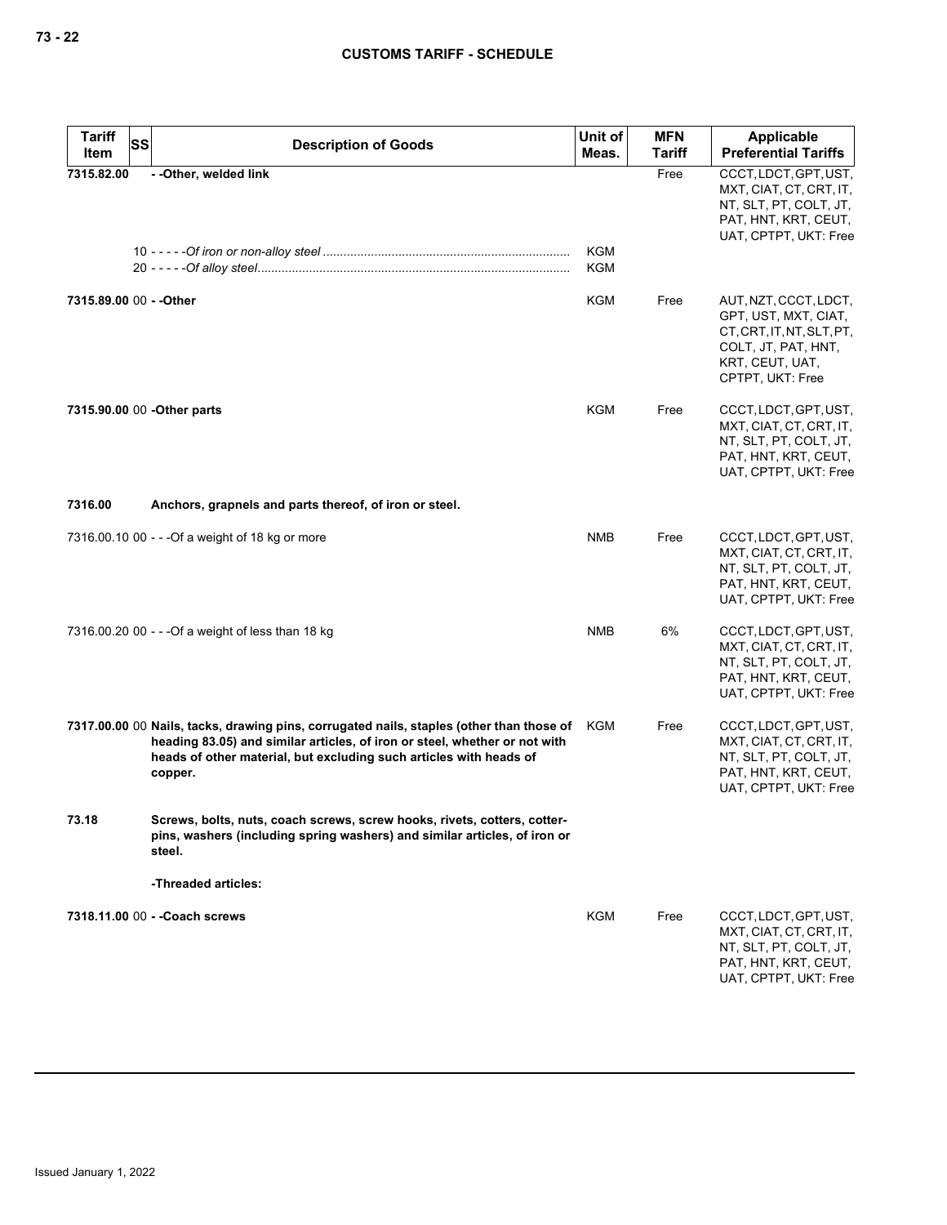| <b>Tariff</b>           | SS | <b>Description of Goods</b>                                                                                                                                                                                                                             | Unit of                  | <b>MFN</b>    | <b>Applicable</b>                                                                                                                        |
|-------------------------|----|---------------------------------------------------------------------------------------------------------------------------------------------------------------------------------------------------------------------------------------------------------|--------------------------|---------------|------------------------------------------------------------------------------------------------------------------------------------------|
| Item                    |    |                                                                                                                                                                                                                                                         | Meas.                    | <b>Tariff</b> | <b>Preferential Tariffs</b>                                                                                                              |
| 7315.82.00              |    | - - Other, welded link                                                                                                                                                                                                                                  |                          | Free          | CCCT, LDCT, GPT, UST,<br>MXT, CIAT, CT, CRT, IT,<br>NT, SLT, PT, COLT, JT,<br>PAT, HNT, KRT, CEUT,<br>UAT, CPTPT, UKT: Free              |
|                         |    |                                                                                                                                                                                                                                                         | <b>KGM</b><br><b>KGM</b> |               |                                                                                                                                          |
| 7315.89.00 00 - - Other |    |                                                                                                                                                                                                                                                         | KGM                      | Free          | AUT, NZT, CCCT, LDCT,<br>GPT, UST, MXT, CIAT,<br>CT, CRT, IT, NT, SLT, PT,<br>COLT, JT, PAT, HNT,<br>KRT, CEUT, UAT,<br>CPTPT, UKT: Free |
|                         |    | 7315.90.00 00 - Other parts                                                                                                                                                                                                                             | KGM                      | Free          | CCCT, LDCT, GPT, UST,<br>MXT, CIAT, CT, CRT, IT,<br>NT, SLT, PT, COLT, JT,<br>PAT, HNT, KRT, CEUT,<br>UAT, CPTPT, UKT: Free              |
| 7316.00                 |    | Anchors, grapnels and parts thereof, of iron or steel.                                                                                                                                                                                                  |                          |               |                                                                                                                                          |
|                         |    | 7316.00.10 00 - - - Of a weight of 18 kg or more                                                                                                                                                                                                        | <b>NMB</b>               | Free          | CCCT, LDCT, GPT, UST,<br>MXT, CIAT, CT, CRT, IT,<br>NT, SLT, PT, COLT, JT,<br>PAT, HNT, KRT, CEUT,<br>UAT, CPTPT, UKT: Free              |
|                         |    | 7316.00.20 00 - - - Of a weight of less than 18 kg                                                                                                                                                                                                      | <b>NMB</b>               | 6%            | CCCT, LDCT, GPT, UST,<br>MXT, CIAT, CT, CRT, IT,<br>NT, SLT, PT, COLT, JT,<br>PAT, HNT, KRT, CEUT,<br>UAT, CPTPT, UKT: Free              |
|                         |    | 7317.00.00 00 Nails, tacks, drawing pins, corrugated nails, staples (other than those of<br>heading 83.05) and similar articles, of iron or steel, whether or not with<br>heads of other material, but excluding such articles with heads of<br>copper. | KGM                      | Free          | CCCT, LDCT, GPT, UST,<br>MXT, CIAT, CT, CRT, IT,<br>NT, SLT, PT, COLT, JT,<br>PAT, HNT, KRT, CEUT,<br>UAT, CPTPT, UKT: Free              |
| 73.18                   |    | Screws, bolts, nuts, coach screws, screw hooks, rivets, cotters, cotter-<br>pins, washers (including spring washers) and similar articles, of iron or<br>steel.                                                                                         |                          |               |                                                                                                                                          |
|                         |    | -Threaded articles:                                                                                                                                                                                                                                     |                          |               |                                                                                                                                          |
|                         |    | 7318.11.00 00 - - Coach screws                                                                                                                                                                                                                          | KGM                      | Free          | CCCT, LDCT, GPT, UST,<br>MXT, CIAT, CT, CRT, IT,<br>NT, SLT, PT, COLT, JT,<br>PAT, HNT, KRT, CEUT,<br>UAT, CPTPT, UKT: Free              |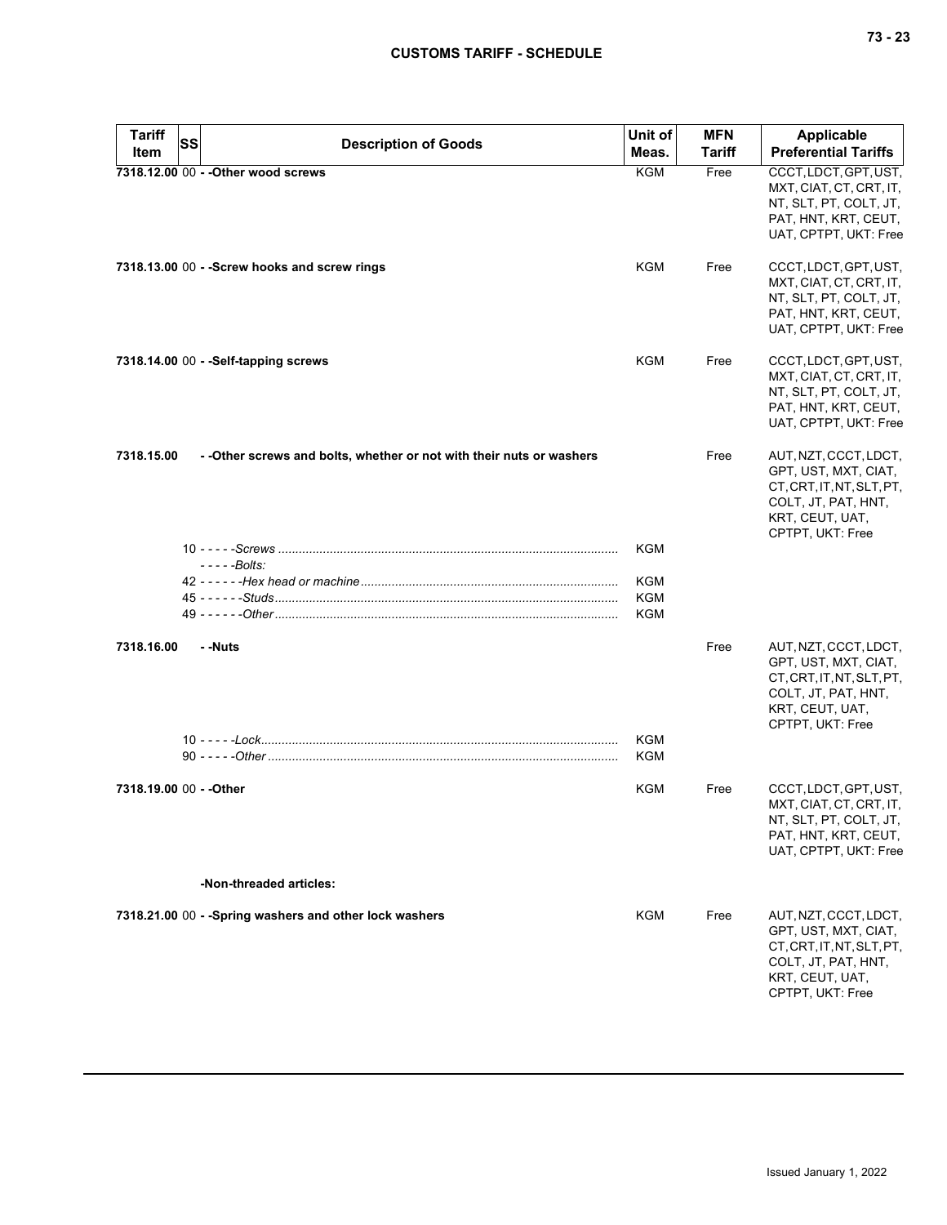| <b>Tariff</b>           | SS | <b>Description of Goods</b>                                           | Unit of           | <b>MFN</b> | <b>Applicable</b>                                                                                                                        |
|-------------------------|----|-----------------------------------------------------------------------|-------------------|------------|------------------------------------------------------------------------------------------------------------------------------------------|
| Item                    |    |                                                                       | Meas.             | Tariff     | <b>Preferential Tariffs</b>                                                                                                              |
|                         |    | 7318.12.00 00 - - Other wood screws                                   | <b>KGM</b>        | Free       | CCCT, LDCT, GPT, UST,<br>MXT, CIAT, CT, CRT, IT,<br>NT, SLT, PT, COLT, JT,<br>PAT, HNT, KRT, CEUT,<br>UAT, CPTPT, UKT: Free              |
|                         |    | 7318.13.00 00 - - Screw hooks and screw rings                         | KGM               | Free       | CCCT, LDCT, GPT, UST,<br>MXT, CIAT, CT, CRT, IT,<br>NT, SLT, PT, COLT, JT,<br>PAT, HNT, KRT, CEUT,<br>UAT, CPTPT, UKT: Free              |
|                         |    | 7318.14.00 00 - - Self-tapping screws                                 | <b>KGM</b>        | Free       | CCCT, LDCT, GPT, UST,<br>MXT, CIAT, CT, CRT, IT,<br>NT, SLT, PT, COLT, JT,<br>PAT, HNT, KRT, CEUT,<br>UAT, CPTPT, UKT: Free              |
| 7318.15.00              |    | - - Other screws and bolts, whether or not with their nuts or washers |                   | Free       | AUT, NZT, CCCT, LDCT,<br>GPT, UST, MXT, CIAT,<br>CT.CRT.IT.NT.SLT.PT.<br>COLT, JT, PAT, HNT,<br>KRT, CEUT, UAT,<br>CPTPT, UKT: Free      |
|                         |    |                                                                       | <b>KGM</b>        |            |                                                                                                                                          |
|                         |    | - - - - -Bolts:                                                       |                   |            |                                                                                                                                          |
|                         |    |                                                                       | KGM               |            |                                                                                                                                          |
|                         |    |                                                                       | KGM               |            |                                                                                                                                          |
|                         |    |                                                                       | KGM               |            |                                                                                                                                          |
| 7318.16.00              |    | - -Nuts                                                               |                   | Free       | AUT, NZT, CCCT, LDCT,<br>GPT, UST, MXT, CIAT,<br>CT, CRT, IT, NT, SLT, PT,<br>COLT, JT, PAT, HNT,<br>KRT, CEUT, UAT,<br>CPTPT, UKT: Free |
|                         |    |                                                                       | <b>KGM</b><br>KGM |            |                                                                                                                                          |
|                         |    |                                                                       |                   |            |                                                                                                                                          |
| 7318.19.00 00 - - Other |    |                                                                       | KGM               | Free       | CCCT, LDCT, GPT, UST,<br>MXT, CIAT, CT, CRT, IT,<br>NT, SLT, PT, COLT, JT,<br>PAT, HNT, KRT, CEUT,<br>UAT, CPTPT, UKT: Free              |
|                         |    | -Non-threaded articles:                                               |                   |            |                                                                                                                                          |
|                         |    | 7318.21.00 00 - - Spring washers and other lock washers               | KGM               | Free       | AUT, NZT, CCCT, LDCT,<br>GPT, UST, MXT, CIAT,<br>CT, CRT, IT, NT, SLT, PT,<br>COLT, JT, PAT, HNT,<br>KRT, CEUT, UAT,<br>CPTPT, UKT: Free |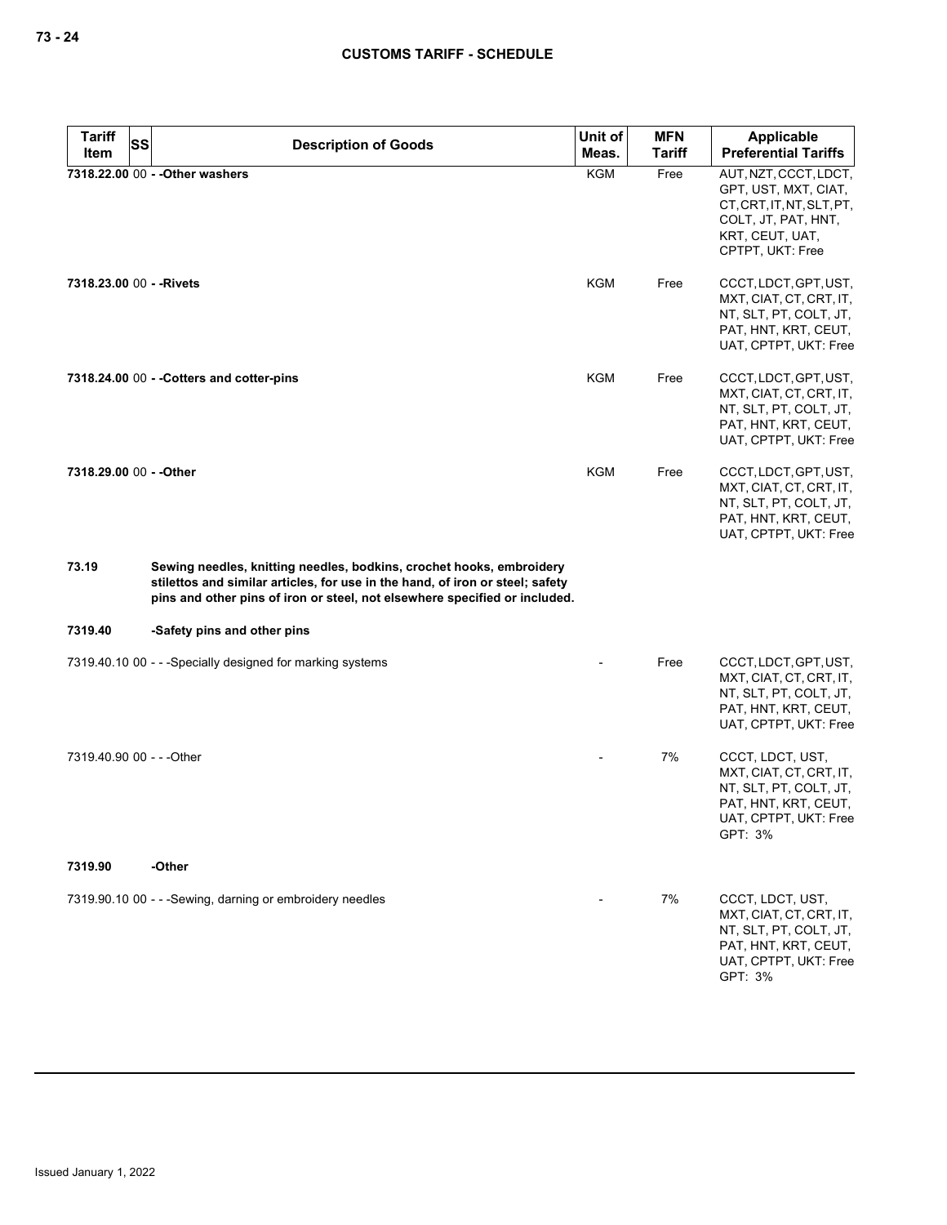| <b>Tariff</b><br>SS       | <b>Description of Goods</b>                                                                                                                                                                                                         | Unit of    | <b>MFN</b>    | Applicable                                                                                                                               |
|---------------------------|-------------------------------------------------------------------------------------------------------------------------------------------------------------------------------------------------------------------------------------|------------|---------------|------------------------------------------------------------------------------------------------------------------------------------------|
| Item                      |                                                                                                                                                                                                                                     | Meas.      | <b>Tariff</b> | <b>Preferential Tariffs</b>                                                                                                              |
|                           | 7318.22.00 00 - - Other washers                                                                                                                                                                                                     | <b>KGM</b> | Free          | AUT, NZT, CCCT, LDCT,<br>GPT, UST, MXT, CIAT,<br>CT, CRT, IT, NT, SLT, PT,<br>COLT, JT, PAT, HNT,<br>KRT, CEUT, UAT,<br>CPTPT, UKT: Free |
| 7318.23.00 00 - - Rivets  |                                                                                                                                                                                                                                     | KGM        | Free          | CCCT, LDCT, GPT, UST,<br>MXT, CIAT, CT, CRT, IT,<br>NT, SLT, PT, COLT, JT,<br>PAT, HNT, KRT, CEUT,<br>UAT, CPTPT, UKT: Free              |
|                           | 7318.24.00 00 - - Cotters and cotter-pins                                                                                                                                                                                           | KGM        | Free          | CCCT, LDCT, GPT, UST,<br>MXT, CIAT, CT, CRT, IT,<br>NT, SLT, PT, COLT, JT,<br>PAT, HNT, KRT, CEUT,<br>UAT, CPTPT, UKT: Free              |
| 7318.29.00 00 - - Other   |                                                                                                                                                                                                                                     | <b>KGM</b> | Free          | CCCT, LDCT, GPT, UST,<br>MXT, CIAT, CT, CRT, IT,<br>NT, SLT, PT, COLT, JT,<br>PAT, HNT, KRT, CEUT,<br>UAT, CPTPT, UKT: Free              |
| 73.19                     | Sewing needles, knitting needles, bodkins, crochet hooks, embroidery<br>stilettos and similar articles, for use in the hand, of iron or steel; safety<br>pins and other pins of iron or steel, not elsewhere specified or included. |            |               |                                                                                                                                          |
| 7319.40                   | -Safety pins and other pins                                                                                                                                                                                                         |            |               |                                                                                                                                          |
|                           | 7319.40.10 00 - - - Specially designed for marking systems                                                                                                                                                                          |            | Free          | CCCT, LDCT, GPT, UST,<br>MXT, CIAT, CT, CRT, IT,<br>NT, SLT, PT, COLT, JT,<br>PAT, HNT, KRT, CEUT,<br>UAT, CPTPT, UKT: Free              |
| 7319.40.90 00 - - - Other |                                                                                                                                                                                                                                     |            | 7%            | CCCT, LDCT, UST,<br>MXT, CIAT, CT, CRT, IT,<br>NT, SLT, PT, COLT, JT,<br>PAT, HNT, KRT, CEUT,<br>UAT, CPTPT, UKT: Free<br>GPT: 3%        |
| 7319.90                   | -Other                                                                                                                                                                                                                              |            |               |                                                                                                                                          |
|                           | 7319.90.10 00 - - - Sewing, darning or embroidery needles                                                                                                                                                                           |            | 7%            | CCCT, LDCT, UST,<br>MXT, CIAT, CT, CRT, IT,<br>NT, SLT, PT, COLT, JT,<br>PAT, HNT, KRT, CEUT,<br>UAT, CPTPT, UKT: Free<br>GPT: 3%        |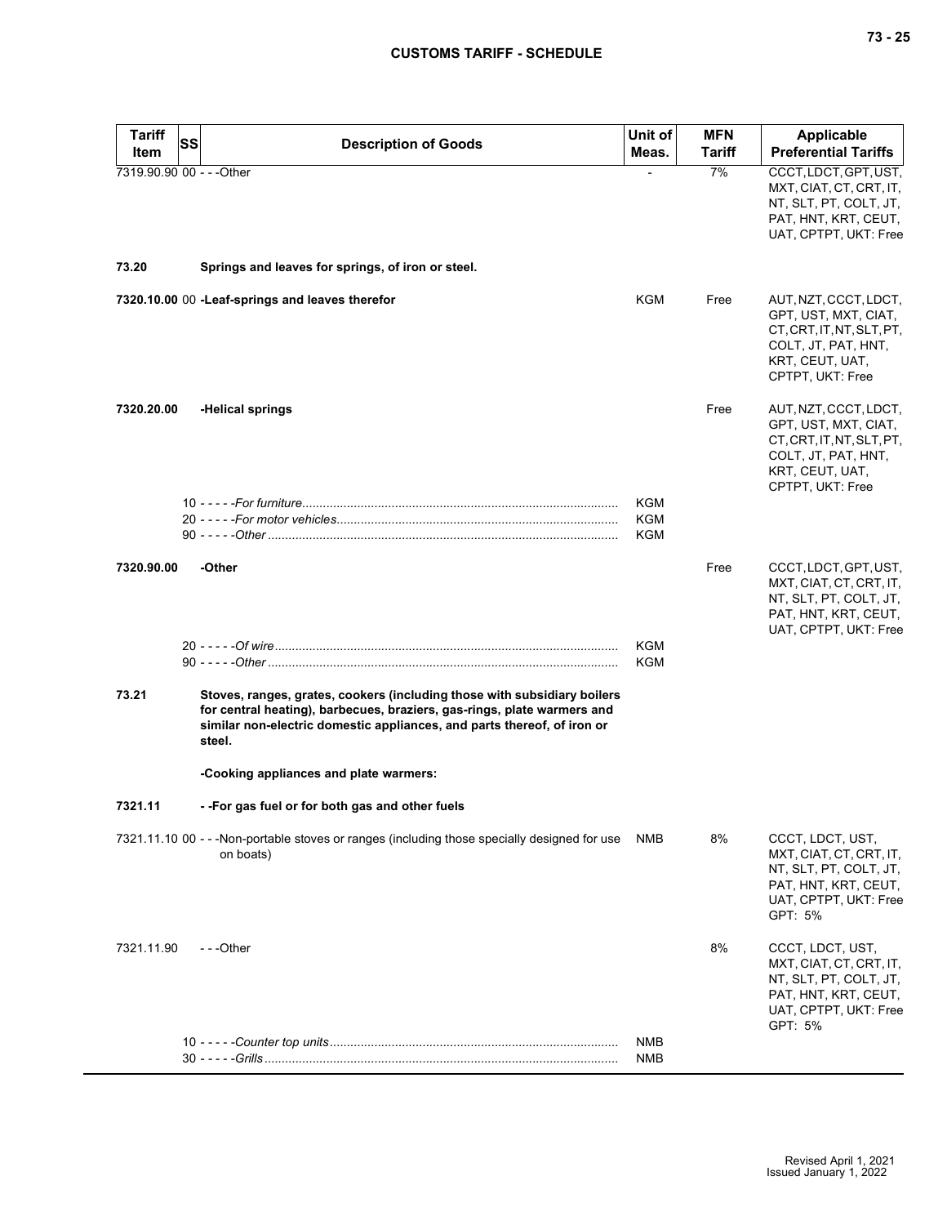| <b>Tariff</b>                     | SS | <b>Description of Goods</b>                                                                                                                                                                                                              | Unit of           | <b>MFN</b>   | <b>Applicable</b>                                                                                                                        |
|-----------------------------------|----|------------------------------------------------------------------------------------------------------------------------------------------------------------------------------------------------------------------------------------------|-------------------|--------------|------------------------------------------------------------------------------------------------------------------------------------------|
| Item<br>7319.90.90 00 - - - Other |    |                                                                                                                                                                                                                                          | Meas.             | Tariff<br>7% | <b>Preferential Tariffs</b><br>CCCT, LDCT, GPT, UST,                                                                                     |
|                                   |    |                                                                                                                                                                                                                                          |                   |              | MXT, CIAT, CT, CRT, IT,<br>NT, SLT, PT, COLT, JT,<br>PAT, HNT, KRT, CEUT,<br>UAT, CPTPT, UKT: Free                                       |
| 73.20                             |    | Springs and leaves for springs, of iron or steel.                                                                                                                                                                                        |                   |              |                                                                                                                                          |
|                                   |    | 7320.10.00 00 -Leaf-springs and leaves therefor                                                                                                                                                                                          | KGM               | Free         | AUT, NZT, CCCT, LDCT,<br>GPT, UST, MXT, CIAT,<br>CT.CRT.IT.NT.SLT.PT.<br>COLT, JT, PAT, HNT,<br>KRT, CEUT, UAT,<br>CPTPT, UKT: Free      |
| 7320.20.00                        |    | -Helical springs                                                                                                                                                                                                                         |                   | Free         | AUT, NZT, CCCT, LDCT,<br>GPT, UST, MXT, CIAT,<br>CT, CRT, IT, NT, SLT, PT,<br>COLT, JT, PAT, HNT,<br>KRT, CEUT, UAT,<br>CPTPT, UKT: Free |
|                                   |    |                                                                                                                                                                                                                                          | KGM<br>KGM<br>KGM |              |                                                                                                                                          |
| 7320.90.00                        |    | -Other                                                                                                                                                                                                                                   |                   | Free         | CCCT, LDCT, GPT, UST,<br>MXT, CIAT, CT, CRT, IT,<br>NT, SLT, PT, COLT, JT,<br>PAT, HNT, KRT, CEUT,<br>UAT, CPTPT, UKT: Free              |
|                                   |    |                                                                                                                                                                                                                                          | KGM<br>KGM        |              |                                                                                                                                          |
| 73.21                             |    | Stoves, ranges, grates, cookers (including those with subsidiary boilers<br>for central heating), barbecues, braziers, gas-rings, plate warmers and<br>similar non-electric domestic appliances, and parts thereof, of iron or<br>steel. |                   |              |                                                                                                                                          |
|                                   |    | -Cooking appliances and plate warmers:                                                                                                                                                                                                   |                   |              |                                                                                                                                          |
| 7321.11                           |    | --For gas fuel or for both gas and other fuels                                                                                                                                                                                           |                   |              |                                                                                                                                          |
|                                   |    | 7321.11.10 00 - - - Non-portable stoves or ranges (including those specially designed for use<br>on boats)                                                                                                                               | NMB               | 8%           | CCCT, LDCT, UST,<br>MXT, CIAT, CT, CRT, IT,<br>NT, SLT, PT, COLT, JT,<br>PAT, HNT, KRT, CEUT,<br>UAT, CPTPT, UKT: Free<br>GPT: 5%        |
| 7321.11.90                        |    | ---Other                                                                                                                                                                                                                                 |                   | 8%           | CCCT, LDCT, UST,<br>MXT, CIAT, CT, CRT, IT,<br>NT, SLT, PT, COLT, JT,<br>PAT, HNT, KRT, CEUT,<br>UAT, CPTPT, UKT: Free<br>GPT: 5%        |
|                                   |    |                                                                                                                                                                                                                                          | NMB               |              |                                                                                                                                          |
|                                   |    |                                                                                                                                                                                                                                          | <b>NMB</b>        |              |                                                                                                                                          |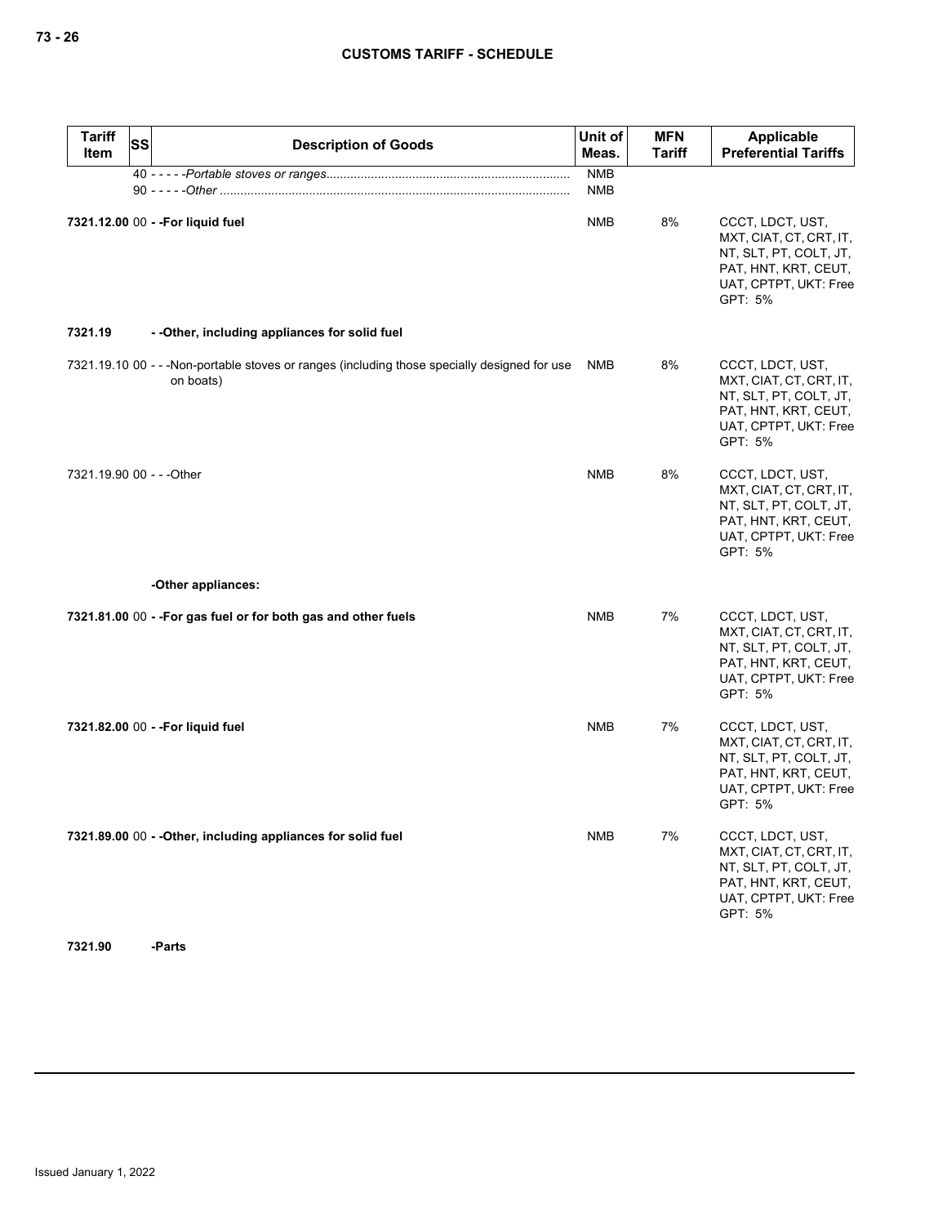| <b>Tariff</b><br>Item     | <b>SS</b> | <b>Description of Goods</b>                                                                                | Unit of<br>Meas.         | <b>MFN</b><br><b>Tariff</b> | Applicable<br><b>Preferential Tariffs</b>                                                                                         |
|---------------------------|-----------|------------------------------------------------------------------------------------------------------------|--------------------------|-----------------------------|-----------------------------------------------------------------------------------------------------------------------------------|
|                           |           |                                                                                                            | <b>NMB</b><br><b>NMB</b> |                             |                                                                                                                                   |
|                           |           | 7321.12.00 00 - - For liquid fuel                                                                          | <b>NMB</b>               | 8%                          | CCCT, LDCT, UST,<br>MXT, CIAT, CT, CRT, IT,<br>NT, SLT, PT, COLT, JT,<br>PAT, HNT, KRT, CEUT,<br>UAT, CPTPT, UKT: Free<br>GPT: 5% |
| 7321.19                   |           | - - Other, including appliances for solid fuel                                                             |                          |                             |                                                                                                                                   |
|                           |           | 7321.19.10 00 - - - Non-portable stoves or ranges (including those specially designed for use<br>on boats) | NMB                      | 8%                          | CCCT, LDCT, UST,<br>MXT, CIAT, CT, CRT, IT,<br>NT, SLT, PT, COLT, JT,<br>PAT, HNT, KRT, CEUT,<br>UAT, CPTPT, UKT: Free<br>GPT: 5% |
| 7321.19.90 00 - - - Other |           |                                                                                                            | <b>NMB</b>               | 8%                          | CCCT, LDCT, UST,<br>MXT, CIAT, CT, CRT, IT,<br>NT, SLT, PT, COLT, JT,<br>PAT, HNT, KRT, CEUT,<br>UAT, CPTPT, UKT: Free<br>GPT: 5% |
|                           |           | -Other appliances:                                                                                         |                          |                             |                                                                                                                                   |
|                           |           | 7321.81.00 00 - - For gas fuel or for both gas and other fuels                                             | NMB                      | 7%                          | CCCT, LDCT, UST,<br>MXT, CIAT, CT, CRT, IT,<br>NT, SLT, PT, COLT, JT,<br>PAT, HNT, KRT, CEUT,<br>UAT, CPTPT, UKT: Free<br>GPT: 5% |
|                           |           | 7321.82.00 00 - - For liquid fuel                                                                          | <b>NMB</b>               | 7%                          | CCCT, LDCT, UST,<br>MXT, CIAT, CT, CRT, IT,<br>NT, SLT, PT, COLT, JT,<br>PAT, HNT, KRT, CEUT,<br>UAT, CPTPT, UKT: Free<br>GPT: 5% |
|                           |           | 7321.89.00 00 - - Other, including appliances for solid fuel                                               | <b>NMB</b>               | 7%                          | CCCT, LDCT, UST,<br>MXT, CIAT, CT, CRT, IT,<br>NT, SLT, PT, COLT, JT,<br>PAT, HNT, KRT, CEUT,<br>UAT, CPTPT, UKT: Free<br>GPT: 5% |

**7321.90 -Parts**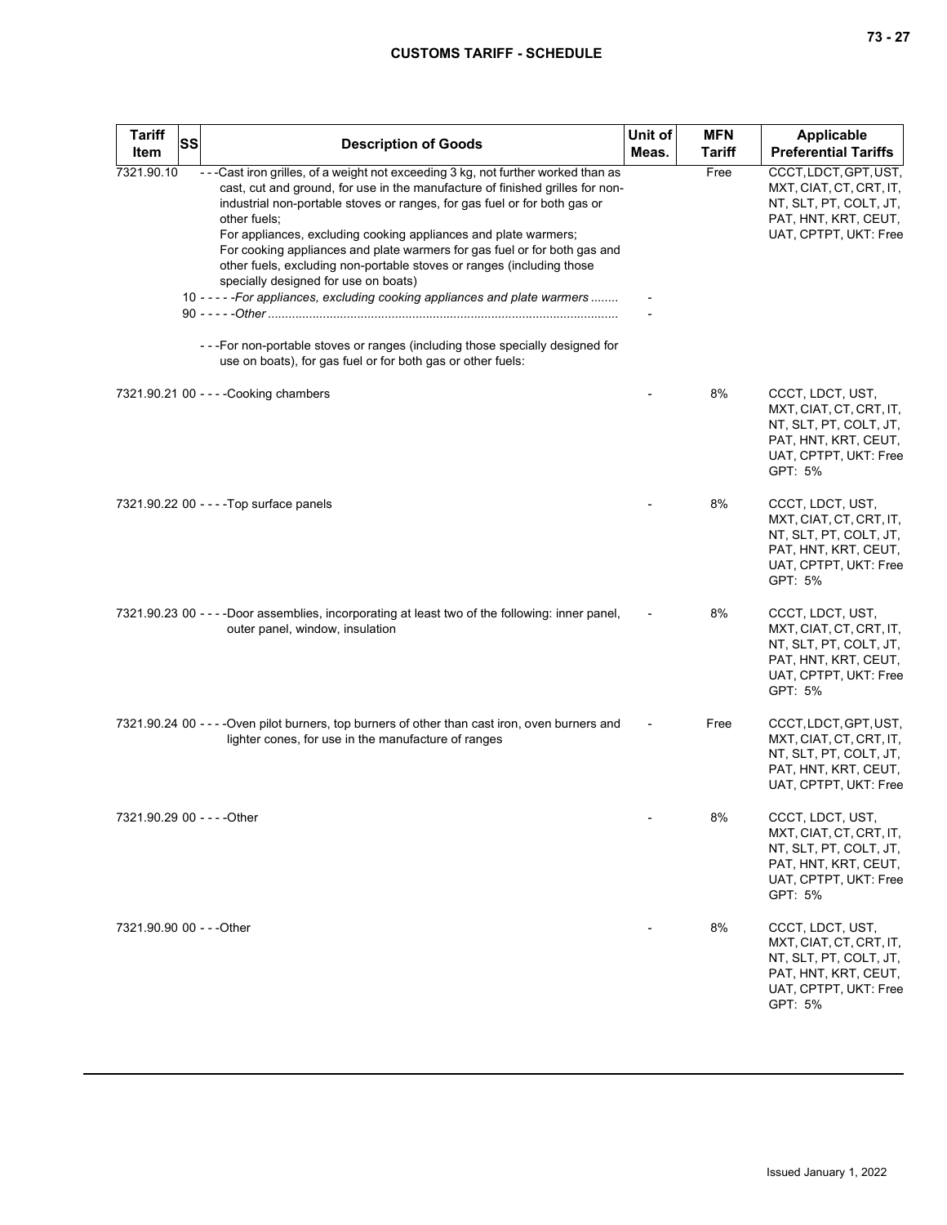| <b>Tariff</b><br><b>Item</b> | <b>SS</b> | <b>Description of Goods</b>                                                                                                                                                                                                                                                                                                                                                                                                                                                                                                                                                                                                                                                                       | Unit of<br>Meas. | <b>MFN</b><br><b>Tariff</b> | <b>Applicable</b><br><b>Preferential Tariffs</b>                                                                                  |
|------------------------------|-----------|---------------------------------------------------------------------------------------------------------------------------------------------------------------------------------------------------------------------------------------------------------------------------------------------------------------------------------------------------------------------------------------------------------------------------------------------------------------------------------------------------------------------------------------------------------------------------------------------------------------------------------------------------------------------------------------------------|------------------|-----------------------------|-----------------------------------------------------------------------------------------------------------------------------------|
| 7321.90.10                   |           | ---Cast iron grilles, of a weight not exceeding 3 kg, not further worked than as<br>cast, cut and ground, for use in the manufacture of finished grilles for non-<br>industrial non-portable stoves or ranges, for gas fuel or for both gas or<br>other fuels;<br>For appliances, excluding cooking appliances and plate warmers;<br>For cooking appliances and plate warmers for gas fuel or for both gas and<br>other fuels, excluding non-portable stoves or ranges (including those<br>specially designed for use on boats)<br>10 - - - - - For appliances, excluding cooking appliances and plate warmers<br>- - - For non-portable stoves or ranges (including those specially designed for |                  | Free                        | CCCT, LDCT, GPT, UST,<br>MXT, CIAT, CT, CRT, IT,<br>NT, SLT, PT, COLT, JT,<br>PAT, HNT, KRT, CEUT,<br>UAT, CPTPT, UKT: Free       |
|                              |           | use on boats), for gas fuel or for both gas or other fuels:<br>7321.90.21 00 - - - - Cooking chambers                                                                                                                                                                                                                                                                                                                                                                                                                                                                                                                                                                                             |                  | 8%                          | CCCT, LDCT, UST,<br>MXT, CIAT, CT, CRT, IT,<br>NT, SLT, PT, COLT, JT,<br>PAT, HNT, KRT, CEUT,<br>UAT, CPTPT, UKT: Free<br>GPT: 5% |
|                              |           | 7321.90.22 00 - - - - Top surface panels                                                                                                                                                                                                                                                                                                                                                                                                                                                                                                                                                                                                                                                          |                  | 8%                          | CCCT, LDCT, UST,<br>MXT, CIAT, CT, CRT, IT,<br>NT, SLT, PT, COLT, JT,<br>PAT, HNT, KRT, CEUT,<br>UAT, CPTPT, UKT: Free<br>GPT: 5% |
|                              |           | 7321.90.23 00 - - - -Door assemblies, incorporating at least two of the following: inner panel,<br>outer panel, window, insulation                                                                                                                                                                                                                                                                                                                                                                                                                                                                                                                                                                |                  | 8%                          | CCCT, LDCT, UST,<br>MXT, CIAT, CT, CRT, IT,<br>NT, SLT, PT, COLT, JT,<br>PAT, HNT, KRT, CEUT,<br>UAT, CPTPT, UKT: Free<br>GPT: 5% |
|                              |           | 7321.90.24 00 - - - - Oven pilot burners, top burners of other than cast iron, oven burners and<br>lighter cones, for use in the manufacture of ranges                                                                                                                                                                                                                                                                                                                                                                                                                                                                                                                                            |                  | Free                        | CCCT, LDCT, GPT, UST,<br>MXT, CIAT, CT, CRT, IT,<br>NT, SLT, PT, COLT, JT,<br>PAT, HNT, KRT, CEUT,<br>UAT, CPTPT, UKT: Free       |
|                              |           |                                                                                                                                                                                                                                                                                                                                                                                                                                                                                                                                                                                                                                                                                                   |                  | 8%                          | CCCT, LDCT, UST,<br>MXT, CIAT, CT, CRT, IT,<br>NT, SLT, PT, COLT, JT,<br>PAT, HNT, KRT, CEUT,<br>UAT, CPTPT, UKT: Free<br>GPT: 5% |
| 7321.90.90 00 - - - Other    |           |                                                                                                                                                                                                                                                                                                                                                                                                                                                                                                                                                                                                                                                                                                   |                  | 8%                          | CCCT, LDCT, UST,<br>MXT, CIAT, CT, CRT, IT,<br>NT, SLT, PT, COLT, JT,<br>PAT, HNT, KRT, CEUT,<br>UAT, CPTPT, UKT: Free<br>GPT: 5% |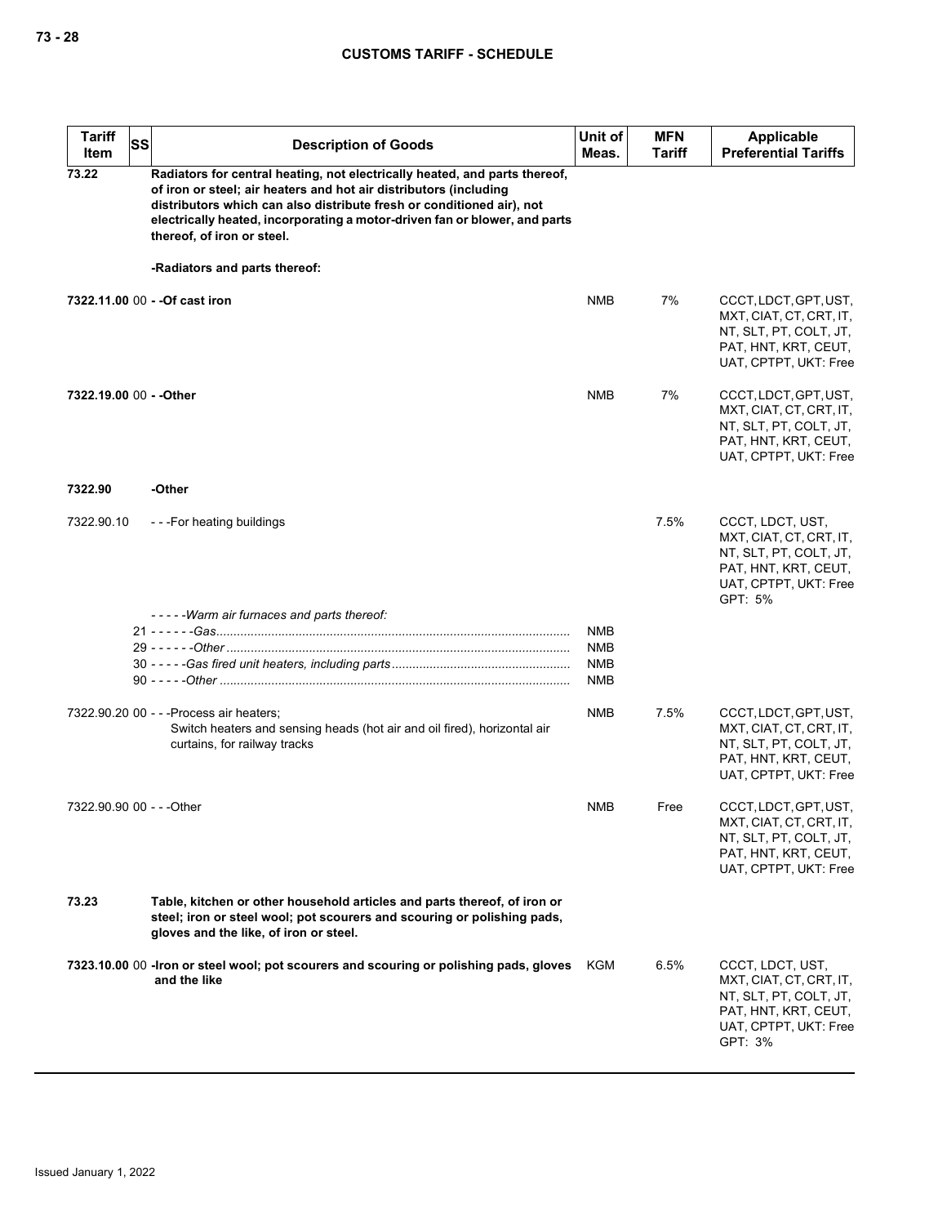| <b>Tariff</b><br>Item     | SS | <b>Description of Goods</b>                                                                                                                                                                                                                                                                                                          | Unit of<br>Meas.                       | <b>MFN</b><br>Tariff | <b>Applicable</b><br><b>Preferential Tariffs</b>                                                                                  |
|---------------------------|----|--------------------------------------------------------------------------------------------------------------------------------------------------------------------------------------------------------------------------------------------------------------------------------------------------------------------------------------|----------------------------------------|----------------------|-----------------------------------------------------------------------------------------------------------------------------------|
| 73.22                     |    | Radiators for central heating, not electrically heated, and parts thereof,<br>of iron or steel; air heaters and hot air distributors (including<br>distributors which can also distribute fresh or conditioned air), not<br>electrically heated, incorporating a motor-driven fan or blower, and parts<br>thereof, of iron or steel. |                                        |                      |                                                                                                                                   |
|                           |    | -Radiators and parts thereof:                                                                                                                                                                                                                                                                                                        |                                        |                      |                                                                                                                                   |
|                           |    | 7322.11.00 00 - - Of cast iron                                                                                                                                                                                                                                                                                                       | <b>NMB</b>                             | 7%                   | CCCT, LDCT, GPT, UST,<br>MXT, CIAT, CT, CRT, IT,<br>NT, SLT, PT, COLT, JT,<br>PAT, HNT, KRT, CEUT,<br>UAT, CPTPT, UKT: Free       |
| 7322.19.00 00 - - Other   |    |                                                                                                                                                                                                                                                                                                                                      | <b>NMB</b>                             | 7%                   | CCCT, LDCT, GPT, UST,<br>MXT, CIAT, CT, CRT, IT,<br>NT, SLT, PT, COLT, JT,<br>PAT, HNT, KRT, CEUT,<br>UAT, CPTPT, UKT: Free       |
| 7322.90                   |    | -Other                                                                                                                                                                                                                                                                                                                               |                                        |                      |                                                                                                                                   |
| 7322.90.10                |    | ---For heating buildings                                                                                                                                                                                                                                                                                                             |                                        | 7.5%                 | CCCT, LDCT, UST,<br>MXT, CIAT, CT, CRT, IT,<br>NT, SLT, PT, COLT, JT,<br>PAT, HNT, KRT, CEUT,<br>UAT, CPTPT, UKT: Free<br>GPT: 5% |
|                           |    | -----Warm air furnaces and parts thereof:                                                                                                                                                                                                                                                                                            |                                        |                      |                                                                                                                                   |
|                           |    |                                                                                                                                                                                                                                                                                                                                      | <b>NMB</b><br>NMB<br><b>NMB</b><br>NMB |                      |                                                                                                                                   |
|                           |    | 7322.90.20 00 - - - Process air heaters;<br>Switch heaters and sensing heads (hot air and oil fired), horizontal air<br>curtains, for railway tracks                                                                                                                                                                                 | NMB                                    | 7.5%                 | CCCT, LDCT, GPT, UST,<br>MXT, CIAT, CT, CRT, IT,<br>NT, SLT, PT, COLT, JT,<br>PAT, HNT, KRT, CEUT,<br>UAT, CPTPT, UKT: Free       |
| 7322.90.90 00 - - - Other |    |                                                                                                                                                                                                                                                                                                                                      | NMB                                    | Free                 | CCCT, LDCT, GPT, UST,<br>MXT, CIAT, CT, CRT, IT,<br>NT, SLT, PT, COLT, JT,<br>PAT, HNT, KRT, CEUT,<br>UAT, CPTPT, UKT: Free       |
| 73.23                     |    | Table, kitchen or other household articles and parts thereof, of iron or<br>steel; iron or steel wool; pot scourers and scouring or polishing pads,<br>gloves and the like, of iron or steel.                                                                                                                                        |                                        |                      |                                                                                                                                   |
|                           |    | 7323.10.00 00 - Iron or steel wool; pot scourers and scouring or polishing pads, gloves<br>and the like                                                                                                                                                                                                                              | KGM                                    | 6.5%                 | CCCT, LDCT, UST,<br>MXT, CIAT, CT, CRT, IT,<br>NT, SLT, PT, COLT, JT,<br>PAT, HNT, KRT, CEUT,<br>UAT, CPTPT, UKT: Free<br>GPT: 3% |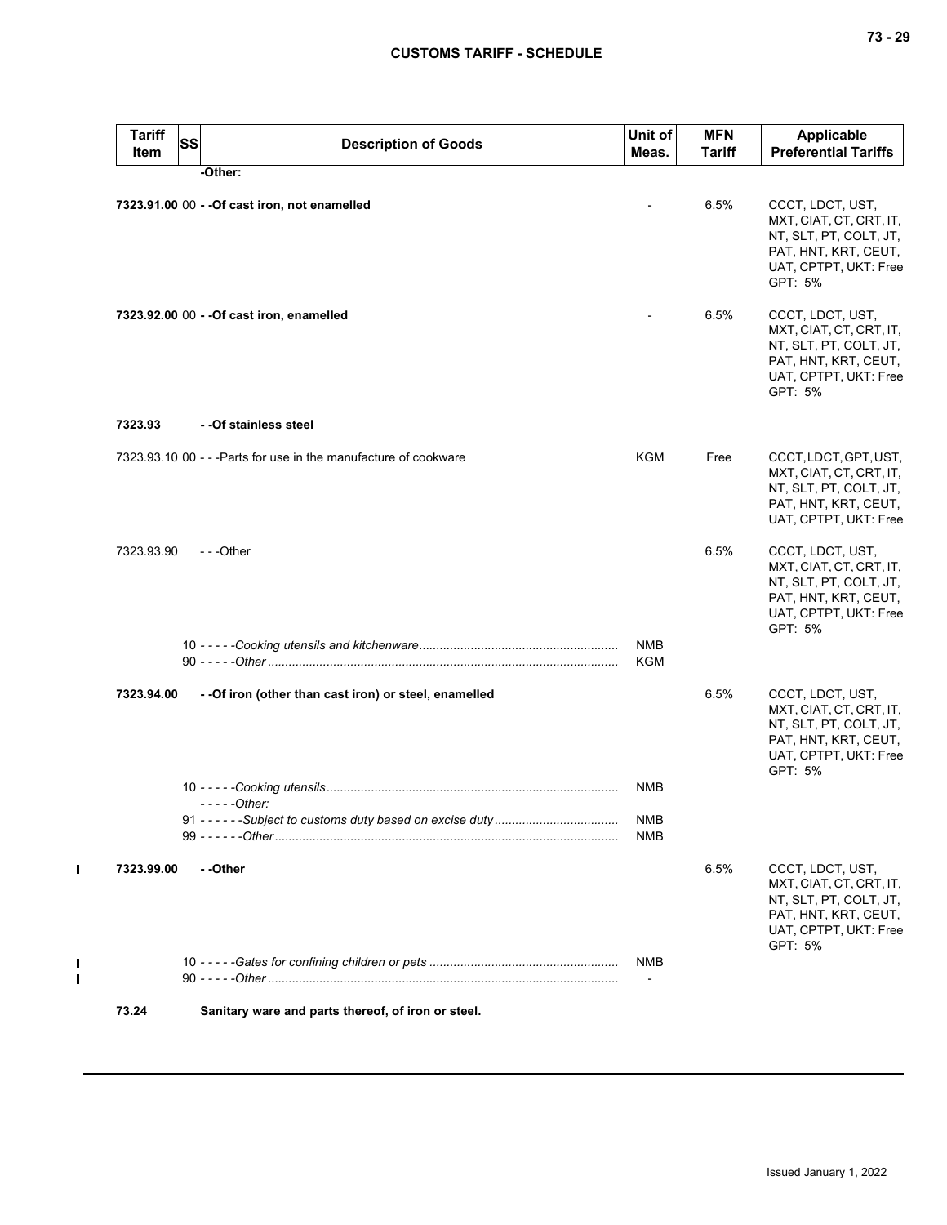| <b>Tariff</b><br><b>Item</b> | SS | <b>Description of Goods</b>                                      | Unit of<br>Meas.                       | <b>MFN</b><br>Tariff | Applicable<br><b>Preferential Tariffs</b>                                                                                         |
|------------------------------|----|------------------------------------------------------------------|----------------------------------------|----------------------|-----------------------------------------------------------------------------------------------------------------------------------|
|                              |    | -Other:                                                          |                                        |                      |                                                                                                                                   |
|                              |    | 7323.91.00 00 - - Of cast iron, not enamelled                    |                                        | 6.5%                 | CCCT, LDCT, UST,<br>MXT, CIAT, CT, CRT, IT,<br>NT, SLT, PT, COLT, JT,<br>PAT, HNT, KRT, CEUT,<br>UAT, CPTPT, UKT: Free<br>GPT: 5% |
|                              |    | 7323.92.00 00 - - Of cast iron, enamelled                        |                                        | 6.5%                 | CCCT, LDCT, UST,<br>MXT, CIAT, CT, CRT, IT,<br>NT, SLT, PT, COLT, JT,<br>PAT, HNT, KRT, CEUT,<br>UAT, CPTPT, UKT: Free<br>GPT: 5% |
| 7323.93                      |    | - - Of stainless steel                                           |                                        |                      |                                                                                                                                   |
|                              |    | 7323.93.10 00 - - - Parts for use in the manufacture of cookware | <b>KGM</b>                             | Free                 | CCCT, LDCT, GPT, UST,<br>MXT, CIAT, CT, CRT, IT,<br>NT, SLT, PT, COLT, JT,<br>PAT, HNT, KRT, CEUT,<br>UAT, CPTPT, UKT: Free       |
| 7323.93.90                   |    | $- -$ Other                                                      |                                        | 6.5%                 | CCCT, LDCT, UST,<br>MXT, CIAT, CT, CRT, IT,<br>NT, SLT, PT, COLT, JT,<br>PAT, HNT, KRT, CEUT,<br>UAT, CPTPT, UKT: Free<br>GPT: 5% |
|                              |    |                                                                  | <b>NMB</b><br>KGM                      |                      |                                                                                                                                   |
| 7323.94.00                   |    | - - Of iron (other than cast iron) or steel, enamelled           |                                        | 6.5%                 | CCCT, LDCT, UST,<br>MXT, CIAT, CT, CRT, IT,<br>NT, SLT, PT, COLT, JT,<br>PAT, HNT, KRT, CEUT,<br>UAT, CPTPT, UKT: Free<br>GPT: 5% |
|                              |    |                                                                  | <b>NMB</b>                             |                      |                                                                                                                                   |
|                              |    | $---Other:$                                                      | <b>NMB</b>                             |                      |                                                                                                                                   |
|                              |    |                                                                  | NMB                                    |                      |                                                                                                                                   |
| 7323.99.00                   |    | - -Other                                                         |                                        | 6.5%                 | CCCT, LDCT, UST,<br>MXT, CIAT, CT, CRT, IT,<br>NT, SLT, PT, COLT, JT,<br>PAT, HNT, KRT, CEUT,<br>UAT, CPTPT, UKT: Free<br>GPT: 5% |
|                              |    |                                                                  | <b>NMB</b><br>$\overline{\phantom{a}}$ |                      |                                                                                                                                   |
| 73.24                        |    | Sanitary ware and parts thereof, of iron or steel.               |                                        |                      |                                                                                                                                   |

 $\mathbf{I}$ 

 $\mathbf{I}$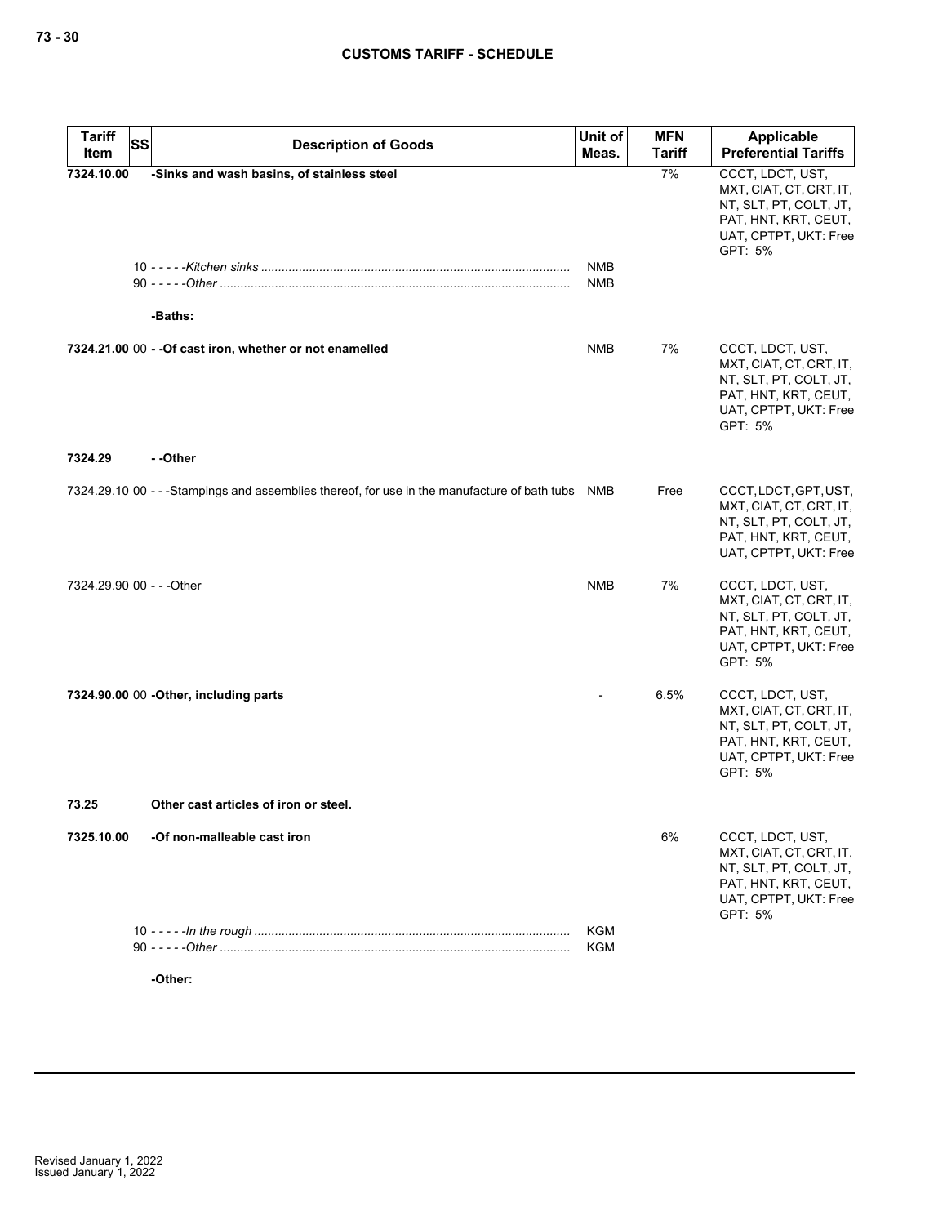| <b>Tariff</b><br><b>SS</b><br>Item | <b>Description of Goods</b>                                                                       | Unit of<br>Meas.  | <b>MFN</b><br><b>Tariff</b> | <b>Applicable</b><br><b>Preferential Tariffs</b>                                                                                  |
|------------------------------------|---------------------------------------------------------------------------------------------------|-------------------|-----------------------------|-----------------------------------------------------------------------------------------------------------------------------------|
| 7324.10.00                         | -Sinks and wash basins, of stainless steel                                                        |                   | 7%                          | CCCT, LDCT, UST,<br>MXT, CIAT, CT, CRT, IT,<br>NT, SLT, PT, COLT, JT,<br>PAT, HNT, KRT, CEUT,<br>UAT, CPTPT, UKT: Free            |
|                                    |                                                                                                   | NMB<br><b>NMB</b> |                             | GPT: 5%                                                                                                                           |
|                                    | -Baths:<br>7324.21.00 00 - - Of cast iron, whether or not enamelled                               | <b>NMB</b>        | 7%                          | CCCT, LDCT, UST,<br>MXT, CIAT, CT, CRT, IT,<br>NT, SLT, PT, COLT, JT,<br>PAT, HNT, KRT, CEUT,<br>UAT, CPTPT, UKT: Free<br>GPT: 5% |
| 7324.29                            | - -Other                                                                                          |                   |                             |                                                                                                                                   |
|                                    | 7324.29.10 00 - - - Stampings and assemblies thereof, for use in the manufacture of bath tubs NMB |                   | Free                        | CCCT, LDCT, GPT, UST,<br>MXT, CIAT, CT, CRT, IT,<br>NT, SLT, PT, COLT, JT,<br>PAT, HNT, KRT, CEUT,<br>UAT, CPTPT, UKT: Free       |
| 7324.29.90 00 - - - Other          |                                                                                                   | <b>NMB</b>        | 7%                          | CCCT, LDCT, UST,<br>MXT, CIAT, CT, CRT, IT,<br>NT, SLT, PT, COLT, JT,<br>PAT, HNT, KRT, CEUT,<br>UAT, CPTPT, UKT: Free<br>GPT: 5% |
|                                    | 7324.90.00 00 - Other, including parts                                                            |                   | 6.5%                        | CCCT, LDCT, UST,<br>MXT, CIAT, CT, CRT, IT,<br>NT, SLT, PT, COLT, JT,<br>PAT, HNT, KRT, CEUT,<br>UAT, CPTPT, UKT: Free<br>GPT: 5% |
| 73.25                              | Other cast articles of iron or steel.                                                             |                   |                             |                                                                                                                                   |
| 7325.10.00                         | -Of non-malleable cast iron                                                                       |                   | 6%                          | CCCT, LDCT, UST,<br>MXT, CIAT, CT, CRT, IT,<br>NT, SLT, PT, COLT, JT,<br>PAT, HNT, KRT, CEUT,<br>UAT, CPTPT, UKT: Free<br>GPT: 5% |
|                                    |                                                                                                   | <b>KGM</b>        |                             |                                                                                                                                   |
|                                    |                                                                                                   | <b>KGM</b>        |                             |                                                                                                                                   |

**-Other:**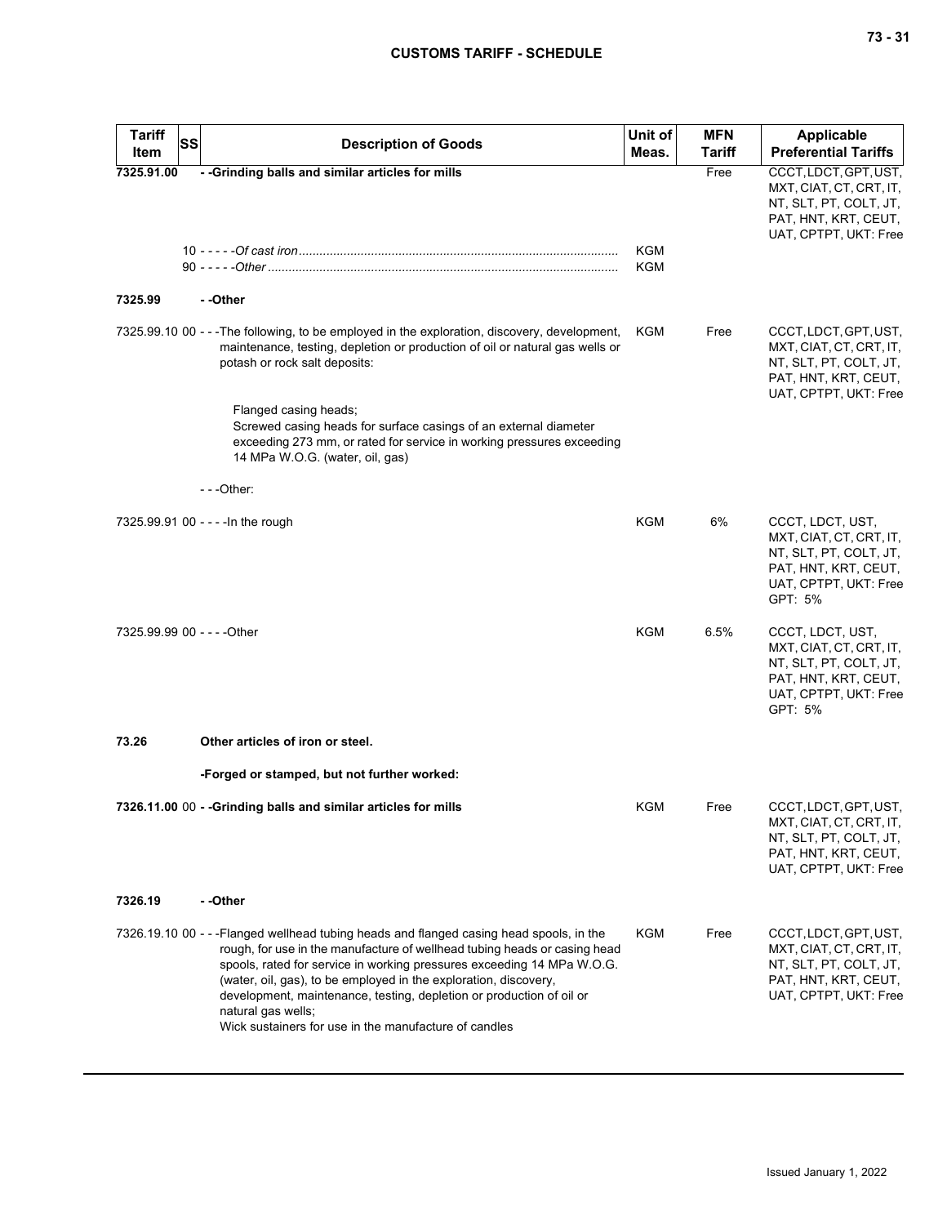| <b>Tariff</b><br>Item | <b>SS</b> | <b>Description of Goods</b>                                                                                                                                                                                                                                                                                                                                                                                                                                               | Unit of<br>Meas. | <b>MFN</b><br><b>Tariff</b> | <b>Applicable</b><br><b>Preferential Tariffs</b>                                                                                  |
|-----------------------|-----------|---------------------------------------------------------------------------------------------------------------------------------------------------------------------------------------------------------------------------------------------------------------------------------------------------------------------------------------------------------------------------------------------------------------------------------------------------------------------------|------------------|-----------------------------|-----------------------------------------------------------------------------------------------------------------------------------|
| 7325.91.00            |           | - - Grinding balls and similar articles for mills                                                                                                                                                                                                                                                                                                                                                                                                                         | KGM<br>KGM       | Free                        | CCCT, LDCT, GPT, UST,<br>MXT, CIAT, CT, CRT, IT,<br>NT, SLT, PT, COLT, JT,<br>PAT, HNT, KRT, CEUT,<br>UAT, CPTPT, UKT: Free       |
| 7325.99               |           | - -Other                                                                                                                                                                                                                                                                                                                                                                                                                                                                  |                  |                             |                                                                                                                                   |
|                       |           | 7325.99.10 00 - - - The following, to be employed in the exploration, discovery, development,<br>maintenance, testing, depletion or production of oil or natural gas wells or<br>potash or rock salt deposits:<br>Flanged casing heads;<br>Screwed casing heads for surface casings of an external diameter<br>exceeding 273 mm, or rated for service in working pressures exceeding<br>14 MPa W.O.G. (water, oil, gas)                                                   | KGM              | Free                        | CCCT, LDCT, GPT, UST,<br>MXT, CIAT, CT, CRT, IT,<br>NT, SLT, PT, COLT, JT,<br>PAT, HNT, KRT, CEUT,<br>UAT, CPTPT, UKT: Free       |
|                       |           | ---Other:                                                                                                                                                                                                                                                                                                                                                                                                                                                                 |                  |                             |                                                                                                                                   |
|                       |           | 7325.99.91 00 - - - - In the rough                                                                                                                                                                                                                                                                                                                                                                                                                                        | KGM              | 6%                          | CCCT, LDCT, UST,<br>MXT, CIAT, CT, CRT, IT,<br>NT, SLT, PT, COLT, JT,<br>PAT, HNT, KRT, CEUT,<br>UAT, CPTPT, UKT: Free<br>GPT: 5% |
|                       |           | 7325.99.99 00 - - - - Other                                                                                                                                                                                                                                                                                                                                                                                                                                               | <b>KGM</b>       | 6.5%                        | CCCT, LDCT, UST,<br>MXT, CIAT, CT, CRT, IT,<br>NT, SLT, PT, COLT, JT,<br>PAT, HNT, KRT, CEUT,<br>UAT, CPTPT, UKT: Free<br>GPT: 5% |
| 73.26                 |           | Other articles of iron or steel.                                                                                                                                                                                                                                                                                                                                                                                                                                          |                  |                             |                                                                                                                                   |
|                       |           | -Forged or stamped, but not further worked:                                                                                                                                                                                                                                                                                                                                                                                                                               |                  |                             |                                                                                                                                   |
|                       |           | 7326.11.00 00 - - Grinding balls and similar articles for mills                                                                                                                                                                                                                                                                                                                                                                                                           | KGM              | Free                        | CCCT, LDCT, GPT, UST,<br>MXT, CIAT, CT, CRT, IT,<br>NT, SLT, PT, COLT, JT,<br>PAT, HNT, KRT, CEUT,<br>UAT, CPTPT, UKT: Free       |
| 7326.19               |           | - -Other                                                                                                                                                                                                                                                                                                                                                                                                                                                                  |                  |                             |                                                                                                                                   |
|                       |           | 7326.19.10 00 - - -Flanged wellhead tubing heads and flanged casing head spools, in the<br>rough, for use in the manufacture of wellhead tubing heads or casing head<br>spools, rated for service in working pressures exceeding 14 MPa W.O.G.<br>(water, oil, gas), to be employed in the exploration, discovery,<br>development, maintenance, testing, depletion or production of oil or<br>natural gas wells;<br>Wick sustainers for use in the manufacture of candles | KGM              | Free                        | CCCT, LDCT, GPT, UST,<br>MXT, CIAT, CT, CRT, IT,<br>NT, SLT, PT, COLT, JT,<br>PAT, HNT, KRT, CEUT,<br>UAT, CPTPT, UKT: Free       |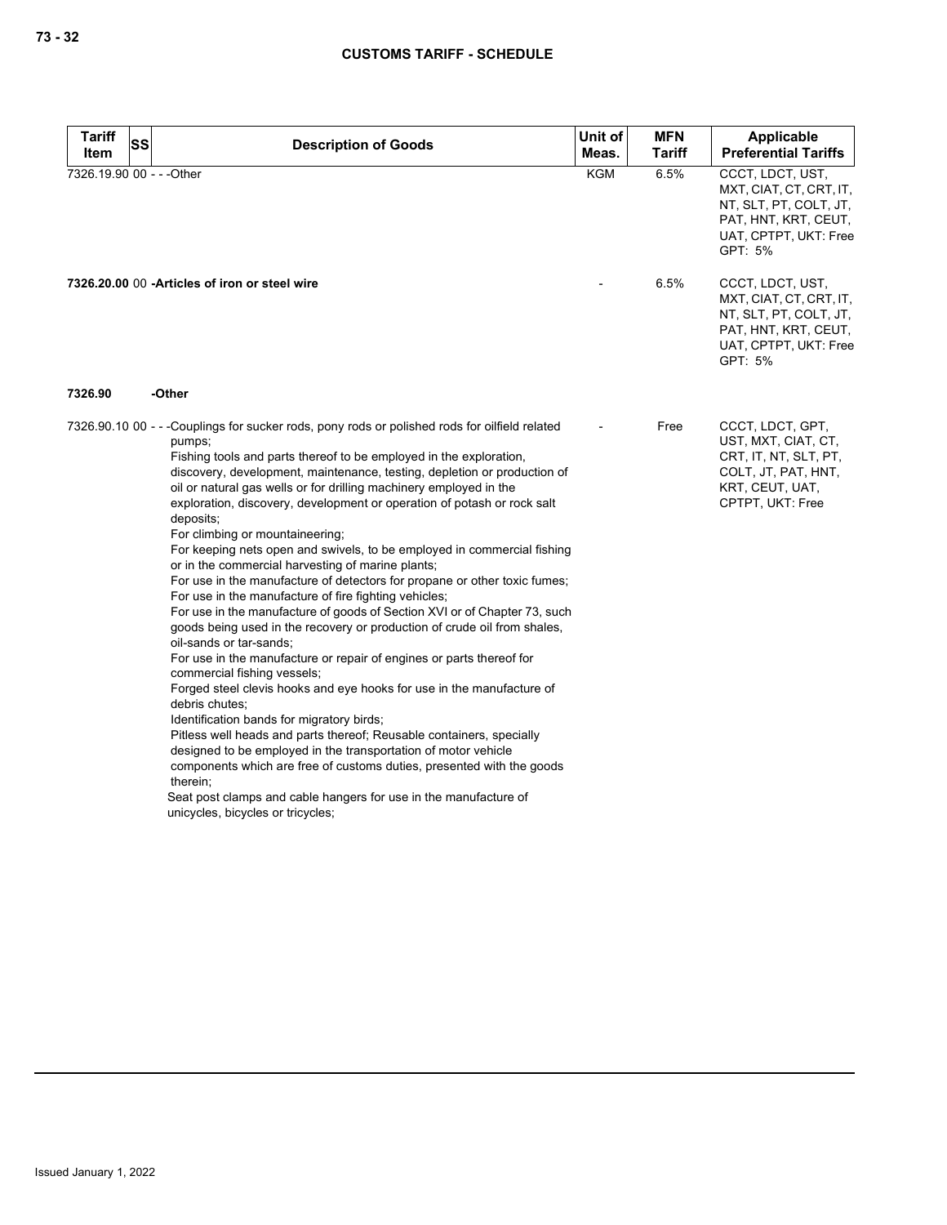| Tariff<br>Item            | <b>SS</b> | <b>Description of Goods</b>                                                                                                                                                                                                                                                                                                                                                                                                                                                                                                                                                                                                                                                                                                                                                                                                                                                                                                                                                                                                                                                                                                                                                                                                                                                                                                                                                                                                                                                                                 | Unit of<br>Meas. | <b>MFN</b><br>Tariff | Applicable<br><b>Preferential Tariffs</b>                                                                                         |
|---------------------------|-----------|-------------------------------------------------------------------------------------------------------------------------------------------------------------------------------------------------------------------------------------------------------------------------------------------------------------------------------------------------------------------------------------------------------------------------------------------------------------------------------------------------------------------------------------------------------------------------------------------------------------------------------------------------------------------------------------------------------------------------------------------------------------------------------------------------------------------------------------------------------------------------------------------------------------------------------------------------------------------------------------------------------------------------------------------------------------------------------------------------------------------------------------------------------------------------------------------------------------------------------------------------------------------------------------------------------------------------------------------------------------------------------------------------------------------------------------------------------------------------------------------------------------|------------------|----------------------|-----------------------------------------------------------------------------------------------------------------------------------|
| 7326.19.90 00 - - - Other |           |                                                                                                                                                                                                                                                                                                                                                                                                                                                                                                                                                                                                                                                                                                                                                                                                                                                                                                                                                                                                                                                                                                                                                                                                                                                                                                                                                                                                                                                                                                             | <b>KGM</b>       | 6.5%                 | CCCT, LDCT, UST,<br>MXT, CIAT, CT, CRT, IT,<br>NT, SLT, PT, COLT, JT,<br>PAT, HNT, KRT, CEUT,<br>UAT, CPTPT, UKT: Free<br>GPT: 5% |
|                           |           | 7326.20.00 00 -Articles of iron or steel wire                                                                                                                                                                                                                                                                                                                                                                                                                                                                                                                                                                                                                                                                                                                                                                                                                                                                                                                                                                                                                                                                                                                                                                                                                                                                                                                                                                                                                                                               |                  | 6.5%                 | CCCT, LDCT, UST,<br>MXT, CIAT, CT, CRT, IT,<br>NT, SLT, PT, COLT, JT,<br>PAT, HNT, KRT, CEUT,<br>UAT, CPTPT, UKT: Free<br>GPT: 5% |
| 7326.90                   |           | -Other                                                                                                                                                                                                                                                                                                                                                                                                                                                                                                                                                                                                                                                                                                                                                                                                                                                                                                                                                                                                                                                                                                                                                                                                                                                                                                                                                                                                                                                                                                      |                  |                      |                                                                                                                                   |
|                           |           | 7326.90.10 00 - - -Couplings for sucker rods, pony rods or polished rods for oilfield related<br>pumps;<br>Fishing tools and parts thereof to be employed in the exploration,<br>discovery, development, maintenance, testing, depletion or production of<br>oil or natural gas wells or for drilling machinery employed in the<br>exploration, discovery, development or operation of potash or rock salt<br>deposits;<br>For climbing or mountaineering;<br>For keeping nets open and swivels, to be employed in commercial fishing<br>or in the commercial harvesting of marine plants;<br>For use in the manufacture of detectors for propane or other toxic fumes;<br>For use in the manufacture of fire fighting vehicles;<br>For use in the manufacture of goods of Section XVI or of Chapter 73, such<br>goods being used in the recovery or production of crude oil from shales,<br>oil-sands or tar-sands;<br>For use in the manufacture or repair of engines or parts thereof for<br>commercial fishing vessels;<br>Forged steel clevis hooks and eye hooks for use in the manufacture of<br>debris chutes;<br>Identification bands for migratory birds;<br>Pitless well heads and parts thereof; Reusable containers, specially<br>designed to be employed in the transportation of motor vehicle<br>components which are free of customs duties, presented with the goods<br>therein:<br>Seat post clamps and cable hangers for use in the manufacture of<br>unicycles, bicycles or tricycles; |                  | Free                 | CCCT, LDCT, GPT,<br>UST, MXT, CIAT, CT,<br>CRT, IT, NT, SLT, PT,<br>COLT, JT, PAT, HNT,<br>KRT, CEUT, UAT,<br>CPTPT, UKT: Free    |